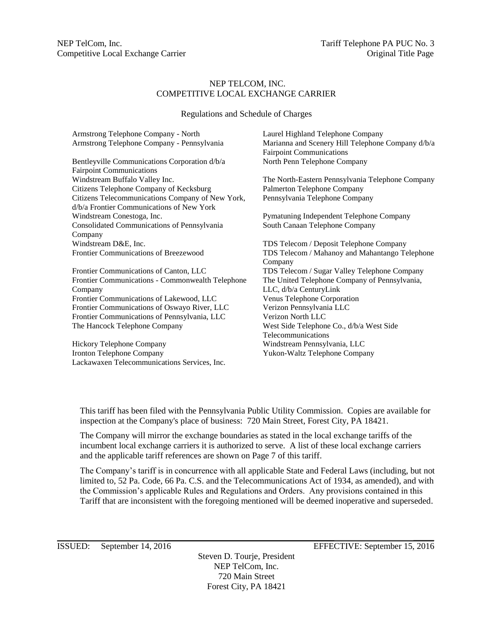### NEP TELCOM, INC. COMPETITIVE LOCAL EXCHANGE CARRIER

#### Regulations and Schedule of Charges

| Armstrong Telephone Company - North                                                           | Laurel Highland Telephone Company                                                    |
|-----------------------------------------------------------------------------------------------|--------------------------------------------------------------------------------------|
| Armstrong Telephone Company - Pennsylvania                                                    | Marianna and Scenery Hill Telephone Company d/b/a<br><b>Fairpoint Communications</b> |
| Bentleyville Communications Corporation d/b/a                                                 | North Penn Telephone Company                                                         |
| <b>Fairpoint Communications</b>                                                               |                                                                                      |
| Windstream Buffalo Valley Inc.                                                                | The North-Eastern Pennsylvania Telephone Company                                     |
| Citizens Telephone Company of Kecksburg                                                       | Palmerton Telephone Company                                                          |
| Citizens Telecommunications Company of New York,<br>d/b/a Frontier Communications of New York | Pennsylvania Telephone Company                                                       |
| Windstream Conestoga, Inc.                                                                    | Pymatuning Independent Telephone Company                                             |
| Consolidated Communications of Pennsylvania                                                   | South Canaan Telephone Company                                                       |
| Company                                                                                       |                                                                                      |
| Windstream D&E, Inc.                                                                          | TDS Telecom / Deposit Telephone Company                                              |
| Frontier Communications of Breezewood                                                         | TDS Telecom / Mahanoy and Mahantango Telephone                                       |
|                                                                                               | Company                                                                              |
| Frontier Communications of Canton, LLC                                                        | TDS Telecom / Sugar Valley Telephone Company                                         |
| Frontier Communications - Commonwealth Telephone                                              | The United Telephone Company of Pennsylvania,                                        |
| Company                                                                                       | LLC, d/b/a CenturyLink                                                               |
| Frontier Communications of Lakewood, LLC                                                      | Venus Telephone Corporation                                                          |
| Frontier Communications of Oswayo River, LLC                                                  | Verizon Pennsylvania LLC                                                             |
| Frontier Communications of Pennsylvania, LLC                                                  | Verizon North LLC                                                                    |
| The Hancock Telephone Company                                                                 | West Side Telephone Co., d/b/a West Side                                             |
|                                                                                               | Telecommunications                                                                   |
| Hickory Telephone Company                                                                     | Windstream Pennsylvania, LLC                                                         |
| Ironton Telephone Company                                                                     | Yukon-Waltz Telephone Company                                                        |
| Lackawaxen Telecommunications Services, Inc.                                                  |                                                                                      |

This tariff has been filed with the Pennsylvania Public Utility Commission. Copies are available for inspection at the Company's place of business: 720 Main Street, Forest City, PA 18421.

The Company will mirror the exchange boundaries as stated in the local exchange tariffs of the incumbent local exchange carriers it is authorized to serve. A list of these local exchange carriers and the applicable tariff references are shown on Page 7 of this tariff.

The Company's tariff is in concurrence with all applicable State and Federal Laws (including, but not limited to, 52 Pa. Code, 66 Pa. C.S. and the Telecommunications Act of 1934, as amended), and with the Commission's applicable Rules and Regulations and Orders. Any provisions contained in this Tariff that are inconsistent with the foregoing mentioned will be deemed inoperative and superseded.

Steven D. Tourje, President NEP TelCom, Inc. 720 Main Street Forest City, PA 18421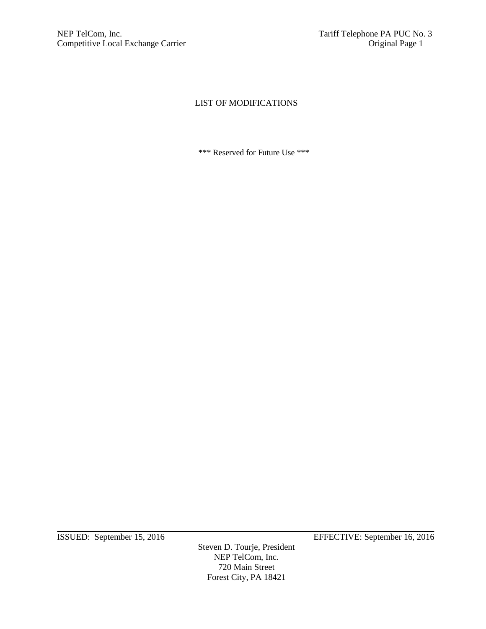# LIST OF MODIFICATIONS

\*\*\* Reserved for Future Use \*\*\*

Steven D. Tourje, President NEP TelCom, Inc. 720 Main Street Forest City, PA 18421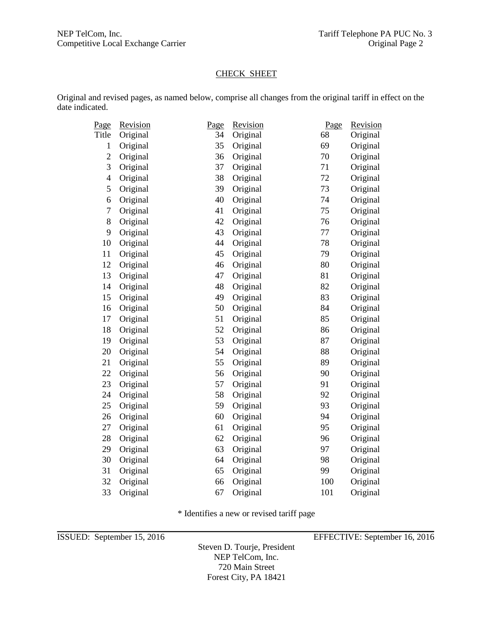# CHECK SHEET

Original and revised pages, as named below, comprise all changes from the original tariff in effect on the date indicated.

| Page                     | Revision       | Page | Revision | Page | Revision |
|--------------------------|----------------|------|----------|------|----------|
| Title                    | Original       | 34   | Original | 68   | Original |
| $\mathbf{1}$             | 35<br>Original |      | Original | 69   | Original |
| $\overline{c}$           | Original       | 36   | Original | 70   | Original |
| 3                        | Original       | 37   | Original | 71   | Original |
| $\overline{\mathcal{L}}$ | Original       | 38   | Original | 72   | Original |
| 5                        | Original       | 39   | Original | 73   | Original |
| 6                        | Original       | 40   | Original | 74   | Original |
| $\boldsymbol{7}$         | Original       | 41   | Original | 75   | Original |
| 8                        | Original       | 42   | Original | 76   | Original |
| 9                        | Original       | 43   | Original | 77   | Original |
| 10                       | Original       | 44   | Original | 78   | Original |
| 11                       | Original       | 45   | Original | 79   | Original |
| 12                       | Original       | 46   | Original | 80   | Original |
| 13                       | Original       | 47   | Original | 81   | Original |
| 14                       | Original       | 48   | Original | 82   | Original |
| 15                       | Original       | 49   | Original | 83   | Original |
| 16                       | Original       | 50   | Original | 84   | Original |
| 17                       | Original       | 51   | Original | 85   | Original |
| 18                       | Original       | 52   | Original | 86   | Original |
| 19                       | Original       | 53   | Original | 87   | Original |
| 20                       | Original       | 54   | Original | 88   | Original |
| 21                       | Original       | 55   | Original | 89   | Original |
| 22                       | Original       | 56   | Original | 90   | Original |
| 23                       | Original       | 57   | Original | 91   | Original |
| 24                       | Original       | 58   | Original | 92   | Original |
| 25                       | Original       | 59   | Original | 93   | Original |
| 26                       | Original       | 60   | Original | 94   | Original |
| 27                       | Original       | 61   | Original | 95   | Original |
| 28                       | Original       | 62   | Original | 96   | Original |
| 29                       | Original       | 63   | Original | 97   | Original |
| 30                       | Original       | 64   | Original | 98   | Original |
| 31                       | Original       | 65   | Original | 99   | Original |
| 32                       | Original       | 66   | Original | 100  | Original |
| 33                       | Original       | 67   | Original | 101  | Original |

\* Identifies a new or revised tariff page

Steven D. Tourje, President NEP TelCom, Inc. 720 Main Street Forest City, PA 18421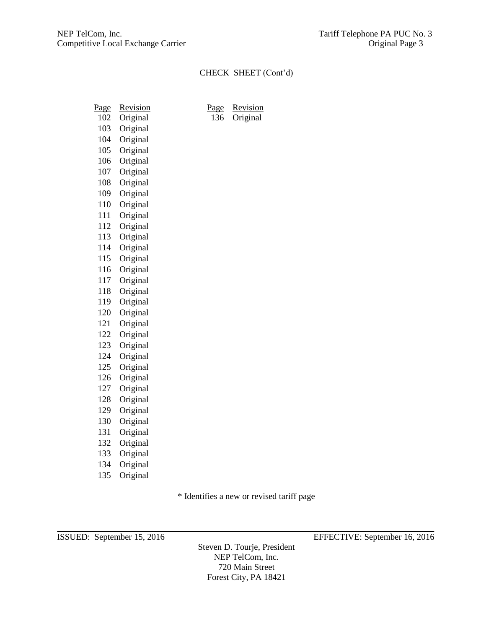# CHECK SHEET (Cont'd)

Page Revision Original

| <u>Page</u> | <u>Revision</u> |
|-------------|-----------------|
| 102         | Original        |
| 103         | Original        |
| 104         | Original        |
| 105         | Original        |
| 106         | Original        |
| 107         | Original        |
| 108         | Original        |
| 109         | Original        |
| 110         | Original        |
| 111         | Original        |
| 112         | Original        |
| 113         | Original        |
| 114         | Original        |
| 115         | Original        |
| 116         | Original        |
| 117         | Original        |
| 118         | Original        |
| 119         | Original        |
| 120         | Original        |
| 121         | Original        |
| 122         | Original        |
| 123         | Original        |
| 124         | Original        |
| 125         | Original        |
| 126         | Original        |
| 127         | Original        |
| 128         | Original        |
| 129         | Original        |
| 130         | Original        |
| 131         | Original        |
| 132         | Original        |
| 133         | Original        |
| 134         | Original        |

Original

\* Identifies a new or revised tariff page

Steven D. Tourje, President NEP TelCom, Inc. 720 Main Street Forest City, PA 18421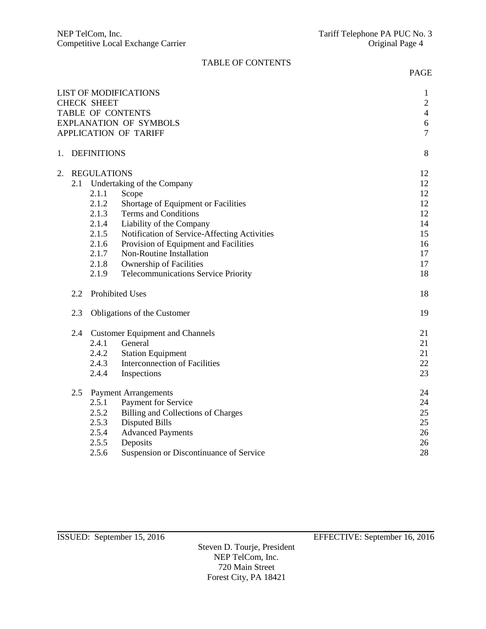PAGE

### TABLE OF CONTENTS

|    |     |                             | <b>LIST OF MODIFICATIONS</b>                 | $\mathbf{1}$   |
|----|-----|-----------------------------|----------------------------------------------|----------------|
|    |     | <b>CHECK SHEET</b>          |                                              | $\overline{2}$ |
|    |     |                             | TABLE OF CONTENTS                            | $\overline{4}$ |
|    |     |                             | EXPLANATION OF SYMBOLS                       | $6\,$          |
|    |     |                             | APPLICATION OF TARIFF                        | $\overline{7}$ |
| 1. |     | <b>DEFINITIONS</b>          |                                              | 8              |
| 2. |     | <b>REGULATIONS</b>          |                                              | 12             |
|    | 2.1 |                             | Undertaking of the Company                   | 12             |
|    |     | 2.1.1                       | Scope                                        | 12             |
|    |     | 2.1.2                       | Shortage of Equipment or Facilities          | 12             |
|    |     | 2.1.3                       | Terms and Conditions                         | 12             |
|    |     | 2.1.4                       | Liability of the Company                     | 14             |
|    |     | 2.1.5                       | Notification of Service-Affecting Activities | 15             |
|    |     | 2.1.6                       | Provision of Equipment and Facilities        | 16             |
|    |     | 2.1.7                       | Non-Routine Installation                     | 17             |
|    |     | 2.1.8                       | <b>Ownership of Facilities</b>               | 17             |
|    |     | 2.1.9                       | <b>Telecommunications Service Priority</b>   | 18             |
|    | 2.2 |                             | <b>Prohibited Uses</b>                       | 18             |
|    | 2.3 |                             | Obligations of the Customer                  | 19             |
|    | 2.4 |                             | <b>Customer Equipment and Channels</b>       | 21             |
|    |     | 2.4.1                       | General                                      | 21             |
|    |     | 2.4.2                       | <b>Station Equipment</b>                     | 21             |
|    |     | 2.4.3                       | <b>Interconnection of Facilities</b>         | 22             |
|    |     | 2.4.4                       | Inspections                                  | 23             |
|    | 2.5 | <b>Payment Arrangements</b> |                                              | 24             |
|    |     | 2.5.1                       | Payment for Service                          | 24             |
|    |     | 2.5.2                       | Billing and Collections of Charges           | 25             |
|    |     | 2.5.3                       | <b>Disputed Bills</b>                        | 25             |
|    |     | 2.5.4                       | <b>Advanced Payments</b>                     | 26             |
|    |     | 2.5.5                       | Deposits                                     | 26             |
|    |     | 2.5.6                       | Suspension or Discontinuance of Service      | 28             |
|    |     |                             |                                              |                |

Steven D. Tourje, President NEP TelCom, Inc. 720 Main Street Forest City, PA 18421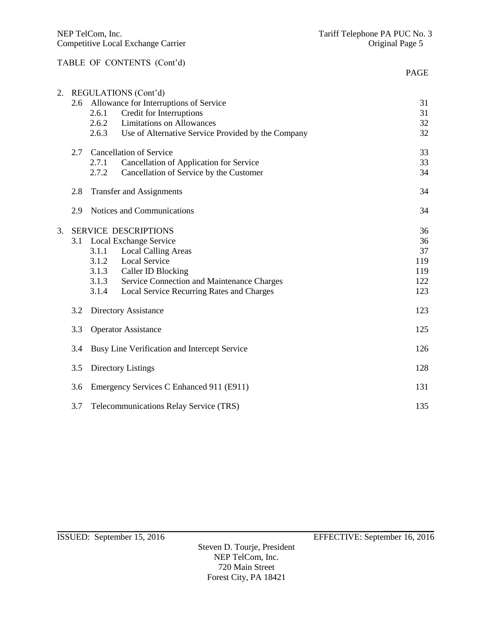PAGE

# TABLE OF CONTENTS (Cont'd)

| 2. | 2.6 | REGULATIONS (Cont'd)<br>Allowance for Interruptions of Service | 31  |  |
|----|-----|----------------------------------------------------------------|-----|--|
|    |     | Credit for Interruptions<br>2.6.1                              | 31  |  |
|    |     | <b>Limitations on Allowances</b><br>2.6.2                      | 32  |  |
|    |     | 2.6.3<br>Use of Alternative Service Provided by the Company    | 32  |  |
|    | 2.7 | <b>Cancellation of Service</b>                                 | 33  |  |
|    |     | 2.7.1<br>Cancellation of Application for Service               | 33  |  |
|    |     | 2.7.2<br>Cancellation of Service by the Customer               | 34  |  |
|    | 2.8 | <b>Transfer and Assignments</b>                                | 34  |  |
|    | 2.9 | Notices and Communications                                     | 34  |  |
| 3. |     | <b>SERVICE DESCRIPTIONS</b>                                    |     |  |
|    | 3.1 | Local Exchange Service                                         | 36  |  |
|    |     | <b>Local Calling Areas</b><br>3.1.1                            | 37  |  |
|    |     | <b>Local Service</b><br>3.1.2                                  | 119 |  |
|    |     | Caller ID Blocking<br>3.1.3                                    | 119 |  |
|    |     | 3.1.3<br>Service Connection and Maintenance Charges            | 122 |  |
|    |     | 3.1.4<br>Local Service Recurring Rates and Charges             | 123 |  |
|    | 3.2 | Directory Assistance                                           | 123 |  |
|    | 3.3 | <b>Operator Assistance</b>                                     |     |  |
|    | 3.4 | Busy Line Verification and Intercept Service                   |     |  |
|    | 3.5 | Directory Listings                                             |     |  |
|    | 3.6 | Emergency Services C Enhanced 911 (E911)                       |     |  |
|    | 3.7 | Telecommunications Relay Service (TRS)                         | 135 |  |
|    |     |                                                                |     |  |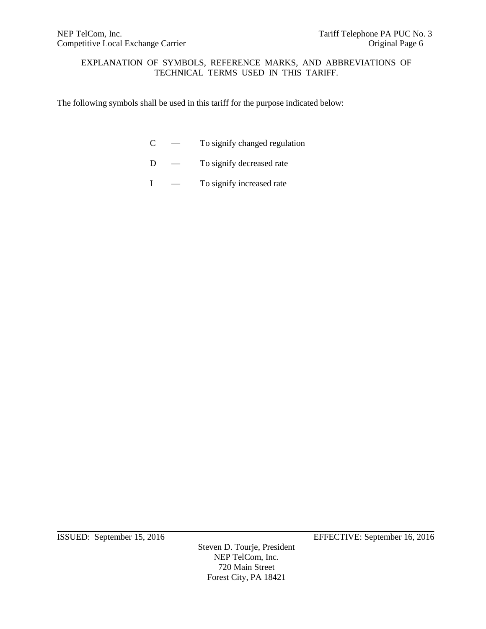# EXPLANATION OF SYMBOLS, REFERENCE MARKS, AND ABBREVIATIONS OF TECHNICAL TERMS USED IN THIS TARIFF.

The following symbols shall be used in this tariff for the purpose indicated below:

- C To signify changed regulation
- D To signify decreased rate
- I To signify increased rate

Steven D. Tourje, President NEP TelCom, Inc. 720 Main Street Forest City, PA 18421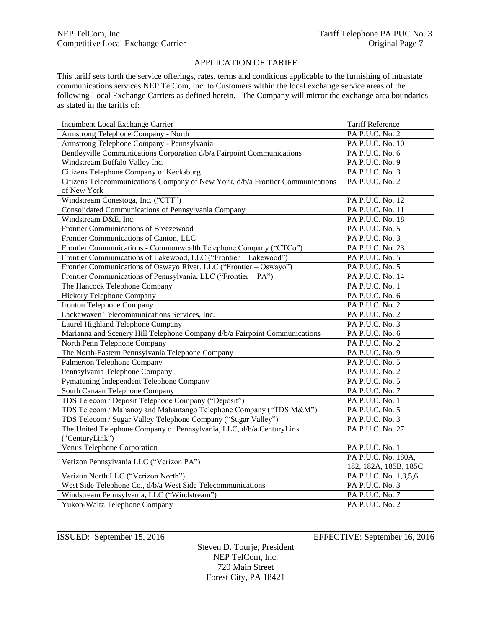### APPLICATION OF TARIFF

This tariff sets forth the service offerings, rates, terms and conditions applicable to the furnishing of intrastate communications services NEP TelCom, Inc. to Customers within the local exchange service areas of the following Local Exchange Carriers as defined herein. The Company will mirror the exchange area boundaries as stated in the tariffs of:

| Incumbent Local Exchange Carrier                                               | <b>Tariff Reference</b> |  |
|--------------------------------------------------------------------------------|-------------------------|--|
| Armstrong Telephone Company - North                                            | PA P.U.C. No. 2         |  |
| Armstrong Telephone Company - Pennsylvania                                     | PA P.U.C. No. 10        |  |
| Bentleyville Communications Corporation d/b/a Fairpoint Communications         | PA P.U.C. No. 6         |  |
| Windstream Buffalo Valley Inc.                                                 | PA P.U.C. No. 9         |  |
| Citizens Telephone Company of Kecksburg                                        | PA P.U.C. No. 3         |  |
| Citizens Telecommunications Company of New York, d/b/a Frontier Communications | PA P.U.C. No. 2         |  |
| of New York                                                                    |                         |  |
| Windstream Conestoga, Inc. ("CTT")                                             | PA P.U.C. No. 12        |  |
| Consolidated Communications of Pennsylvania Company                            | PA P.U.C. No. 11        |  |
| Windstream D&E, Inc.                                                           | PA P.U.C. No. 18        |  |
| Frontier Communications of Breezewood                                          | PA P.U.C. No. 5         |  |
| Frontier Communications of Canton, LLC                                         | PA P.U.C. No. 3         |  |
| Frontier Communications - Commonwealth Telephone Company ("CTCo")              | PA P.U.C. No. 23        |  |
| Frontier Communications of Lakewood, LLC ("Frontier - Lakewood")               | PA P.U.C. No. 5         |  |
| Frontier Communications of Oswayo River, LLC ("Frontier - Oswayo")             | PA P.U.C. No. 5         |  |
| Frontier Communications of Pennsylvania, LLC ("Frontier - PA")                 | PA P.U.C. No. 14        |  |
| The Hancock Telephone Company                                                  | PA P.U.C. No. 1         |  |
| <b>Hickory Telephone Company</b>                                               | PA P.U.C. No. 6         |  |
| Ironton Telephone Company                                                      | PA P.U.C. No. 2         |  |
| Lackawaxen Telecommunications Services, Inc.                                   | PA P.U.C. No. 2         |  |
| Laurel Highland Telephone Company                                              | PA P.U.C. No. 3         |  |
| Marianna and Scenery Hill Telephone Company d/b/a Fairpoint Communications     | PA P.U.C. No. 6         |  |
| North Penn Telephone Company                                                   | PA P.U.C. No. 2         |  |
| The North-Eastern Pennsylvania Telephone Company                               | PA P.U.C. No. 9         |  |
| <b>Palmerton Telephone Company</b>                                             | PA P.U.C. No. 5         |  |
| Pennsylvania Telephone Company                                                 | PA P.U.C. No. 2         |  |
| Pymatuning Independent Telephone Company                                       | PA P.U.C. No. 5         |  |
| South Canaan Telephone Company                                                 | PA P.U.C. No. 7         |  |
| TDS Telecom / Deposit Telephone Company ("Deposit")                            | PA P.U.C. No. 1         |  |
| TDS Telecom / Mahanoy and Mahantango Telephone Company ("TDS M&M")             | PA P.U.C. No. 5         |  |
| TDS Telecom / Sugar Valley Telephone Company ("Sugar Valley")                  | PA P.U.C. No. 3         |  |
| The United Telephone Company of Pennsylvania, LLC, d/b/a CenturyLink           | PA P.U.C. No. 27        |  |
| ("CenturyLink")                                                                |                         |  |
| Venus Telephone Corporation                                                    | PA P.U.C. No. 1         |  |
| Verizon Pennsylvania LLC ("Verizon PA")                                        | PA P.U.C. No. 180A,     |  |
|                                                                                | 182, 182A, 185B, 185C   |  |
| Verizon North LLC ("Verizon North")                                            | PA P.U.C. No. 1,3,5,6   |  |
| West Side Telephone Co., d/b/a West Side Telecommunications                    | PA P.U.C. No. 3         |  |
| Windstream Pennsylvania, LLC ("Windstream")                                    | PA P.U.C. No. 7         |  |
| Yukon-Waltz Telephone Company                                                  | PA P.U.C. No. 2         |  |

Steven D. Tourje, President NEP TelCom, Inc. 720 Main Street Forest City, PA 18421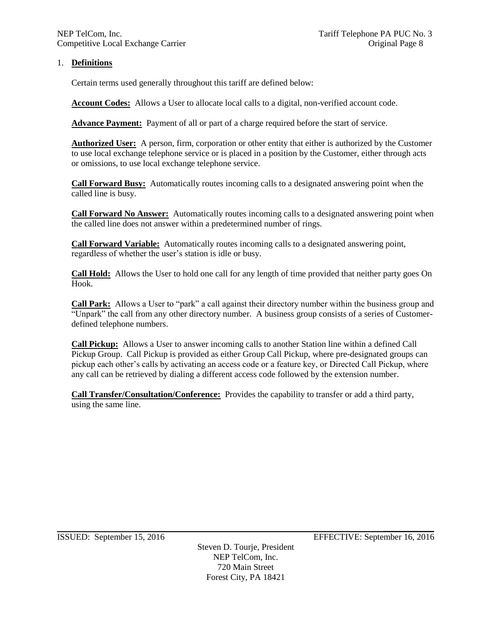# 1. **Definitions**

Certain terms used generally throughout this tariff are defined below:

**Account Codes:** Allows a User to allocate local calls to a digital, non-verified account code.

**Advance Payment:** Payment of all or part of a charge required before the start of service.

**Authorized User:** A person, firm, corporation or other entity that either is authorized by the Customer to use local exchange telephone service or is placed in a position by the Customer, either through acts or omissions, to use local exchange telephone service.

**Call Forward Busy:** Automatically routes incoming calls to a designated answering point when the called line is busy.

**Call Forward No Answer:** Automatically routes incoming calls to a designated answering point when the called line does not answer within a predetermined number of rings.

**Call Forward Variable:** Automatically routes incoming calls to a designated answering point, regardless of whether the user's station is idle or busy.

**Call Hold:** Allows the User to hold one call for any length of time provided that neither party goes On Hook.

**Call Park:** Allows a User to "park" a call against their directory number within the business group and "Unpark" the call from any other directory number. A business group consists of a series of Customerdefined telephone numbers.

**Call Pickup:** Allows a User to answer incoming calls to another Station line within a defined Call Pickup Group. Call Pickup is provided as either Group Call Pickup, where pre-designated groups can pickup each other's calls by activating an access code or a feature key, or Directed Call Pickup, where any call can be retrieved by dialing a different access code followed by the extension number.

**Call Transfer/Consultation/Conference:** Provides the capability to transfer or add a third party, using the same line.

Steven D. Tourje, President NEP TelCom, Inc. 720 Main Street Forest City, PA 18421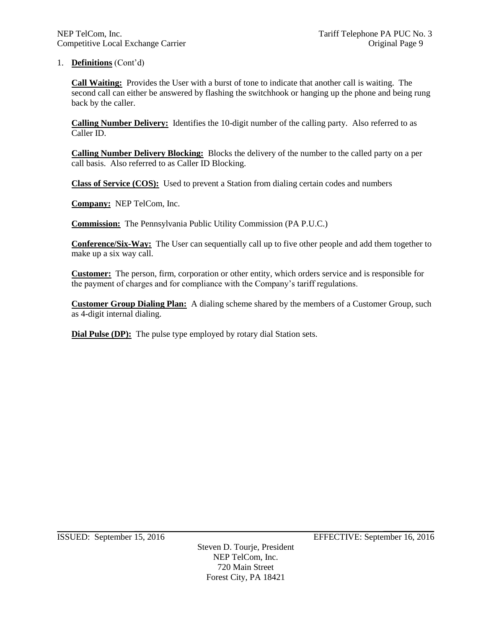# 1. **Definitions** (Cont'd)

**Call Waiting:** Provides the User with a burst of tone to indicate that another call is waiting. The second call can either be answered by flashing the switchhook or hanging up the phone and being rung back by the caller.

**Calling Number Delivery:** Identifies the 10-digit number of the calling party. Also referred to as Caller ID.

**Calling Number Delivery Blocking:** Blocks the delivery of the number to the called party on a per call basis. Also referred to as Caller ID Blocking.

**Class of Service (COS):** Used to prevent a Station from dialing certain codes and numbers

**Company:** NEP TelCom, Inc.

**Commission:** The Pennsylvania Public Utility Commission (PA P.U.C.)

**Conference/Six-Way:** The User can sequentially call up to five other people and add them together to make up a six way call.

**Customer:** The person, firm, corporation or other entity, which orders service and is responsible for the payment of charges and for compliance with the Company's tariff regulations.

**Customer Group Dialing Plan:** A dialing scheme shared by the members of a Customer Group, such as 4-digit internal dialing.

**Dial Pulse (DP):** The pulse type employed by rotary dial Station sets.

Steven D. Tourje, President NEP TelCom, Inc. 720 Main Street Forest City, PA 18421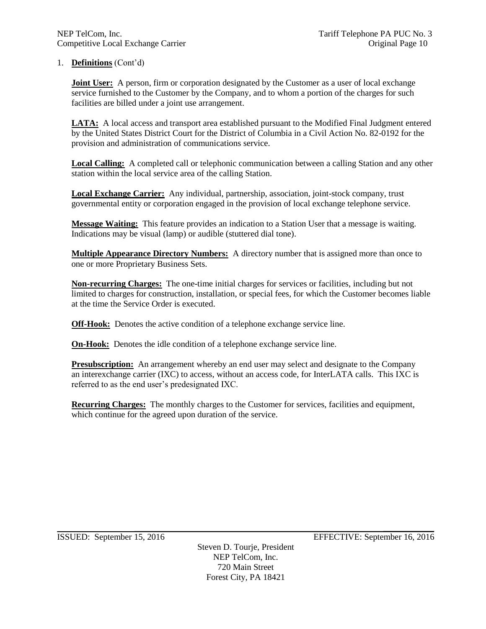# 1. **Definitions** (Cont'd)

**Joint User:** A person, firm or corporation designated by the Customer as a user of local exchange service furnished to the Customer by the Company, and to whom a portion of the charges for such facilities are billed under a joint use arrangement.

**LATA:** A local access and transport area established pursuant to the Modified Final Judgment entered by the United States District Court for the District of Columbia in a Civil Action No. 82-0192 for the provision and administration of communications service.

**Local Calling:** A completed call or telephonic communication between a calling Station and any other station within the local service area of the calling Station.

**Local Exchange Carrier:** Any individual, partnership, association, joint-stock company, trust governmental entity or corporation engaged in the provision of local exchange telephone service.

**Message Waiting:** This feature provides an indication to a Station User that a message is waiting. Indications may be visual (lamp) or audible (stuttered dial tone).

**Multiple Appearance Directory Numbers:** A directory number that is assigned more than once to one or more Proprietary Business Sets.

**Non-recurring Charges:** The one-time initial charges for services or facilities, including but not limited to charges for construction, installation, or special fees, for which the Customer becomes liable at the time the Service Order is executed.

**Off-Hook:** Denotes the active condition of a telephone exchange service line.

**On-Hook:** Denotes the idle condition of a telephone exchange service line.

**Presubscription:** An arrangement whereby an end user may select and designate to the Company an interexchange carrier (IXC) to access, without an access code, for InterLATA calls. This IXC is referred to as the end user's predesignated IXC.

**Recurring Charges:** The monthly charges to the Customer for services, facilities and equipment, which continue for the agreed upon duration of the service.

Steven D. Tourje, President NEP TelCom, Inc. 720 Main Street Forest City, PA 18421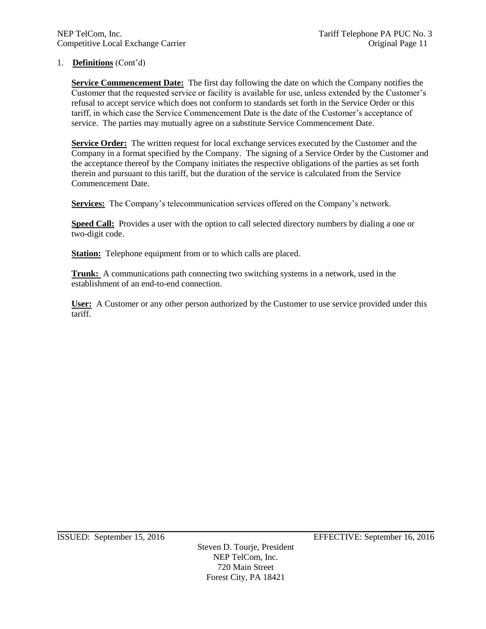# 1. **Definitions** (Cont'd)

**Service Commencement Date:** The first day following the date on which the Company notifies the Customer that the requested service or facility is available for use, unless extended by the Customer's refusal to accept service which does not conform to standards set forth in the Service Order or this tariff, in which case the Service Commencement Date is the date of the Customer's acceptance of service. The parties may mutually agree on a substitute Service Commencement Date.

**Service Order:** The written request for local exchange services executed by the Customer and the Company in a format specified by the Company. The signing of a Service Order by the Customer and the acceptance thereof by the Company initiates the respective obligations of the parties as set forth therein and pursuant to this tariff, but the duration of the service is calculated from the Service Commencement Date.

**Services:** The Company's telecommunication services offered on the Company's network.

Speed Call: Provides a user with the option to call selected directory numbers by dialing a one or two-digit code.

**Station:** Telephone equipment from or to which calls are placed.

**Trunk:** A communications path connecting two switching systems in a network, used in the establishment of an end-to-end connection.

**User:** A Customer or any other person authorized by the Customer to use service provided under this tariff.

Steven D. Tourje, President NEP TelCom, Inc. 720 Main Street Forest City, PA 18421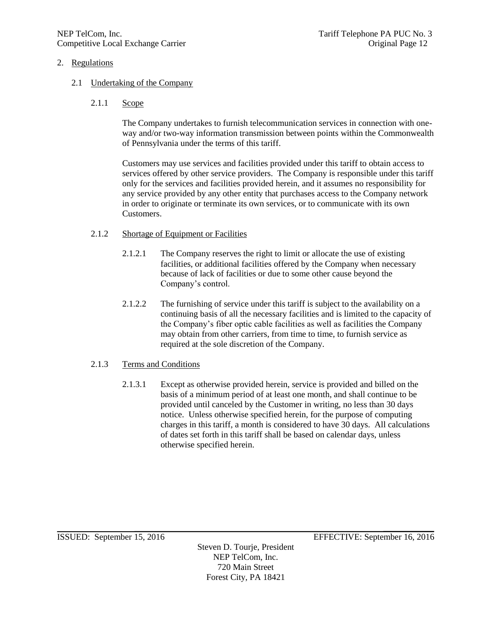### 2. Regulations

### 2.1 Undertaking of the Company

2.1.1 Scope

The Company undertakes to furnish telecommunication services in connection with oneway and/or two-way information transmission between points within the Commonwealth of Pennsylvania under the terms of this tariff.

Customers may use services and facilities provided under this tariff to obtain access to services offered by other service providers. The Company is responsible under this tariff only for the services and facilities provided herein, and it assumes no responsibility for any service provided by any other entity that purchases access to the Company network in order to originate or terminate its own services, or to communicate with its own Customers.

### 2.1.2 Shortage of Equipment or Facilities

- 2.1.2.1 The Company reserves the right to limit or allocate the use of existing facilities, or additional facilities offered by the Company when necessary because of lack of facilities or due to some other cause beyond the Company's control.
- 2.1.2.2 The furnishing of service under this tariff is subject to the availability on a continuing basis of all the necessary facilities and is limited to the capacity of the Company's fiber optic cable facilities as well as facilities the Company may obtain from other carriers, from time to time, to furnish service as required at the sole discretion of the Company.

### 2.1.3 Terms and Conditions

2.1.3.1 Except as otherwise provided herein, service is provided and billed on the basis of a minimum period of at least one month, and shall continue to be provided until canceled by the Customer in writing, no less than 30 days notice. Unless otherwise specified herein, for the purpose of computing charges in this tariff, a month is considered to have 30 days. All calculations of dates set forth in this tariff shall be based on calendar days, unless otherwise specified herein.

Steven D. Tourje, President NEP TelCom, Inc. 720 Main Street Forest City, PA 18421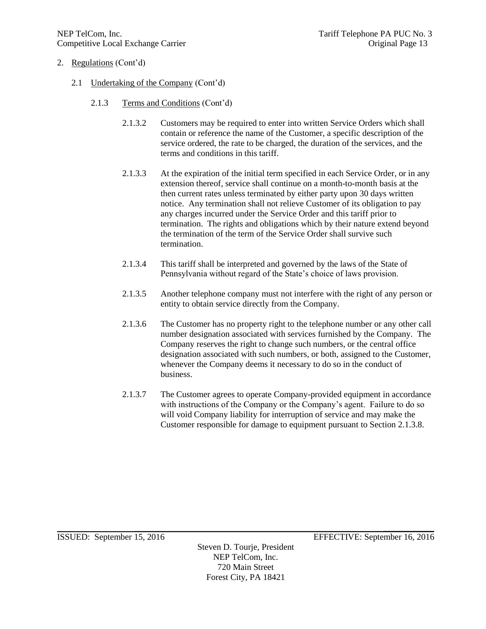- 2.1 Undertaking of the Company (Cont'd)
	- 2.1.3 Terms and Conditions (Cont'd)
		- 2.1.3.2 Customers may be required to enter into written Service Orders which shall contain or reference the name of the Customer, a specific description of the service ordered, the rate to be charged, the duration of the services, and the terms and conditions in this tariff.
		- 2.1.3.3 At the expiration of the initial term specified in each Service Order, or in any extension thereof, service shall continue on a month-to-month basis at the then current rates unless terminated by either party upon 30 days written notice. Any termination shall not relieve Customer of its obligation to pay any charges incurred under the Service Order and this tariff prior to termination. The rights and obligations which by their nature extend beyond the termination of the term of the Service Order shall survive such termination.
		- 2.1.3.4 This tariff shall be interpreted and governed by the laws of the State of Pennsylvania without regard of the State's choice of laws provision.
		- 2.1.3.5 Another telephone company must not interfere with the right of any person or entity to obtain service directly from the Company.
		- 2.1.3.6 The Customer has no property right to the telephone number or any other call number designation associated with services furnished by the Company. The Company reserves the right to change such numbers, or the central office designation associated with such numbers, or both, assigned to the Customer, whenever the Company deems it necessary to do so in the conduct of business.
		- 2.1.3.7 The Customer agrees to operate Company-provided equipment in accordance with instructions of the Company or the Company's agent. Failure to do so will void Company liability for interruption of service and may make the Customer responsible for damage to equipment pursuant to Section 2.1.3.8.

Steven D. Tourje, President NEP TelCom, Inc. 720 Main Street Forest City, PA 18421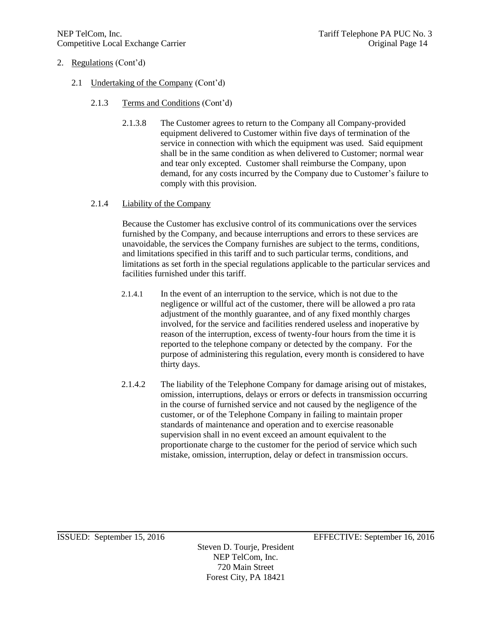- 2.1 Undertaking of the Company (Cont'd)
	- 2.1.3 Terms and Conditions (Cont'd)
		- 2.1.3.8 The Customer agrees to return to the Company all Company-provided equipment delivered to Customer within five days of termination of the service in connection with which the equipment was used. Said equipment shall be in the same condition as when delivered to Customer; normal wear and tear only excepted. Customer shall reimburse the Company, upon demand, for any costs incurred by the Company due to Customer's failure to comply with this provision.

# 2.1.4 Liability of the Company

Because the Customer has exclusive control of its communications over the services furnished by the Company, and because interruptions and errors to these services are unavoidable, the services the Company furnishes are subject to the terms, conditions, and limitations specified in this tariff and to such particular terms, conditions, and limitations as set forth in the special regulations applicable to the particular services and facilities furnished under this tariff.

- 2.1.4.1 In the event of an interruption to the service, which is not due to the negligence or willful act of the customer, there will be allowed a pro rata adjustment of the monthly guarantee, and of any fixed monthly charges involved, for the service and facilities rendered useless and inoperative by reason of the interruption, excess of twenty-four hours from the time it is reported to the telephone company or detected by the company. For the purpose of administering this regulation, every month is considered to have thirty days.
- 2.1.4.2 The liability of the Telephone Company for damage arising out of mistakes, omission, interruptions, delays or errors or defects in transmission occurring in the course of furnished service and not caused by the negligence of the customer, or of the Telephone Company in failing to maintain proper standards of maintenance and operation and to exercise reasonable supervision shall in no event exceed an amount equivalent to the proportionate charge to the customer for the period of service which such mistake, omission, interruption, delay or defect in transmission occurs.

ISSUED: September 15, 2016 EFFECTIVE: September 16, 2016

Steven D. Tourje, President NEP TelCom, Inc. 720 Main Street Forest City, PA 18421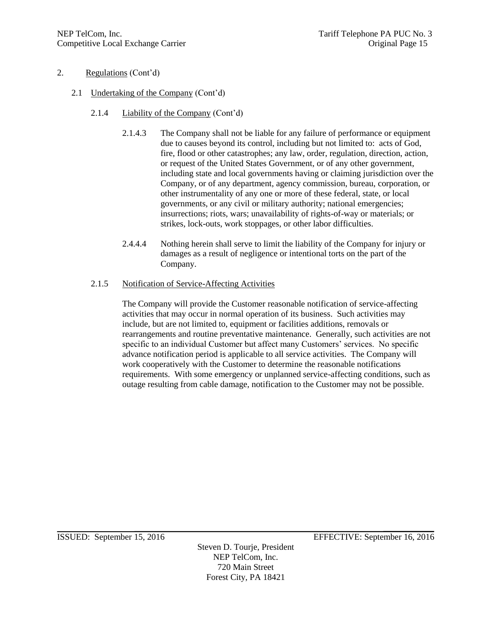- 2. Regulations (Cont'd)
	- 2.1 Undertaking of the Company (Cont'd)
		- 2.1.4 Liability of the Company (Cont'd)
			- 2.1.4.3 The Company shall not be liable for any failure of performance or equipment due to causes beyond its control, including but not limited to: acts of God, fire, flood or other catastrophes; any law, order, regulation, direction, action, or request of the United States Government, or of any other government, including state and local governments having or claiming jurisdiction over the Company, or of any department, agency commission, bureau, corporation, or other instrumentality of any one or more of these federal, state, or local governments, or any civil or military authority; national emergencies; insurrections; riots, wars; unavailability of rights-of-way or materials; or strikes, lock-outs, work stoppages, or other labor difficulties.
			- 2.4.4.4 Nothing herein shall serve to limit the liability of the Company for injury or damages as a result of negligence or intentional torts on the part of the Company.

# 2.1.5 Notification of Service-Affecting Activities

The Company will provide the Customer reasonable notification of service-affecting activities that may occur in normal operation of its business. Such activities may include, but are not limited to, equipment or facilities additions, removals or rearrangements and routine preventative maintenance. Generally, such activities are not specific to an individual Customer but affect many Customers' services. No specific advance notification period is applicable to all service activities. The Company will work cooperatively with the Customer to determine the reasonable notifications requirements. With some emergency or unplanned service-affecting conditions, such as outage resulting from cable damage, notification to the Customer may not be possible.

Steven D. Tourje, President NEP TelCom, Inc. 720 Main Street Forest City, PA 18421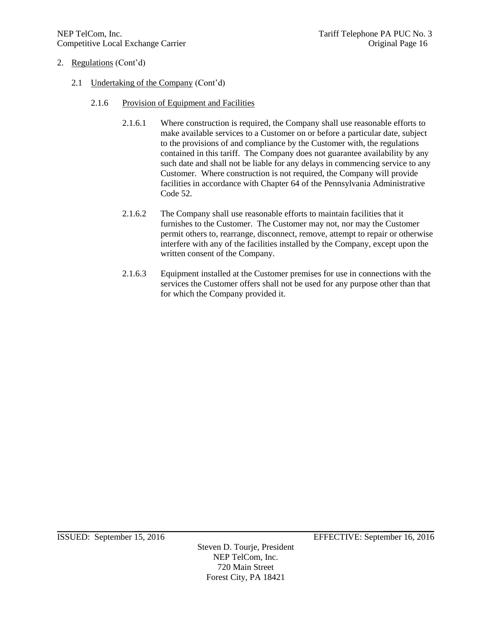### NEP TelCom, Inc. Tariff Telephone PA PUC No. 3 Competitive Local Exchange Carrier **Competitive Local Exchange Carrier** Competitive Local Exchange Carrier

# 2. Regulations (Cont'd)

- 2.1 Undertaking of the Company (Cont'd)
	- 2.1.6 Provision of Equipment and Facilities
		- 2.1.6.1 Where construction is required, the Company shall use reasonable efforts to make available services to a Customer on or before a particular date, subject to the provisions of and compliance by the Customer with, the regulations contained in this tariff. The Company does not guarantee availability by any such date and shall not be liable for any delays in commencing service to any Customer. Where construction is not required, the Company will provide facilities in accordance with Chapter 64 of the Pennsylvania Administrative Code 52.
		- 2.1.6.2 The Company shall use reasonable efforts to maintain facilities that it furnishes to the Customer. The Customer may not, nor may the Customer permit others to, rearrange, disconnect, remove, attempt to repair or otherwise interfere with any of the facilities installed by the Company, except upon the written consent of the Company.
		- 2.1.6.3 Equipment installed at the Customer premises for use in connections with the services the Customer offers shall not be used for any purpose other than that for which the Company provided it.

Steven D. Tourje, President NEP TelCom, Inc. 720 Main Street Forest City, PA 18421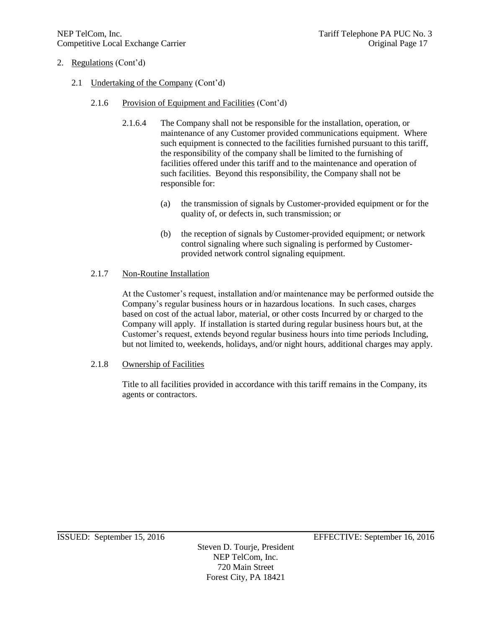- 2.1 Undertaking of the Company (Cont'd)
	- 2.1.6 Provision of Equipment and Facilities (Cont'd)
		- 2.1.6.4 The Company shall not be responsible for the installation, operation, or maintenance of any Customer provided communications equipment. Where such equipment is connected to the facilities furnished pursuant to this tariff, the responsibility of the company shall be limited to the furnishing of facilities offered under this tariff and to the maintenance and operation of such facilities. Beyond this responsibility, the Company shall not be responsible for:
			- (a) the transmission of signals by Customer-provided equipment or for the quality of, or defects in, such transmission; or
			- (b) the reception of signals by Customer-provided equipment; or network control signaling where such signaling is performed by Customerprovided network control signaling equipment.

# 2.1.7 Non-Routine Installation

At the Customer's request, installation and/or maintenance may be performed outside the Company's regular business hours or in hazardous locations. In such cases, charges based on cost of the actual labor, material, or other costs Incurred by or charged to the Company will apply. If installation is started during regular business hours but, at the Customer's request, extends beyond regular business hours into time periods Including, but not limited to, weekends, holidays, and/or night hours, additional charges may apply.

### 2.1.8 Ownership of Facilities

Title to all facilities provided in accordance with this tariff remains in the Company, its agents or contractors.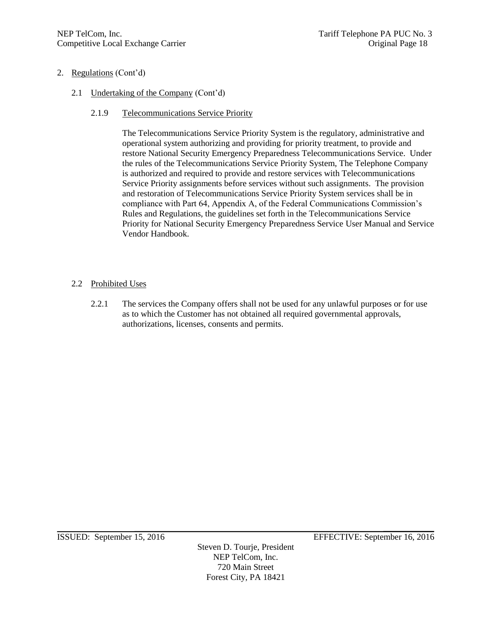- 2. Regulations (Cont'd)
	- 2.1 Undertaking of the Company (Cont'd)
		- 2.1.9 Telecommunications Service Priority

The Telecommunications Service Priority System is the regulatory, administrative and operational system authorizing and providing for priority treatment, to provide and restore National Security Emergency Preparedness Telecommunications Service. Under the rules of the Telecommunications Service Priority System, The Telephone Company is authorized and required to provide and restore services with Telecommunications Service Priority assignments before services without such assignments. The provision and restoration of Telecommunications Service Priority System services shall be in compliance with Part 64, Appendix A, of the Federal Communications Commission's Rules and Regulations, the guidelines set forth in the Telecommunications Service Priority for National Security Emergency Preparedness Service User Manual and Service Vendor Handbook.

# 2.2 Prohibited Uses

2.2.1 The services the Company offers shall not be used for any unlawful purposes or for use as to which the Customer has not obtained all required governmental approvals, authorizations, licenses, consents and permits.

Steven D. Tourje, President NEP TelCom, Inc. 720 Main Street Forest City, PA 18421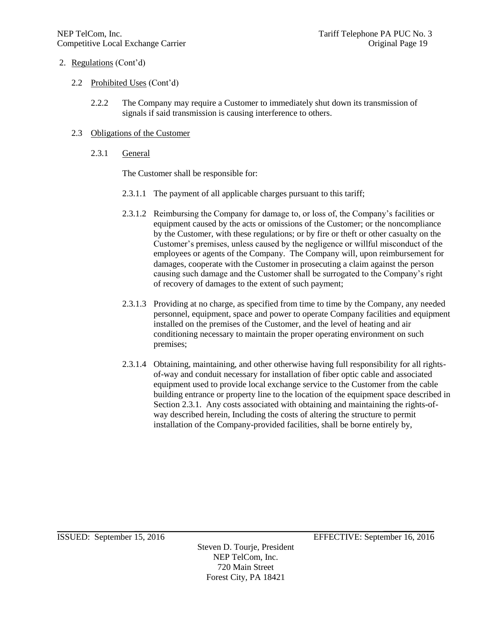- 2.2 Prohibited Uses (Cont'd)
	- 2.2.2 The Company may require a Customer to immediately shut down its transmission of signals if said transmission is causing interference to others.
- 2.3 Obligations of the Customer
	- 2.3.1 General

The Customer shall be responsible for:

- 2.3.1.1 The payment of all applicable charges pursuant to this tariff;
- 2.3.1.2 Reimbursing the Company for damage to, or loss of, the Company's facilities or equipment caused by the acts or omissions of the Customer; or the noncompliance by the Customer, with these regulations; or by fire or theft or other casualty on the Customer's premises, unless caused by the negligence or willful misconduct of the employees or agents of the Company. The Company will, upon reimbursement for damages, cooperate with the Customer in prosecuting a claim against the person causing such damage and the Customer shall be surrogated to the Company's right of recovery of damages to the extent of such payment;
- 2.3.1.3 Providing at no charge, as specified from time to time by the Company, any needed personnel, equipment, space and power to operate Company facilities and equipment installed on the premises of the Customer, and the level of heating and air conditioning necessary to maintain the proper operating environment on such premises;
- 2.3.1.4 Obtaining, maintaining, and other otherwise having full responsibility for all rightsof-way and conduit necessary for installation of fiber optic cable and associated equipment used to provide local exchange service to the Customer from the cable building entrance or property line to the location of the equipment space described in Section 2.3.1. Any costs associated with obtaining and maintaining the rights-ofway described herein, Including the costs of altering the structure to permit installation of the Company-provided facilities, shall be borne entirely by,

Steven D. Tourje, President NEP TelCom, Inc. 720 Main Street Forest City, PA 18421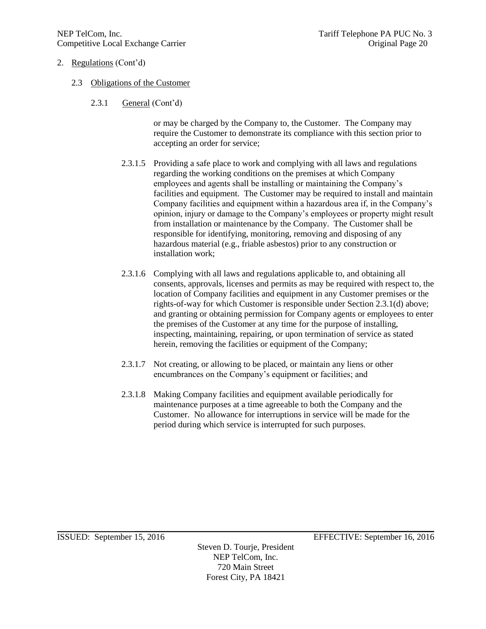### 2.3 Obligations of the Customer

2.3.1 General (Cont'd)

or may be charged by the Company to, the Customer. The Company may require the Customer to demonstrate its compliance with this section prior to accepting an order for service;

- 2.3.1.5 Providing a safe place to work and complying with all laws and regulations regarding the working conditions on the premises at which Company employees and agents shall be installing or maintaining the Company's facilities and equipment. The Customer may be required to install and maintain Company facilities and equipment within a hazardous area if, in the Company's opinion, injury or damage to the Company's employees or property might result from installation or maintenance by the Company. The Customer shall be responsible for identifying, monitoring, removing and disposing of any hazardous material (e.g., friable asbestos) prior to any construction or installation work;
- 2.3.1.6 Complying with all laws and regulations applicable to, and obtaining all consents, approvals, licenses and permits as may be required with respect to, the location of Company facilities and equipment in any Customer premises or the rights-of-way for which Customer is responsible under Section 2.3.1(d) above; and granting or obtaining permission for Company agents or employees to enter the premises of the Customer at any time for the purpose of installing, inspecting, maintaining, repairing, or upon termination of service as stated herein, removing the facilities or equipment of the Company;
- 2.3.1.7 Not creating, or allowing to be placed, or maintain any liens or other encumbrances on the Company's equipment or facilities; and
- 2.3.1.8 Making Company facilities and equipment available periodically for maintenance purposes at a time agreeable to both the Company and the Customer. No allowance for interruptions in service will be made for the period during which service is interrupted for such purposes.

Steven D. Tourje, President NEP TelCom, Inc. 720 Main Street Forest City, PA 18421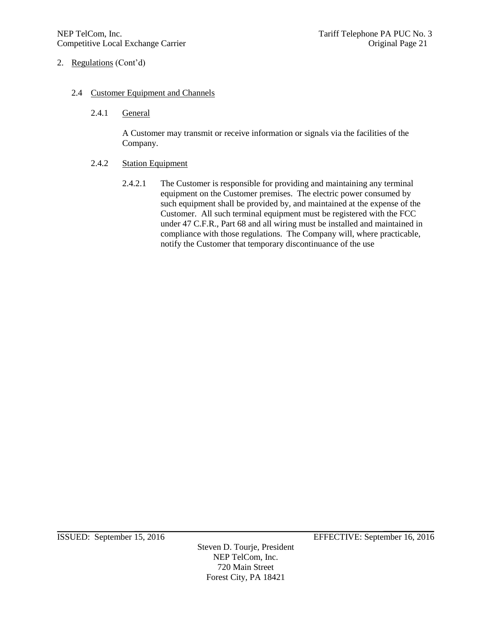# 2.4 Customer Equipment and Channels

2.4.1 General

A Customer may transmit or receive information or signals via the facilities of the Company.

# 2.4.2 Station Equipment

2.4.2.1 The Customer is responsible for providing and maintaining any terminal equipment on the Customer premises. The electric power consumed by such equipment shall be provided by, and maintained at the expense of the Customer. All such terminal equipment must be registered with the FCC under 47 C.F.R., Part 68 and all wiring must be installed and maintained in compliance with those regulations. The Company will, where practicable, notify the Customer that temporary discontinuance of the use

Steven D. Tourje, President NEP TelCom, Inc. 720 Main Street Forest City, PA 18421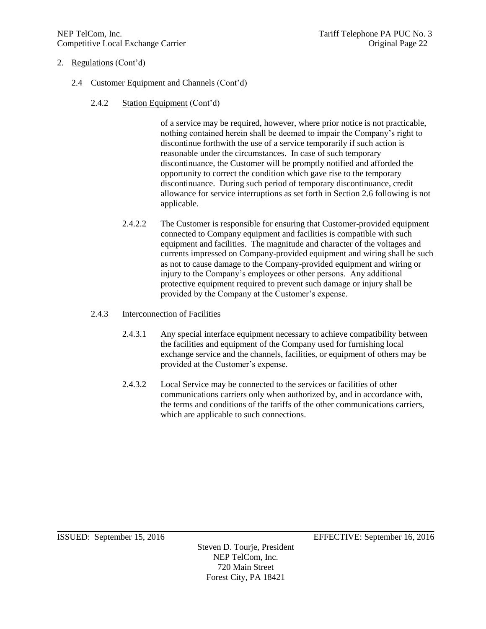# 2.4 Customer Equipment and Channels (Cont'd)

2.4.2 Station Equipment (Cont'd)

of a service may be required, however, where prior notice is not practicable, nothing contained herein shall be deemed to impair the Company's right to discontinue forthwith the use of a service temporarily if such action is reasonable under the circumstances. In case of such temporary discontinuance, the Customer will be promptly notified and afforded the opportunity to correct the condition which gave rise to the temporary discontinuance. During such period of temporary discontinuance, credit allowance for service interruptions as set forth in Section 2.6 following is not applicable.

2.4.2.2 The Customer is responsible for ensuring that Customer-provided equipment connected to Company equipment and facilities is compatible with such equipment and facilities. The magnitude and character of the voltages and currents impressed on Company-provided equipment and wiring shall be such as not to cause damage to the Company-provided equipment and wiring or injury to the Company's employees or other persons. Any additional protective equipment required to prevent such damage or injury shall be provided by the Company at the Customer's expense.

# 2.4.3 Interconnection of Facilities

- 2.4.3.1 Any special interface equipment necessary to achieve compatibility between the facilities and equipment of the Company used for furnishing local exchange service and the channels, facilities, or equipment of others may be provided at the Customer's expense.
- 2.4.3.2 Local Service may be connected to the services or facilities of other communications carriers only when authorized by, and in accordance with, the terms and conditions of the tariffs of the other communications carriers, which are applicable to such connections.

Steven D. Tourje, President NEP TelCom, Inc. 720 Main Street Forest City, PA 18421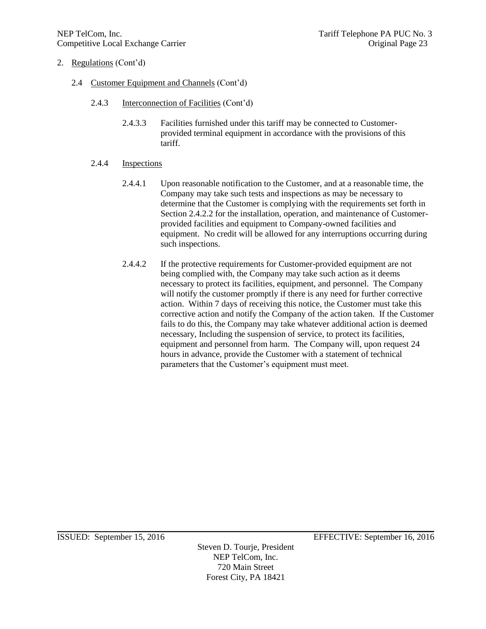- 2.4 Customer Equipment and Channels (Cont'd)
	- 2.4.3 Interconnection of Facilities (Cont'd)
		- 2.4.3.3 Facilities furnished under this tariff may be connected to Customerprovided terminal equipment in accordance with the provisions of this tariff.
	- 2.4.4 Inspections
		- 2.4.4.1 Upon reasonable notification to the Customer, and at a reasonable time, the Company may take such tests and inspections as may be necessary to determine that the Customer is complying with the requirements set forth in Section 2.4.2.2 for the installation, operation, and maintenance of Customerprovided facilities and equipment to Company-owned facilities and equipment. No credit will be allowed for any interruptions occurring during such inspections.
		- 2.4.4.2 If the protective requirements for Customer-provided equipment are not being complied with, the Company may take such action as it deems necessary to protect its facilities, equipment, and personnel. The Company will notify the customer promptly if there is any need for further corrective action. Within 7 days of receiving this notice, the Customer must take this corrective action and notify the Company of the action taken. If the Customer fails to do this, the Company may take whatever additional action is deemed necessary, Including the suspension of service, to protect its facilities, equipment and personnel from harm. The Company will, upon request 24 hours in advance, provide the Customer with a statement of technical parameters that the Customer's equipment must meet.

Steven D. Tourje, President NEP TelCom, Inc. 720 Main Street Forest City, PA 18421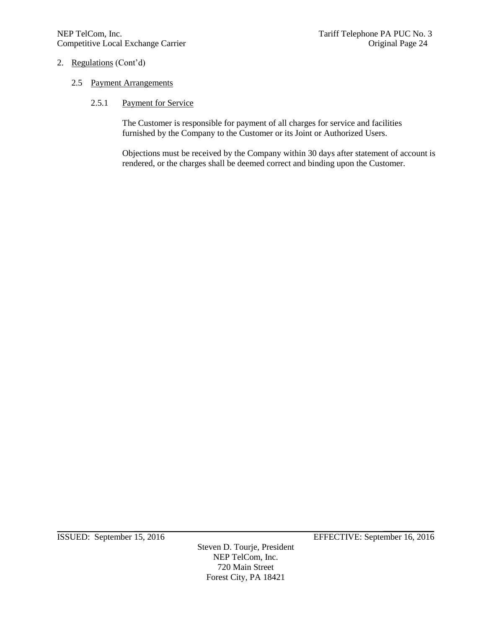### NEP TelCom, Inc.<br>
Competitive Local Exchange Carrier<br>
Competitive Local Exchange Carrier<br>
Competitive Local Exchange Carrier<br>
Competitive Local Exchange Carrier<br>
Competitive Local Exchange Carrier<br>
Competitive Local Exchan Competitive Local Exchange Carrier

### 2. Regulations (Cont'd)

#### 2.5 Payment Arrangements

#### 2.5.1 Payment for Service

The Customer is responsible for payment of all charges for service and facilities furnished by the Company to the Customer or its Joint or Authorized Users.

Objections must be received by the Company within 30 days after statement of account is rendered, or the charges shall be deemed correct and binding upon the Customer.

Steven D. Tourje, President NEP TelCom, Inc. 720 Main Street Forest City, PA 18421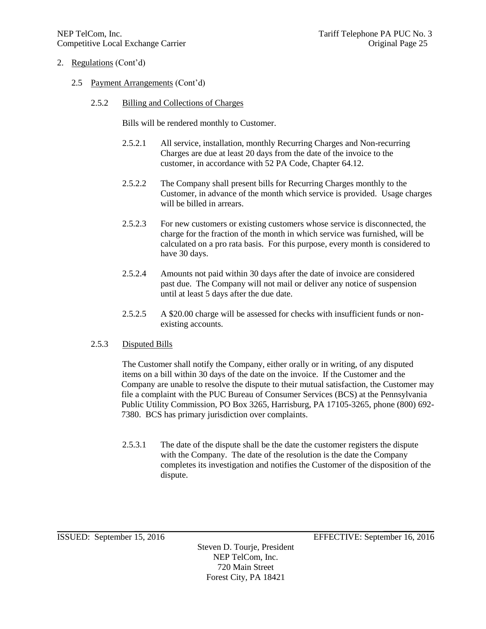- 2. Regulations (Cont'd)
	- 2.5 Payment Arrangements (Cont'd)
		- 2.5.2 Billing and Collections of Charges

Bills will be rendered monthly to Customer.

- 2.5.2.1 All service, installation, monthly Recurring Charges and Non-recurring Charges are due at least 20 days from the date of the invoice to the customer, in accordance with 52 PA Code, Chapter 64.12.
- 2.5.2.2 The Company shall present bills for Recurring Charges monthly to the Customer, in advance of the month which service is provided. Usage charges will be billed in arrears.
- 2.5.2.3 For new customers or existing customers whose service is disconnected, the charge for the fraction of the month in which service was furnished, will be calculated on a pro rata basis. For this purpose, every month is considered to have 30 days.
- 2.5.2.4 Amounts not paid within 30 days after the date of invoice are considered past due. The Company will not mail or deliver any notice of suspension until at least 5 days after the due date.
- 2.5.2.5 A \$20.00 charge will be assessed for checks with insufficient funds or nonexisting accounts.

# 2.5.3 Disputed Bills

The Customer shall notify the Company, either orally or in writing, of any disputed items on a bill within 30 days of the date on the invoice. If the Customer and the Company are unable to resolve the dispute to their mutual satisfaction, the Customer may file a complaint with the PUC Bureau of Consumer Services (BCS) at the Pennsylvania Public Utility Commission, PO Box 3265, Harrisburg, PA 17105-3265, phone (800) 692- 7380. BCS has primary jurisdiction over complaints.

2.5.3.1 The date of the dispute shall be the date the customer registers the dispute with the Company. The date of the resolution is the date the Company completes its investigation and notifies the Customer of the disposition of the dispute.

ISSUED: September 15, 2016 EFFECTIVE: September 16, 2016

Steven D. Tourje, President NEP TelCom, Inc. 720 Main Street Forest City, PA 18421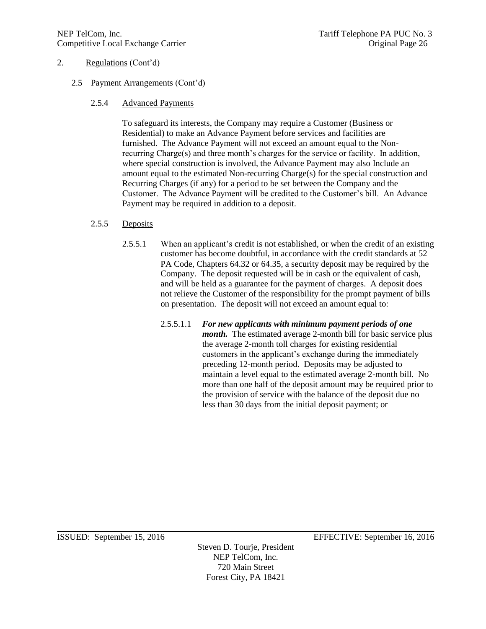# 2.5 Payment Arrangements (Cont'd)

# 2.5.4 Advanced Payments

To safeguard its interests, the Company may require a Customer (Business or Residential) to make an Advance Payment before services and facilities are furnished. The Advance Payment will not exceed an amount equal to the Nonrecurring Charge(s) and three month's charges for the service or facility. In addition, where special construction is involved, the Advance Payment may also Include an amount equal to the estimated Non-recurring Charge(s) for the special construction and Recurring Charges (if any) for a period to be set between the Company and the Customer. The Advance Payment will be credited to the Customer's bill. An Advance Payment may be required in addition to a deposit.

# 2.5.5 Deposits

- 2.5.5.1 When an applicant's credit is not established, or when the credit of an existing customer has become doubtful, in accordance with the credit standards at 52 PA Code, Chapters 64.32 or 64.35, a security deposit may be required by the Company. The deposit requested will be in cash or the equivalent of cash, and will be held as a guarantee for the payment of charges. A deposit does not relieve the Customer of the responsibility for the prompt payment of bills on presentation. The deposit will not exceed an amount equal to:
	- 2.5.5.1.1 *For new applicants with minimum payment periods of one month.* The estimated average 2-month bill for basic service plus the average 2-month toll charges for existing residential customers in the applicant's exchange during the immediately preceding 12-month period. Deposits may be adjusted to maintain a level equal to the estimated average 2-month bill. No more than one half of the deposit amount may be required prior to the provision of service with the balance of the deposit due no less than 30 days from the initial deposit payment; or

ISSUED: September 15, 2016 EFFECTIVE: September 16, 2016

Steven D. Tourje, President NEP TelCom, Inc. 720 Main Street Forest City, PA 18421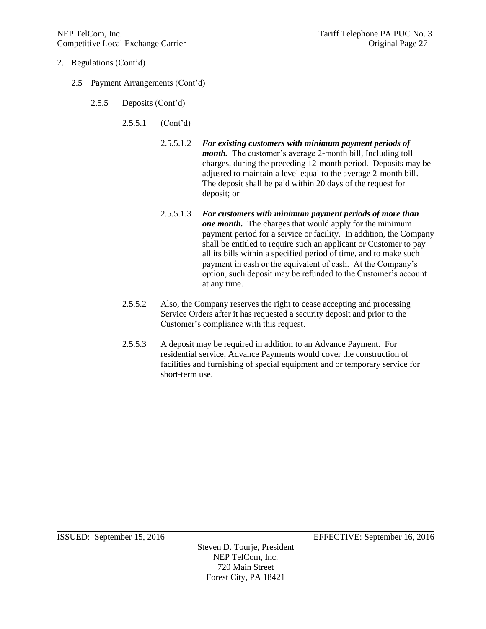- 2. Regulations (Cont'd)
	- 2.5 Payment Arrangements (Cont'd)
		- 2.5.5 Deposits (Cont'd)
			- 2.5.5.1 (Cont'd)
				- 2.5.5.1.2 *For existing customers with minimum payment periods of month.* The customer's average 2-month bill, Including toll charges, during the preceding 12-month period. Deposits may be adjusted to maintain a level equal to the average 2-month bill. The deposit shall be paid within 20 days of the request for deposit; or
				- 2.5.5.1.3 *For customers with minimum payment periods of more than one month.* The charges that would apply for the minimum payment period for a service or facility. In addition, the Company shall be entitled to require such an applicant or Customer to pay all its bills within a specified period of time, and to make such payment in cash or the equivalent of cash. At the Company's option, such deposit may be refunded to the Customer's account at any time.
			- 2.5.5.2 Also, the Company reserves the right to cease accepting and processing Service Orders after it has requested a security deposit and prior to the Customer's compliance with this request.
			- 2.5.5.3 A deposit may be required in addition to an Advance Payment. For residential service, Advance Payments would cover the construction of facilities and furnishing of special equipment and or temporary service for short-term use.

Steven D. Tourje, President NEP TelCom, Inc. 720 Main Street Forest City, PA 18421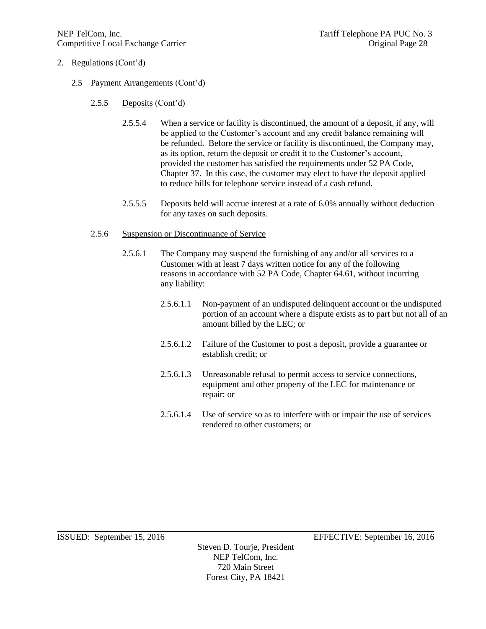- 2. Regulations (Cont'd)
	- 2.5 Payment Arrangements (Cont'd)
		- 2.5.5 Deposits (Cont'd)
			- 2.5.5.4 When a service or facility is discontinued, the amount of a deposit, if any, will be applied to the Customer's account and any credit balance remaining will be refunded. Before the service or facility is discontinued, the Company may, as its option, return the deposit or credit it to the Customer's account, provided the customer has satisfied the requirements under 52 PA Code, Chapter 37. In this case, the customer may elect to have the deposit applied to reduce bills for telephone service instead of a cash refund.
			- 2.5.5.5 Deposits held will accrue interest at a rate of 6.0% annually without deduction for any taxes on such deposits.

# 2.5.6 Suspension or Discontinuance of Service

- 2.5.6.1 The Company may suspend the furnishing of any and/or all services to a Customer with at least 7 days written notice for any of the following reasons in accordance with 52 PA Code, Chapter 64.61, without incurring any liability:
	- 2.5.6.1.1 Non-payment of an undisputed delinquent account or the undisputed portion of an account where a dispute exists as to part but not all of an amount billed by the LEC; or
	- 2.5.6.1.2 Failure of the Customer to post a deposit, provide a guarantee or establish credit; or
	- 2.5.6.1.3 Unreasonable refusal to permit access to service connections, equipment and other property of the LEC for maintenance or repair; or
	- 2.5.6.1.4 Use of service so as to interfere with or impair the use of services rendered to other customers; or

Steven D. Tourje, President NEP TelCom, Inc. 720 Main Street Forest City, PA 18421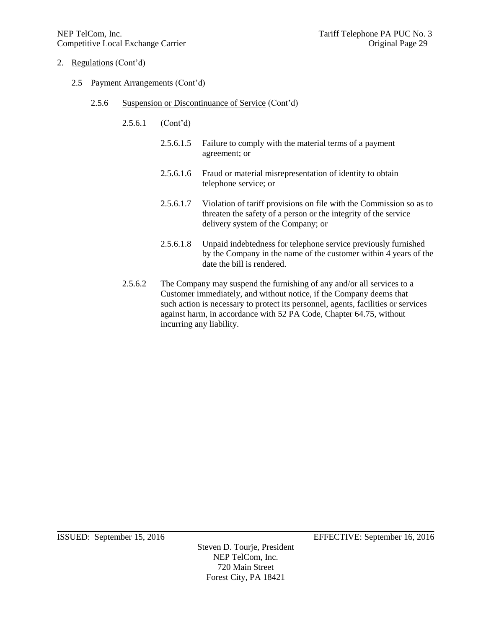#### NEP TelCom, Inc. Tariff Telephone PA PUC No. 3 Competitive Local Exchange Carrier **Competitive Local Exchange Carrier** Competitive Local Exchange Carrier

#### 2. Regulations (Cont'd)

- 2.5 Payment Arrangements (Cont'd)
	- 2.5.6 Suspension or Discontinuance of Service (Cont'd)
		- 2.5.6.1 (Cont'd)
			- 2.5.6.1.5 Failure to comply with the material terms of a payment agreement; or
			- 2.5.6.1.6 Fraud or material misrepresentation of identity to obtain telephone service; or
			- 2.5.6.1.7 Violation of tariff provisions on file with the Commission so as to threaten the safety of a person or the integrity of the service delivery system of the Company; or
			- 2.5.6.1.8 Unpaid indebtedness for telephone service previously furnished by the Company in the name of the customer within 4 years of the date the bill is rendered.
		- 2.5.6.2 The Company may suspend the furnishing of any and/or all services to a Customer immediately, and without notice, if the Company deems that such action is necessary to protect its personnel, agents, facilities or services against harm, in accordance with 52 PA Code, Chapter 64.75, without incurring any liability.

Steven D. Tourje, President NEP TelCom, Inc. 720 Main Street Forest City, PA 18421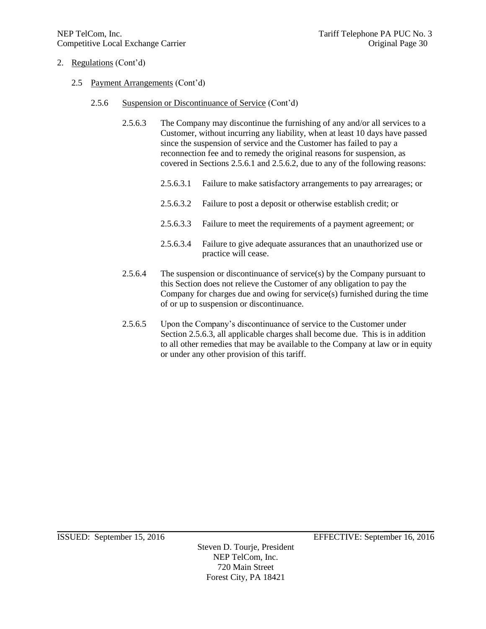- 2.5 Payment Arrangements (Cont'd)
	- 2.5.6 Suspension or Discontinuance of Service (Cont'd)
		- 2.5.6.3 The Company may discontinue the furnishing of any and/or all services to a Customer, without incurring any liability, when at least 10 days have passed since the suspension of service and the Customer has failed to pay a reconnection fee and to remedy the original reasons for suspension, as covered in Sections 2.5.6.1 and 2.5.6.2, due to any of the following reasons:
			- 2.5.6.3.1 Failure to make satisfactory arrangements to pay arrearages; or
			- 2.5.6.3.2 Failure to post a deposit or otherwise establish credit; or
			- 2.5.6.3.3 Failure to meet the requirements of a payment agreement; or
			- 2.5.6.3.4 Failure to give adequate assurances that an unauthorized use or practice will cease.
		- 2.5.6.4 The suspension or discontinuance of service(s) by the Company pursuant to this Section does not relieve the Customer of any obligation to pay the Company for charges due and owing for service(s) furnished during the time of or up to suspension or discontinuance.
		- 2.5.6.5 Upon the Company's discontinuance of service to the Customer under Section 2.5.6.3, all applicable charges shall become due. This is in addition to all other remedies that may be available to the Company at law or in equity or under any other provision of this tariff.

Steven D. Tourje, President NEP TelCom, Inc. 720 Main Street Forest City, PA 18421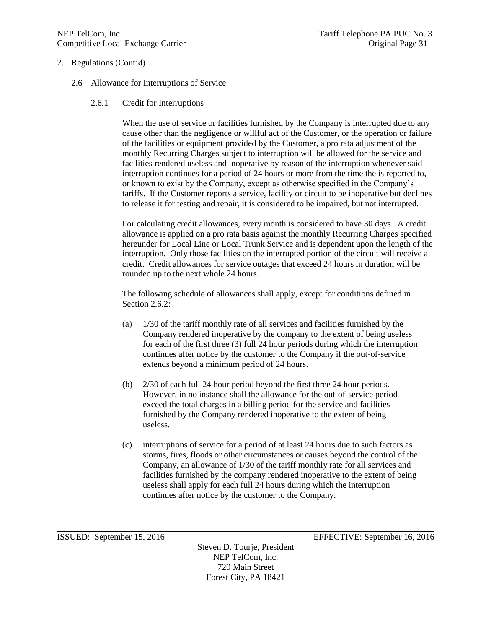### 2.6 Allowance for Interruptions of Service

### 2.6.1 Credit for Interruptions

When the use of service or facilities furnished by the Company is interrupted due to any cause other than the negligence or willful act of the Customer, or the operation or failure of the facilities or equipment provided by the Customer, a pro rata adjustment of the monthly Recurring Charges subject to interruption will be allowed for the service and facilities rendered useless and inoperative by reason of the interruption whenever said interruption continues for a period of 24 hours or more from the time the is reported to, or known to exist by the Company, except as otherwise specified in the Company's tariffs. If the Customer reports a service, facility or circuit to be inoperative but declines to release it for testing and repair, it is considered to be impaired, but not interrupted.

For calculating credit allowances, every month is considered to have 30 days. A credit allowance is applied on a pro rata basis against the monthly Recurring Charges specified hereunder for Local Line or Local Trunk Service and is dependent upon the length of the interruption. Only those facilities on the interrupted portion of the circuit will receive a credit. Credit allowances for service outages that exceed 24 hours in duration will be rounded up to the next whole 24 hours.

The following schedule of allowances shall apply, except for conditions defined in Section 2.6.2:

- (a) 1/30 of the tariff monthly rate of all services and facilities furnished by the Company rendered inoperative by the company to the extent of being useless for each of the first three (3) full 24 hour periods during which the interruption continues after notice by the customer to the Company if the out-of-service extends beyond a minimum period of 24 hours.
- (b) 2/30 of each full 24 hour period beyond the first three 24 hour periods. However, in no instance shall the allowance for the out-of-service period exceed the total charges in a billing period for the service and facilities furnished by the Company rendered inoperative to the extent of being useless.
- (c) interruptions of service for a period of at least 24 hours due to such factors as storms, fires, floods or other circumstances or causes beyond the control of the Company, an allowance of 1/30 of the tariff monthly rate for all services and facilities furnished by the company rendered inoperative to the extent of being useless shall apply for each full 24 hours during which the interruption continues after notice by the customer to the Company.

ISSUED: September 15, 2016 EFFECTIVE: September 16, 2016

Steven D. Tourje, President NEP TelCom, Inc. 720 Main Street Forest City, PA 18421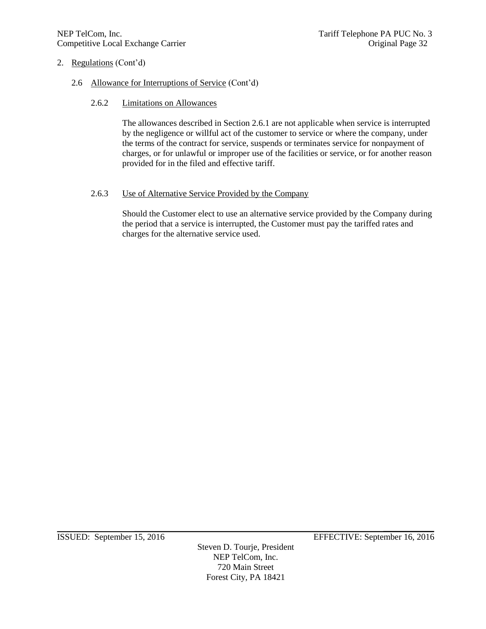# 2.6 Allowance for Interruptions of Service (Cont'd)

# 2.6.2 Limitations on Allowances

The allowances described in Section 2.6.1 are not applicable when service is interrupted by the negligence or willful act of the customer to service or where the company, under the terms of the contract for service, suspends or terminates service for nonpayment of charges, or for unlawful or improper use of the facilities or service, or for another reason provided for in the filed and effective tariff.

# 2.6.3 Use of Alternative Service Provided by the Company

Should the Customer elect to use an alternative service provided by the Company during the period that a service is interrupted, the Customer must pay the tariffed rates and charges for the alternative service used.

Steven D. Tourje, President NEP TelCom, Inc. 720 Main Street Forest City, PA 18421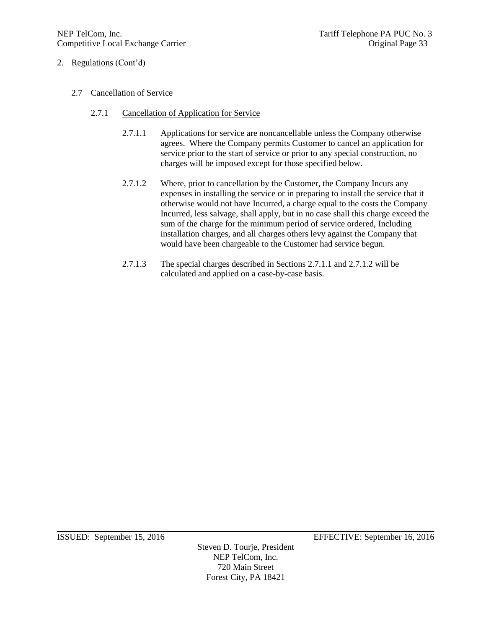# 2.7 Cancellation of Service

- 2.7.1 Cancellation of Application for Service
	- 2.7.1.1 Applications for service are noncancellable unless the Company otherwise agrees. Where the Company permits Customer to cancel an application for service prior to the start of service or prior to any special construction, no charges will be imposed except for those specified below.
	- 2.7.1.2 Where, prior to cancellation by the Customer, the Company Incurs any expenses in installing the service or in preparing to install the service that it otherwise would not have Incurred, a charge equal to the costs the Company Incurred, less salvage, shall apply, but in no case shall this charge exceed the sum of the charge for the minimum period of service ordered, Including installation charges, and all charges others levy against the Company that would have been chargeable to the Customer had service begun.
	- 2.7.1.3 The special charges described in Sections 2.7.1.1 and 2.7.1.2 will be calculated and applied on a case-by-case basis.

Steven D. Tourje, President NEP TelCom, Inc. 720 Main Street Forest City, PA 18421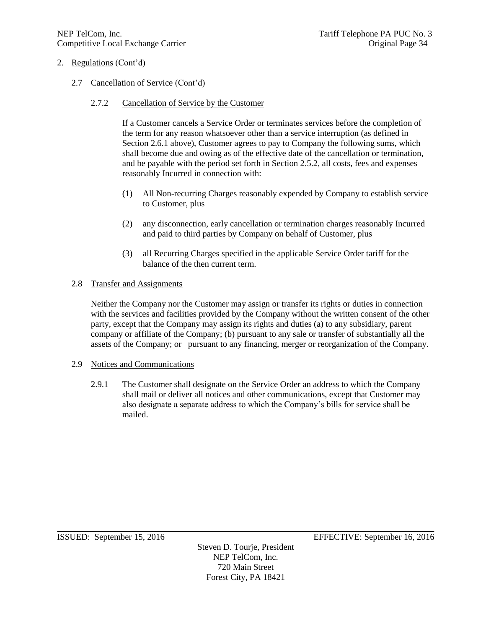# 2.7 Cancellation of Service (Cont'd)

2.7.2 Cancellation of Service by the Customer

If a Customer cancels a Service Order or terminates services before the completion of the term for any reason whatsoever other than a service interruption (as defined in Section 2.6.1 above), Customer agrees to pay to Company the following sums, which shall become due and owing as of the effective date of the cancellation or termination, and be payable with the period set forth in Section 2.5.2, all costs, fees and expenses reasonably Incurred in connection with:

- (1) All Non-recurring Charges reasonably expended by Company to establish service to Customer, plus
- (2) any disconnection, early cancellation or termination charges reasonably Incurred and paid to third parties by Company on behalf of Customer, plus
- (3) all Recurring Charges specified in the applicable Service Order tariff for the balance of the then current term.

# 2.8 Transfer and Assignments

Neither the Company nor the Customer may assign or transfer its rights or duties in connection with the services and facilities provided by the Company without the written consent of the other party, except that the Company may assign its rights and duties (a) to any subsidiary, parent company or affiliate of the Company; (b) pursuant to any sale or transfer of substantially all the assets of the Company; or pursuant to any financing, merger or reorganization of the Company.

### 2.9 Notices and Communications

2.9.1 The Customer shall designate on the Service Order an address to which the Company shall mail or deliver all notices and other communications, except that Customer may also designate a separate address to which the Company's bills for service shall be mailed.

Steven D. Tourje, President NEP TelCom, Inc. 720 Main Street Forest City, PA 18421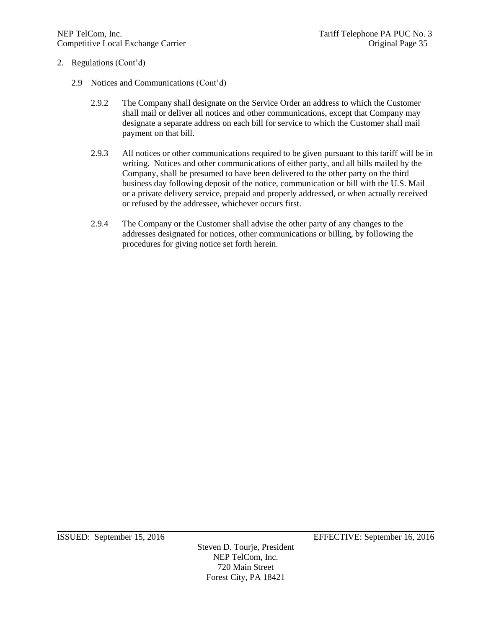- 2.9 Notices and Communications (Cont'd)
	- 2.9.2 The Company shall designate on the Service Order an address to which the Customer shall mail or deliver all notices and other communications, except that Company may designate a separate address on each bill for service to which the Customer shall mail payment on that bill.
	- 2.9.3 All notices or other communications required to be given pursuant to this tariff will be in writing. Notices and other communications of either party, and all bills mailed by the Company, shall be presumed to have been delivered to the other party on the third business day following deposit of the notice, communication or bill with the U.S. Mail or a private delivery service, prepaid and properly addressed, or when actually received or refused by the addressee, whichever occurs first.
	- 2.9.4 The Company or the Customer shall advise the other party of any changes to the addresses designated for notices, other communications or billing, by following the procedures for giving notice set forth herein.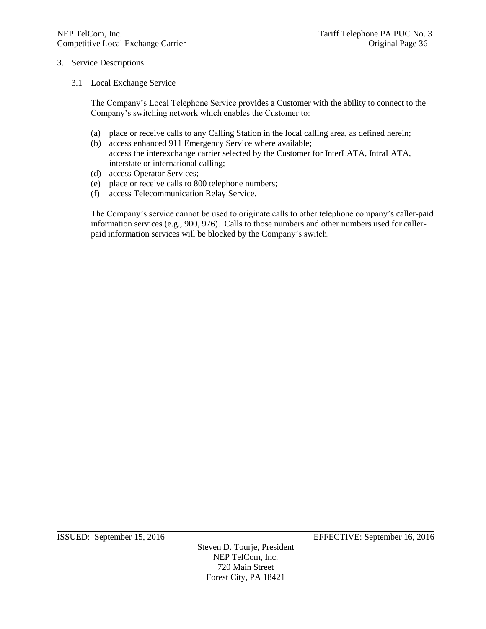#### 3. Service Descriptions

#### 3.1 Local Exchange Service

The Company's Local Telephone Service provides a Customer with the ability to connect to the Company's switching network which enables the Customer to:

- (a) place or receive calls to any Calling Station in the local calling area, as defined herein;
- (b) access enhanced 911 Emergency Service where available; access the interexchange carrier selected by the Customer for InterLATA, IntraLATA, interstate or international calling;
- (d) access Operator Services;
- (e) place or receive calls to 800 telephone numbers;
- (f) access Telecommunication Relay Service.

The Company's service cannot be used to originate calls to other telephone company's caller-paid information services (e.g., 900, 976). Calls to those numbers and other numbers used for callerpaid information services will be blocked by the Company's switch.

Steven D. Tourje, President NEP TelCom, Inc. 720 Main Street Forest City, PA 18421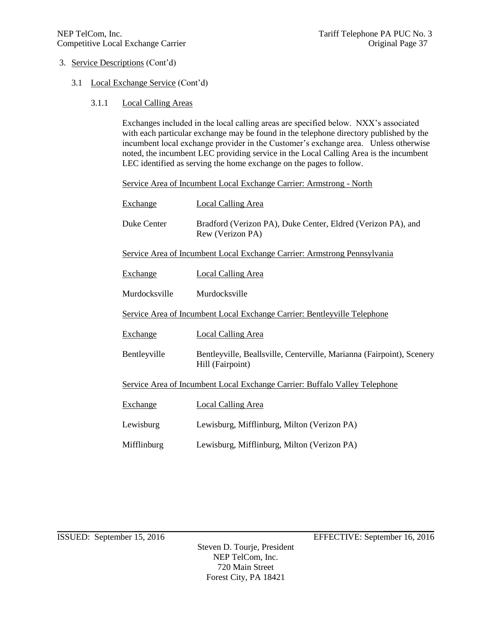### 3.1 Local Exchange Service (Cont'd)

3.1.1 Local Calling Areas

Exchanges included in the local calling areas are specified below. NXX's associated with each particular exchange may be found in the telephone directory published by the incumbent local exchange provider in the Customer's exchange area. Unless otherwise noted, the incumbent LEC providing service in the Local Calling Area is the incumbent LEC identified as serving the home exchange on the pages to follow.

Service Area of Incumbent Local Exchange Carrier: Armstrong - North

| <b>Exchange</b>                                                            | <b>Local Calling Area</b>                                                                 |  |
|----------------------------------------------------------------------------|-------------------------------------------------------------------------------------------|--|
| Duke Center                                                                | Bradford (Verizon PA), Duke Center, Eldred (Verizon PA), and<br>Rew (Verizon PA)          |  |
|                                                                            | Service Area of Incumbent Local Exchange Carrier: Armstrong Pennsylvania                  |  |
| <b>Exchange</b>                                                            | <b>Local Calling Area</b>                                                                 |  |
| Murdocksville                                                              | Murdocksville                                                                             |  |
| Service Area of Incumbent Local Exchange Carrier: Bentleyville Telephone   |                                                                                           |  |
| <u>Exchange</u>                                                            | <b>Local Calling Area</b>                                                                 |  |
| Bentleyville                                                               | Bentleyville, Beallsville, Centerville, Marianna (Fairpoint), Scenery<br>Hill (Fairpoint) |  |
| Service Area of Incumbent Local Exchange Carrier: Buffalo Valley Telephone |                                                                                           |  |
| <b>Exchange</b>                                                            | <b>Local Calling Area</b>                                                                 |  |
| Lewisburg                                                                  | Lewisburg, Mifflinburg, Milton (Verizon PA)                                               |  |
| Mifflinburg                                                                | Lewisburg, Mifflinburg, Milton (Verizon PA)                                               |  |

Steven D. Tourje, President NEP TelCom, Inc. 720 Main Street Forest City, PA 18421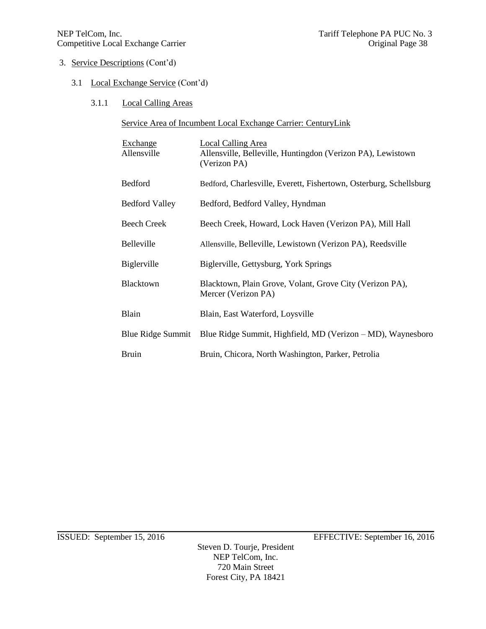### 3.1 Local Exchange Service (Cont'd)

3.1.1 Local Calling Areas

Service Area of Incumbent Local Exchange Carrier: CenturyLink

| <b>Exchange</b><br>Allensville | <b>Local Calling Area</b><br>Allensville, Belleville, Huntingdon (Verizon PA), Lewistown<br>(Verizon PA) |
|--------------------------------|----------------------------------------------------------------------------------------------------------|
| Bedford                        | Bedford, Charlesville, Everett, Fishertown, Osterburg, Schellsburg                                       |
| <b>Bedford Valley</b>          | Bedford, Bedford Valley, Hyndman                                                                         |
| <b>Beech Creek</b>             | Beech Creek, Howard, Lock Haven (Verizon PA), Mill Hall                                                  |
| Belleville                     | Allensville, Belleville, Lewistown (Verizon PA), Reedsville                                              |
| Biglerville                    | Biglerville, Gettysburg, York Springs                                                                    |
| Blacktown                      | Blacktown, Plain Grove, Volant, Grove City (Verizon PA),<br>Mercer (Verizon PA)                          |
| Blain                          | Blain, East Waterford, Loysville                                                                         |
| Blue Ridge Summit              | Blue Ridge Summit, Highfield, MD (Verizon – MD), Waynesboro                                              |
| <b>Bruin</b>                   | Bruin, Chicora, North Washington, Parker, Petrolia                                                       |

Steven D. Tourje, President NEP TelCom, Inc. 720 Main Street Forest City, PA 18421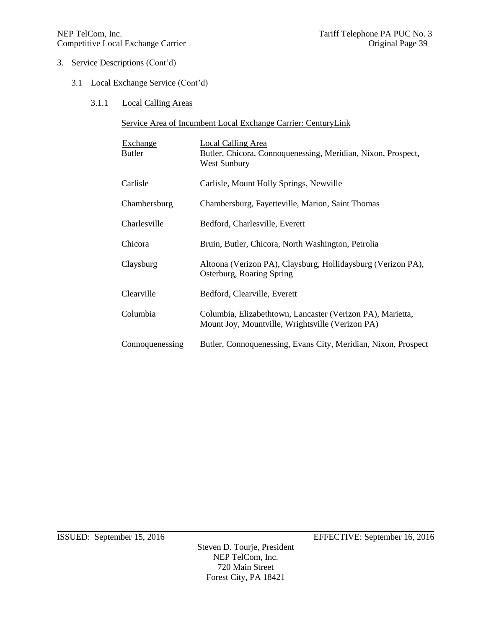#### NEP TelCom, Inc. Tariff Telephone PA PUC No. 3 Competitive Local Exchange Carrier Competitive Local Exchange Carrier Competitive Local Exchange Carrier Competitive Local Exchange Carrier Competitive Local Exchange Carrier Competitive Local Exchange Carrier Competitive

# 3. Service Descriptions (Cont'd)

### 3.1 Local Exchange Service (Cont'd)

3.1.1 Local Calling Areas

Service Area of Incumbent Local Exchange Carrier: CenturyLink

| <b>Exchange</b><br><b>Butler</b> | <b>Local Calling Area</b><br>Butler, Chicora, Connoquenessing, Meridian, Nixon, Prospect,<br><b>West Sunbury</b> |
|----------------------------------|------------------------------------------------------------------------------------------------------------------|
| Carlisle                         | Carlisle, Mount Holly Springs, Newville                                                                          |
| Chambersburg                     | Chambersburg, Fayetteville, Marion, Saint Thomas                                                                 |
| Charlesville                     | Bedford, Charlesville, Everett                                                                                   |
| Chicora                          | Bruin, Butler, Chicora, North Washington, Petrolia                                                               |
| Claysburg                        | Altoona (Verizon PA), Claysburg, Hollidaysburg (Verizon PA),<br>Osterburg, Roaring Spring                        |
| Clearville                       | Bedford, Clearville, Everett                                                                                     |
| Columbia                         | Columbia, Elizabethtown, Lancaster (Verizon PA), Marietta,<br>Mount Joy, Mountville, Wrightsville (Verizon PA)   |
| Connoquenessing                  | Butler, Connoquenessing, Evans City, Meridian, Nixon, Prospect                                                   |

Steven D. Tourje, President NEP TelCom, Inc. 720 Main Street Forest City, PA 18421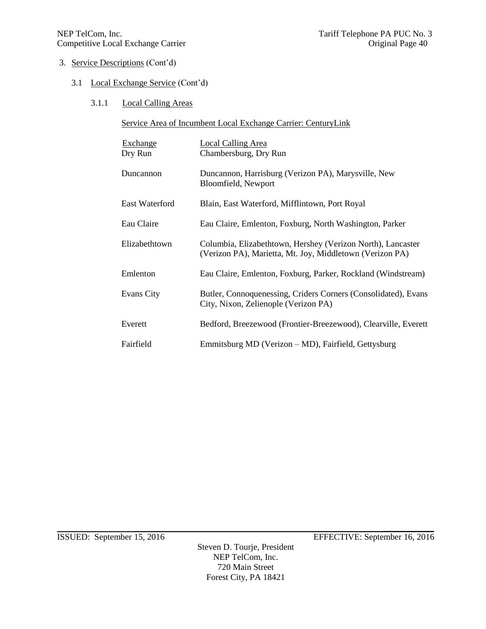### 3.1 Local Exchange Service (Cont'd)

3.1.1 Local Calling Areas

Service Area of Incumbent Local Exchange Carrier: CenturyLink

| <b>Exchange</b><br>Dry Run | <b>Local Calling Area</b><br>Chambersburg, Dry Run                                                                      |
|----------------------------|-------------------------------------------------------------------------------------------------------------------------|
| Duncannon                  | Duncannon, Harrisburg (Verizon PA), Marysville, New<br>Bloomfield, Newport                                              |
| East Waterford             | Blain, East Waterford, Mifflintown, Port Royal                                                                          |
| Eau Claire                 | Eau Claire, Emlenton, Foxburg, North Washington, Parker                                                                 |
| Elizabethtown              | Columbia, Elizabethtown, Hershey (Verizon North), Lancaster<br>(Verizon PA), Marietta, Mt. Joy, Middletown (Verizon PA) |
| Emlenton                   | Eau Claire, Emlenton, Foxburg, Parker, Rockland (Windstream)                                                            |
| <b>Evans City</b>          | Butler, Connoquenessing, Criders Corners (Consolidated), Evans<br>City, Nixon, Zelienople (Verizon PA)                  |
| Everett                    | Bedford, Breezewood (Frontier-Breezewood), Clearville, Everett                                                          |
| Fairfield                  | Emmitsburg MD (Verizon – MD), Fairfield, Gettysburg                                                                     |

Steven D. Tourje, President NEP TelCom, Inc. 720 Main Street Forest City, PA 18421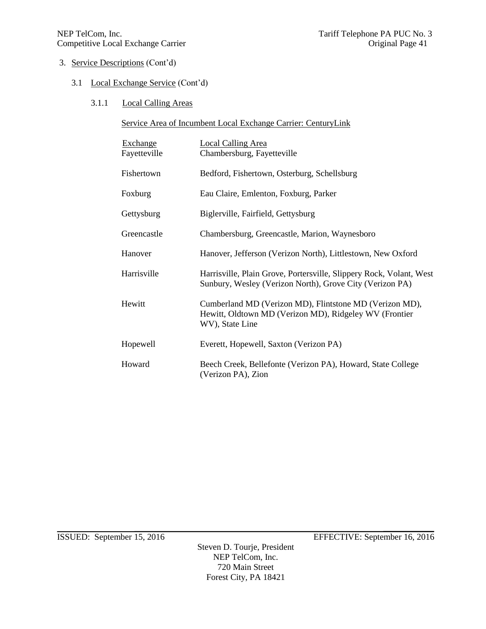#### NEP TelCom, Inc.<br>
Competitive Local Exchange Carrier<br>
Competitive Local Exchange Carrier<br>
Competitive Local Exchange Carrier<br>
Competitive Local Exchange Carrier<br>
Competitive Local Exchange Carrier<br>
Competitive Local Exchan Competitive Local Exchange Carrier

# 3. Service Descriptions (Cont'd)

### 3.1 Local Exchange Service (Cont'd)

3.1.1 Local Calling Areas

Service Area of Incumbent Local Exchange Carrier: CenturyLink

| <b>Exchange</b><br>Fayetteville | <b>Local Calling Area</b><br>Chambersburg, Fayetteville                                                                              |
|---------------------------------|--------------------------------------------------------------------------------------------------------------------------------------|
| Fishertown                      | Bedford, Fishertown, Osterburg, Schellsburg                                                                                          |
| Foxburg                         | Eau Claire, Emlenton, Foxburg, Parker                                                                                                |
| Gettysburg                      | Biglerville, Fairfield, Gettysburg                                                                                                   |
| Greencastle                     | Chambersburg, Greencastle, Marion, Waynesboro                                                                                        |
| Hanover                         | Hanover, Jefferson (Verizon North), Littlestown, New Oxford                                                                          |
| Harrisville                     | Harrisville, Plain Grove, Portersville, Slippery Rock, Volant, West<br>Sunbury, Wesley (Verizon North), Grove City (Verizon PA)      |
| Hewitt                          | Cumberland MD (Verizon MD), Flintstone MD (Verizon MD),<br>Hewitt, Oldtown MD (Verizon MD), Ridgeley WV (Frontier<br>WV), State Line |
| Hopewell                        | Everett, Hopewell, Saxton (Verizon PA)                                                                                               |
| Howard                          | Beech Creek, Bellefonte (Verizon PA), Howard, State College<br>(Verizon PA), Zion                                                    |

Steven D. Tourje, President NEP TelCom, Inc. 720 Main Street Forest City, PA 18421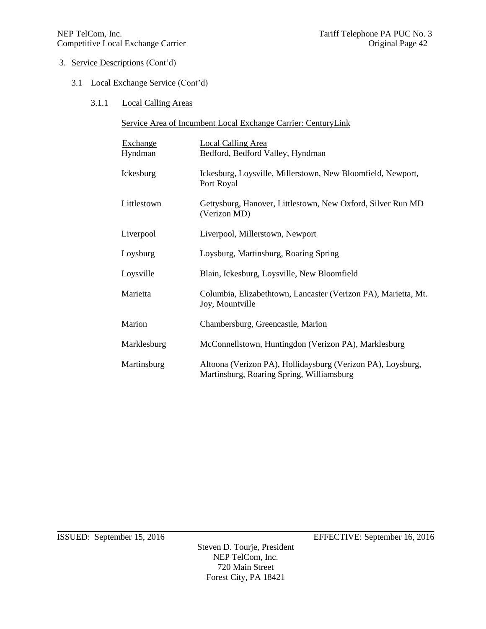### 3.1 Local Exchange Service (Cont'd)

3.1.1 Local Calling Areas

Service Area of Incumbent Local Exchange Carrier: CenturyLink

| <b>Exchange</b><br>Hyndman | <b>Local Calling Area</b><br>Bedford, Bedford Valley, Hyndman                                            |
|----------------------------|----------------------------------------------------------------------------------------------------------|
| Ickesburg                  | Ickesburg, Loysville, Millerstown, New Bloomfield, Newport,<br>Port Royal                                |
| Littlestown                | Gettysburg, Hanover, Littlestown, New Oxford, Silver Run MD<br>(Verizon MD)                              |
| Liverpool                  | Liverpool, Millerstown, Newport                                                                          |
| Loysburg                   | Loysburg, Martinsburg, Roaring Spring                                                                    |
| Loysville                  | Blain, Ickesburg, Loysville, New Bloomfield                                                              |
| Marietta                   | Columbia, Elizabethtown, Lancaster (Verizon PA), Marietta, Mt.<br>Joy, Mountville                        |
| Marion                     | Chambersburg, Greencastle, Marion                                                                        |
| Marklesburg                | McConnellstown, Huntingdon (Verizon PA), Marklesburg                                                     |
| Martinsburg                | Altoona (Verizon PA), Hollidaysburg (Verizon PA), Loysburg,<br>Martinsburg, Roaring Spring, Williamsburg |

Steven D. Tourje, President NEP TelCom, Inc. 720 Main Street Forest City, PA 18421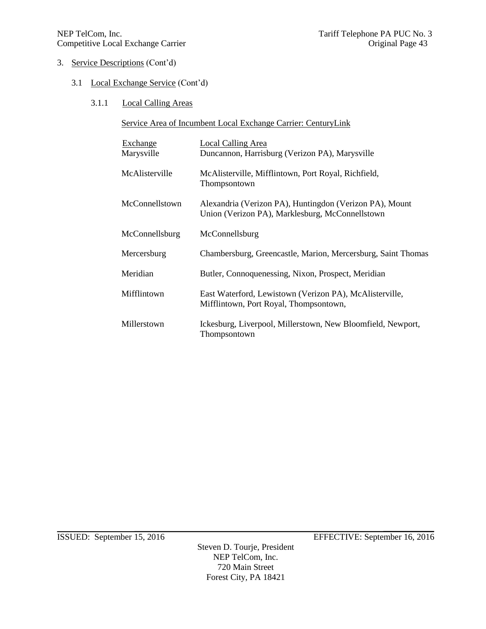### 3.1 Local Exchange Service (Cont'd)

3.1.1 Local Calling Areas

Service Area of Incumbent Local Exchange Carrier: CenturyLink

| <b>Exchange</b><br>Marysville | <b>Local Calling Area</b><br>Duncannon, Harrisburg (Verizon PA), Marysville                                |
|-------------------------------|------------------------------------------------------------------------------------------------------------|
| McAlisterville                | McAlisterville, Mifflintown, Port Royal, Richfield,<br>Thompsontown                                        |
| McConnellstown                | Alexandria (Verizon PA), Huntingdon (Verizon PA), Mount<br>Union (Verizon PA), Marklesburg, McConnellstown |
| McConnellsburg                | McConnellsburg                                                                                             |
| Mercersburg                   | Chambersburg, Greencastle, Marion, Mercersburg, Saint Thomas                                               |
| Meridian                      | Butler, Connoquenessing, Nixon, Prospect, Meridian                                                         |
| Mifflintown                   | East Waterford, Lewistown (Verizon PA), McAlisterville,<br>Mifflintown, Port Royal, Thompsontown,          |
| Millerstown                   | Ickesburg, Liverpool, Millerstown, New Bloomfield, Newport,<br>Thompsontown                                |

Steven D. Tourje, President NEP TelCom, Inc. 720 Main Street Forest City, PA 18421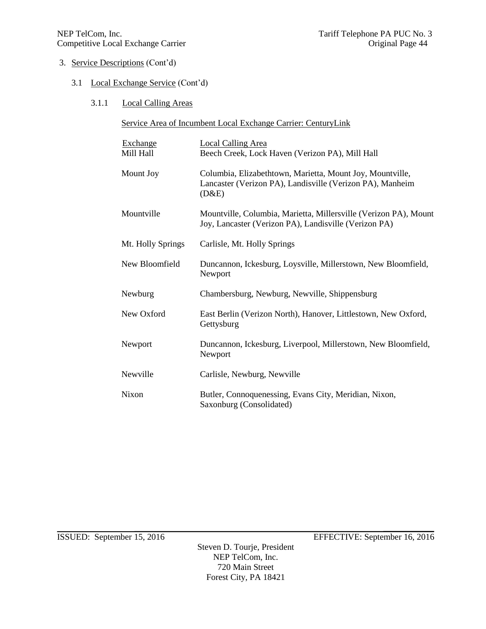### 3.1 Local Exchange Service (Cont'd)

3.1.1 Local Calling Areas

Service Area of Incumbent Local Exchange Carrier: CenturyLink

| Exchange<br>Mill Hall | <b>Local Calling Area</b><br>Beech Creek, Lock Haven (Verizon PA), Mill Hall                                                    |
|-----------------------|---------------------------------------------------------------------------------------------------------------------------------|
| Mount Joy             | Columbia, Elizabethtown, Marietta, Mount Joy, Mountville,<br>Lancaster (Verizon PA), Landisville (Verizon PA), Manheim<br>(D&E) |
| Mountville            | Mountville, Columbia, Marietta, Millersville (Verizon PA), Mount<br>Joy, Lancaster (Verizon PA), Landisville (Verizon PA)       |
| Mt. Holly Springs     | Carlisle, Mt. Holly Springs                                                                                                     |
| New Bloomfield        | Duncannon, Ickesburg, Loysville, Millerstown, New Bloomfield,<br>Newport                                                        |
| Newburg               | Chambersburg, Newburg, Newville, Shippensburg                                                                                   |
| New Oxford            | East Berlin (Verizon North), Hanover, Littlestown, New Oxford,<br>Gettysburg                                                    |
| Newport               | Duncannon, Ickesburg, Liverpool, Millerstown, New Bloomfield,<br>Newport                                                        |
| Newville              | Carlisle, Newburg, Newville                                                                                                     |
| Nixon                 | Butler, Connoquenessing, Evans City, Meridian, Nixon,<br>Saxonburg (Consolidated)                                               |

Steven D. Tourje, President NEP TelCom, Inc. 720 Main Street Forest City, PA 18421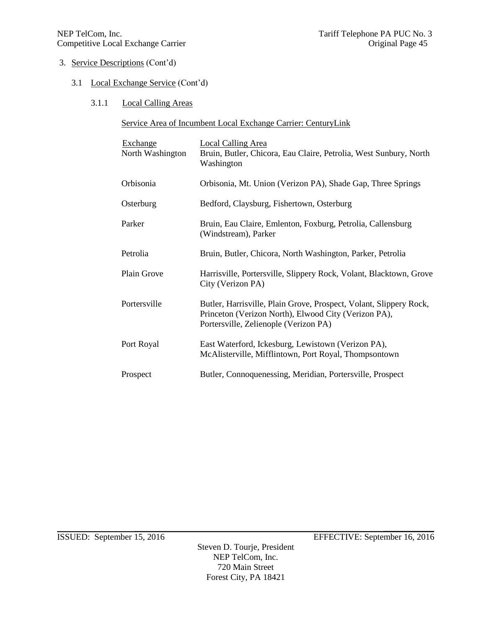#### NEP TelCom, Inc.<br>
Competitive Local Exchange Carrier<br>
Competitive Local Exchange Carrier<br>
Competitive Local Exchange Carrier<br>
Competitive Local Exchange Carrier<br>
Competitive Local Exchange Carrier<br>
Competitive Local Exchan Competitive Local Exchange Carrier

# 3. Service Descriptions (Cont'd)

### 3.1 Local Exchange Service (Cont'd)

3.1.1 Local Calling Areas

Service Area of Incumbent Local Exchange Carrier: CenturyLink

| <b>Exchange</b><br>North Washington | <b>Local Calling Area</b><br>Bruin, Butler, Chicora, Eau Claire, Petrolia, West Sunbury, North<br>Washington                                                        |
|-------------------------------------|---------------------------------------------------------------------------------------------------------------------------------------------------------------------|
| Orbisonia                           | Orbisonia, Mt. Union (Verizon PA), Shade Gap, Three Springs                                                                                                         |
| Osterburg                           | Bedford, Claysburg, Fishertown, Osterburg                                                                                                                           |
| Parker                              | Bruin, Eau Claire, Emlenton, Foxburg, Petrolia, Callensburg<br>(Windstream), Parker                                                                                 |
| Petrolia                            | Bruin, Butler, Chicora, North Washington, Parker, Petrolia                                                                                                          |
| Plain Grove                         | Harrisville, Portersville, Slippery Rock, Volant, Blacktown, Grove<br>City (Verizon PA)                                                                             |
| Portersville                        | Butler, Harrisville, Plain Grove, Prospect, Volant, Slippery Rock,<br>Princeton (Verizon North), Elwood City (Verizon PA),<br>Portersville, Zelienople (Verizon PA) |
| Port Royal                          | East Waterford, Ickesburg, Lewistown (Verizon PA),<br>McAlisterville, Mifflintown, Port Royal, Thompsontown                                                         |
| Prospect                            | Butler, Connoquenessing, Meridian, Portersville, Prospect                                                                                                           |

Steven D. Tourje, President NEP TelCom, Inc. 720 Main Street Forest City, PA 18421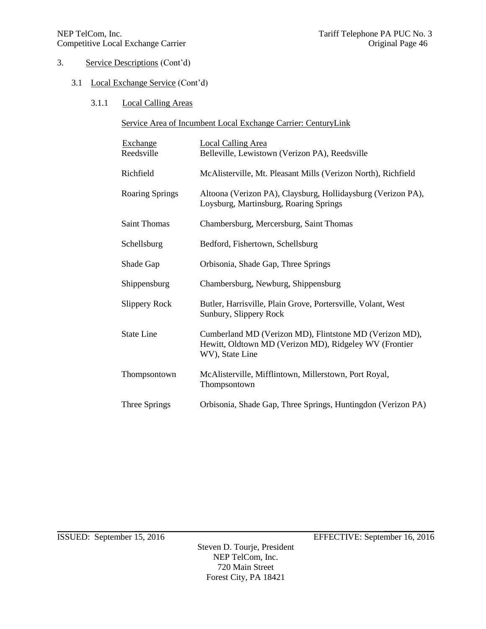### NEP TelCom, Inc.<br>
Competitive Local Exchange Carrier<br>
Competitive Local Exchange Carrier<br>
Competitive Local Exchange Carrier<br>
Competitive Local Exchange Carrier<br>
Competitive Local Exchange Carrier<br>
Competitive Local Exchan Competitive Local Exchange Carrier

# 3. Service Descriptions (Cont'd)

### 3.1 Local Exchange Service (Cont'd)

3.1.1 Local Calling Areas

Service Area of Incumbent Local Exchange Carrier: CenturyLink

| <b>Exchange</b><br>Reedsville | <b>Local Calling Area</b><br>Belleville, Lewistown (Verizon PA), Reedsville                                                          |
|-------------------------------|--------------------------------------------------------------------------------------------------------------------------------------|
| Richfield                     | McAlisterville, Mt. Pleasant Mills (Verizon North), Richfield                                                                        |
| <b>Roaring Springs</b>        | Altoona (Verizon PA), Claysburg, Hollidaysburg (Verizon PA),<br>Loysburg, Martinsburg, Roaring Springs                               |
| Saint Thomas                  | Chambersburg, Mercersburg, Saint Thomas                                                                                              |
| Schellsburg                   | Bedford, Fishertown, Schellsburg                                                                                                     |
| Shade Gap                     | Orbisonia, Shade Gap, Three Springs                                                                                                  |
| Shippensburg                  | Chambersburg, Newburg, Shippensburg                                                                                                  |
| <b>Slippery Rock</b>          | Butler, Harrisville, Plain Grove, Portersville, Volant, West<br>Sunbury, Slippery Rock                                               |
| <b>State Line</b>             | Cumberland MD (Verizon MD), Flintstone MD (Verizon MD),<br>Hewitt, Oldtown MD (Verizon MD), Ridgeley WV (Frontier<br>WV), State Line |
| Thompsontown                  | McAlisterville, Mifflintown, Millerstown, Port Royal,<br>Thompsontown                                                                |
| Three Springs                 | Orbisonia, Shade Gap, Three Springs, Huntingdon (Verizon PA)                                                                         |

Steven D. Tourje, President NEP TelCom, Inc. 720 Main Street Forest City, PA 18421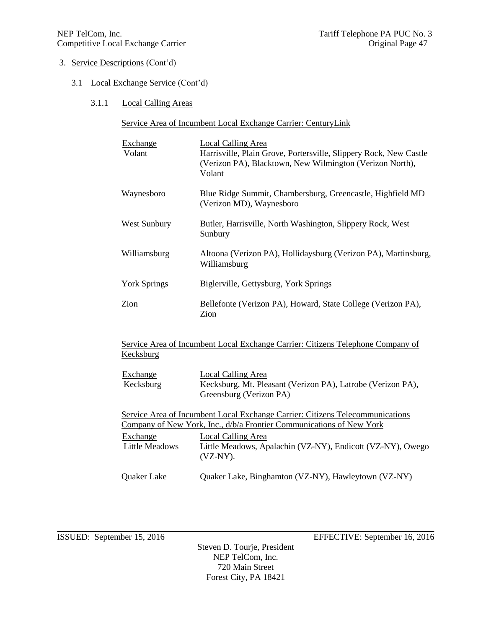### 3.1 Local Exchange Service (Cont'd)

3.1.1 Local Calling Areas

Service Area of Incumbent Local Exchange Carrier: CenturyLink

| <b>Exchange</b><br>Volant | <b>Local Calling Area</b><br>Harrisville, Plain Grove, Portersville, Slippery Rock, New Castle<br>(Verizon PA), Blacktown, New Wilmington (Verizon North),<br>Volant |
|---------------------------|----------------------------------------------------------------------------------------------------------------------------------------------------------------------|
| Waynesboro                | Blue Ridge Summit, Chambersburg, Greencastle, Highfield MD<br>(Verizon MD), Waynesboro                                                                               |
| <b>West Sunbury</b>       | Butler, Harrisville, North Washington, Slippery Rock, West<br>Sunbury                                                                                                |
| Williamsburg              | Altoona (Verizon PA), Hollidaysburg (Verizon PA), Martinsburg,<br>Williamsburg                                                                                       |
| <b>York Springs</b>       | Biglerville, Gettysburg, York Springs                                                                                                                                |
| Zion                      | Bellefonte (Verizon PA), Howard, State College (Verizon PA),<br>Zion                                                                                                 |
| <u>Kecksburg</u>          | Service Area of Incumbent Local Exchange Carrier: Citizens Telephone Company of                                                                                      |

| Exchange  | Local Calling Area                                          |
|-----------|-------------------------------------------------------------|
| Kecksburg | Kecksburg, Mt. Pleasant (Verizon PA), Latrobe (Verizon PA), |
|           | Greensburg (Verizon PA)                                     |
|           |                                                             |

Service Area of Incumbent Local Exchange Carrier: Citizens Telecommunications Company of New York, Inc., d/b/a Frontier Communications of New York

| Exchange<br>Little Meadows | Local Calling Area<br>Little Meadows, Apalachin (VZ-NY), Endicott (VZ-NY), Owego<br>$(VZ-NY)$ . |
|----------------------------|-------------------------------------------------------------------------------------------------|
| Quaker Lake                | Quaker Lake, Binghamton (VZ-NY), Hawleytown (VZ-NY)                                             |

Steven D. Tourje, President NEP TelCom, Inc. 720 Main Street Forest City, PA 18421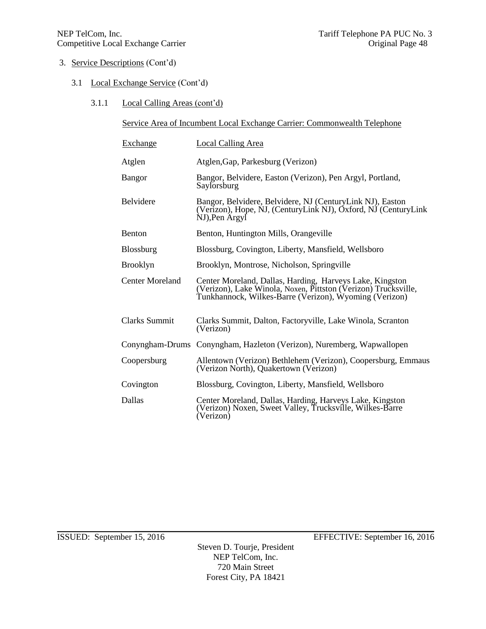### 3.1 Local Exchange Service (Cont'd)

3.1.1 Local Calling Areas (cont'd)

Service Area of Incumbent Local Exchange Carrier: Commonwealth Telephone

| <b>Exchange</b>      | Local Calling Area                                                                                                                                                                   |
|----------------------|--------------------------------------------------------------------------------------------------------------------------------------------------------------------------------------|
| Atglen               | Atglen, Gap, Parkesburg (Verizon)                                                                                                                                                    |
| Bangor               | Bangor, Belvidere, Easton (Verizon), Pen Argyl, Portland,<br>Saylorsburg                                                                                                             |
| Belvidere            | Bangor, Belvidere, Belvidere, NJ (CenturyLink NJ), Easton<br>(Verizon), Hope, NJ, (CenturyLink NJ), Oxford, NJ (CenturyLink)<br>NJ), Pen Argyl                                       |
| Benton               | Benton, Huntington Mills, Orangeville                                                                                                                                                |
| <b>Blossburg</b>     | Blossburg, Covington, Liberty, Mansfield, Wellsboro                                                                                                                                  |
| <b>Brooklyn</b>      | Brooklyn, Montrose, Nicholson, Springville                                                                                                                                           |
| Center Moreland      | Center Moreland, Dallas, Harding, Harveys Lake, Kingston<br>(Verizon), Lake Winola, Noxen, Pittston (Verizon) Trucksville,<br>Tunkhannock, Wilkes-Barre (Verizon), Wyoming (Verizon) |
| <b>Clarks Summit</b> | Clarks Summit, Dalton, Factoryville, Lake Winola, Scranton<br>(Verizon)                                                                                                              |
|                      | Conyngham-Drums Conyngham, Hazleton (Verizon), Nuremberg, Wapwallopen                                                                                                                |
| Coopersburg          | Allentown (Verizon) Bethlehem (Verizon), Coopersburg, Emmaus<br>(Verizon North), Quakertown (Verizon)                                                                                |
| Covington            | Blossburg, Covington, Liberty, Mansfield, Wellsboro                                                                                                                                  |
| Dallas               | Center Moreland, Dallas, Harding, Harveys Lake, Kingston<br>(Verizon) Noxen, Sweet Valley, Trucksville, Wilkes-Barre<br>(Verizon)                                                    |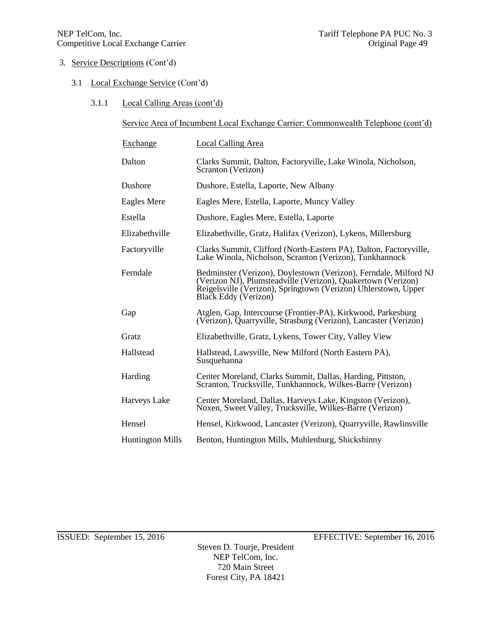### 3.1 Local Exchange Service (Cont'd)

3.1.1 Local Calling Areas (cont'd)

Service Area of Incumbent Local Exchange Carrier: Commonwealth Telephone (cont'd)

| Exchange                | <b>Local Calling Area</b>                                                                                                                                                                                                  |
|-------------------------|----------------------------------------------------------------------------------------------------------------------------------------------------------------------------------------------------------------------------|
| Dalton                  | Clarks Summit, Dalton, Factoryville, Lake Winola, Nicholson,<br>Scranton (Verizon)                                                                                                                                         |
| Dushore                 | Dushore, Estella, Laporte, New Albany                                                                                                                                                                                      |
| <b>Eagles Mere</b>      | Eagles Mere, Estella, Laporte, Muncy Valley                                                                                                                                                                                |
| Estella                 | Dushore, Eagles Mere, Estella, Laporte                                                                                                                                                                                     |
| Elizabethville          | Elizabethville, Gratz, Halifax (Verizon), Lykens, Millersburg                                                                                                                                                              |
| Factoryville            | Clarks Summit, Clifford (North-Eastern PA), Dalton, Factoryville,<br>Lake Winola, Nicholson, Scranton (Verizon), Tunkhannock                                                                                               |
| Ferndale                | Bedminster (Verizon), Doylestown (Verizon), Ferndale, Milford NJ<br>(Verizon NJ), Plumsteadville (Verizon), Quakertown (Verizon)<br>Reigelsville (Verizon), Springtown (Verizon) Uhlerstown, Upper<br>Black Eddy (Verizon) |
| Gap                     | Atglen, Gap, Intercourse (Frontier-PA), Kirkwood, Parkesburg<br>(Verizon), Quarryville, Strasburg (Verizon), Lancaster (Verizon)                                                                                           |
| Gratz                   | Elizabethville, Gratz, Lykens, Tower City, Valley View                                                                                                                                                                     |
| Hallstead               | Hallstead, Lawsville, New Milford (North Eastern PA),<br>Susquehanna                                                                                                                                                       |
| Harding                 | Center Moreland, Clarks Summit, Dallas, Harding, Pittston,<br>Scranton, Trucksville, Tunkhannock, Wilkes-Barre (Verizon)                                                                                                   |
| Harveys Lake            | Center Moreland, Dallas, Harveys Lake, Kingston (Verizon),<br>Noxen, Sweet Valley, Trucksville, Wilkes-Barre (Verizon)                                                                                                     |
| Hensel                  | Hensel, Kirkwood, Lancaster (Verizon), Quarryville, Rawlinsville                                                                                                                                                           |
| <b>Huntington Mills</b> | Benton, Huntington Mills, Muhlenburg, Shickshinny                                                                                                                                                                          |

Steven D. Tourje, President NEP TelCom, Inc. 720 Main Street Forest City, PA 18421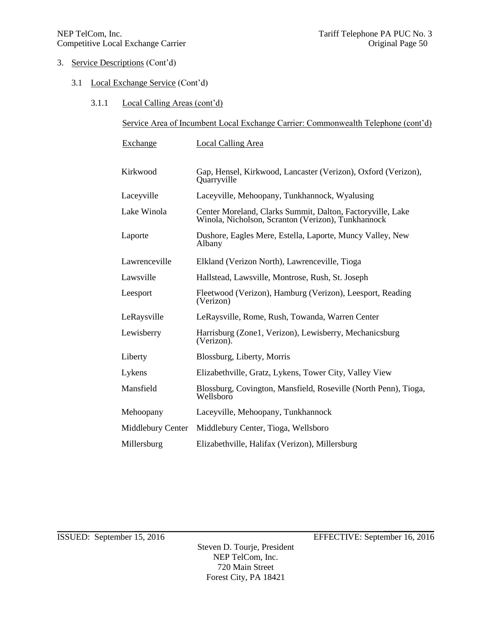# 3. Service Descriptions (Cont'd)

### 3.1 Local Exchange Service (Cont'd)

3.1.1 Local Calling Areas (cont'd)

Service Area of Incumbent Local Exchange Carrier: Commonwealth Telephone (cont'd)

| <b>Exchange</b>   | <b>Local Calling Area</b>                                                                                        |
|-------------------|------------------------------------------------------------------------------------------------------------------|
| Kirkwood          | Gap, Hensel, Kirkwood, Lancaster (Verizon), Oxford (Verizon),<br>Quarryville                                     |
| Laceyville        | Laceyville, Mehoopany, Tunkhannock, Wyalusing                                                                    |
| Lake Winola       | Center Moreland, Clarks Summit, Dalton, Factoryville, Lake<br>Winola, Nicholson, Scranton (Verizon), Tunkhannock |
| Laporte           | Dushore, Eagles Mere, Estella, Laporte, Muncy Valley, New<br>Albany                                              |
| Lawrenceville     | Elkland (Verizon North), Lawrenceville, Tioga                                                                    |
| Lawsville         | Hallstead, Lawsville, Montrose, Rush, St. Joseph                                                                 |
| Leesport          | Fleetwood (Verizon), Hamburg (Verizon), Leesport, Reading<br>(Verizon)                                           |
| LeRaysville       | LeRaysville, Rome, Rush, Towanda, Warren Center                                                                  |
| Lewisberry        | Harrisburg (Zone1, Verizon), Lewisberry, Mechanicsburg<br>(Verizon).                                             |
| Liberty           | Blossburg, Liberty, Morris                                                                                       |
| Lykens            | Elizabethville, Gratz, Lykens, Tower City, Valley View                                                           |
| Mansfield         | Blossburg, Covington, Mansfield, Roseville (North Penn), Tioga,<br>Wellsboro                                     |
| Mehoopany         | Laceyville, Mehoopany, Tunkhannock                                                                               |
| Middlebury Center | Middlebury Center, Tioga, Wellsboro                                                                              |
| Millersburg       | Elizabethville, Halifax (Verizon), Millersburg                                                                   |

Steven D. Tourje, President NEP TelCom, Inc. 720 Main Street Forest City, PA 18421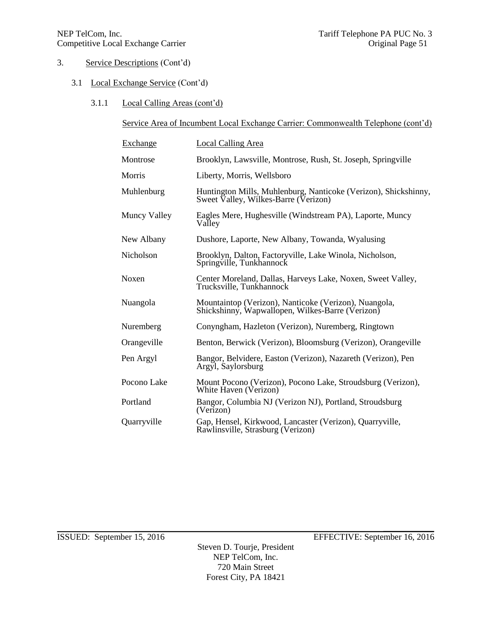# 3. Service Descriptions (Cont'd)

### 3.1 Local Exchange Service (Cont'd)

3.1.1 Local Calling Areas (cont'd)

Service Area of Incumbent Local Exchange Carrier: Commonwealth Telephone (cont'd)

| <b>Exchange</b>     | <b>Local Calling Area</b>                                                                                 |
|---------------------|-----------------------------------------------------------------------------------------------------------|
| Montrose            | Brooklyn, Lawsville, Montrose, Rush, St. Joseph, Springville                                              |
| Morris              | Liberty, Morris, Wellsboro                                                                                |
| Muhlenburg          | Huntington Mills, Muhlenburg, Nanticoke (Verizon), Shickshinny,<br>Sweet Valley, Wilkes-Barre (Verizon)   |
| <b>Muncy Valley</b> | Eagles Mere, Hughesville (Windstream PA), Laporte, Muncy<br>Valley                                        |
| New Albany          | Dushore, Laporte, New Albany, Towanda, Wyalusing                                                          |
| Nicholson           | Brooklyn, Dalton, Factoryville, Lake Winola, Nicholson,<br>Springville, Tunkhannock                       |
| Noxen               | Center Moreland, Dallas, Harveys Lake, Noxen, Sweet Valley,<br>Trucksville, Tunkhannock                   |
| Nuangola            | Mountaintop (Verizon), Nanticoke (Verizon), Nuangola,<br>Shickshinny, Wapwallopen, Wilkes-Barre (Verizon) |
| Nuremberg           | Conyngham, Hazleton (Verizon), Nuremberg, Ringtown                                                        |
| Orangeville         | Benton, Berwick (Verizon), Bloomsburg (Verizon), Orangeville                                              |
| Pen Argyl           | Bangor, Belvidere, Easton (Verizon), Nazareth (Verizon), Pen<br>Argyl, Saylorsburg                        |
| Pocono Lake         | Mount Pocono (Verizon), Pocono Lake, Stroudsburg (Verizon),<br>White Haven (Verizon)                      |
| Portland            | Bangor, Columbia NJ (Verizon NJ), Portland, Stroudsburg<br>(Verizon)                                      |
| Quarryville         | Gap, Hensel, Kirkwood, Lancaster (Verizon), Quarryville,<br>Rawlinsville, Strasburg (Verizon)             |

ISSUED: September 15, 2016 EFFECTIVE: September 16, 2016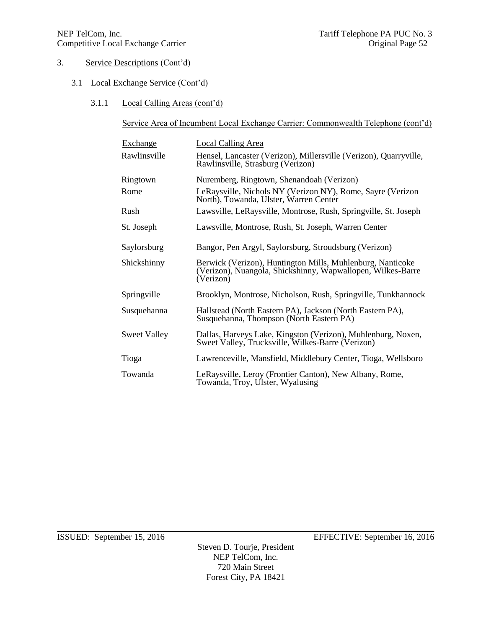# 3. Service Descriptions (Cont'd)

### 3.1 Local Exchange Service (Cont'd)

3.1.1 Local Calling Areas (cont'd)

Service Area of Incumbent Local Exchange Carrier: Commonwealth Telephone (cont'd)

| <b>Exchange</b>     | <b>Local Calling Area</b>                                                                                                              |
|---------------------|----------------------------------------------------------------------------------------------------------------------------------------|
| Rawlinsville        | Hensel, Lancaster (Verizon), Millersville (Verizon), Quarryville,<br>Rawlinsville, Strasburg (Verizon)                                 |
| Ringtown            | Nuremberg, Ringtown, Shenandoah (Verizon)                                                                                              |
| Rome                | LeRaysville, Nichols NY (Verizon NY), Rome, Sayre (Verizon<br>North), Towanda, Ulster, Warren Center                                   |
| Rush                | Lawsville, LeRaysville, Montrose, Rush, Springville, St. Joseph                                                                        |
| St. Joseph          | Lawsville, Montrose, Rush, St. Joseph, Warren Center                                                                                   |
| Saylorsburg         | Bangor, Pen Argyl, Saylorsburg, Stroudsburg (Verizon)                                                                                  |
| Shickshinny         | Berwick (Verizon), Huntington Mills, Muhlenburg, Nanticoke<br>(Verizon), Nuangola, Shickshinny, Wapwallopen, Wilkes-Barre<br>(Verizon) |
| Springville         | Brooklyn, Montrose, Nicholson, Rush, Springville, Tunkhannock                                                                          |
| Susquehanna         | Hallstead (North Eastern PA), Jackson (North Eastern PA),<br>Susquehanna, Thompson (North Eastern PA)                                  |
| <b>Sweet Valley</b> | Dallas, Harveys Lake, Kingston (Verizon), Muhlenburg, Noxen,<br>Sweet Valley, Trucksville, Wilkes-Barre (Verizon)                      |
| Tioga               | Lawrenceville, Mansfield, Middlebury Center, Tioga, Wellsboro                                                                          |
| Towanda             | LeRaysville, Leroy (Frontier Canton), New Albany, Rome,<br>Towanda, Troy, Ulster, Wyalusing                                            |

Steven D. Tourje, President NEP TelCom, Inc. 720 Main Street Forest City, PA 18421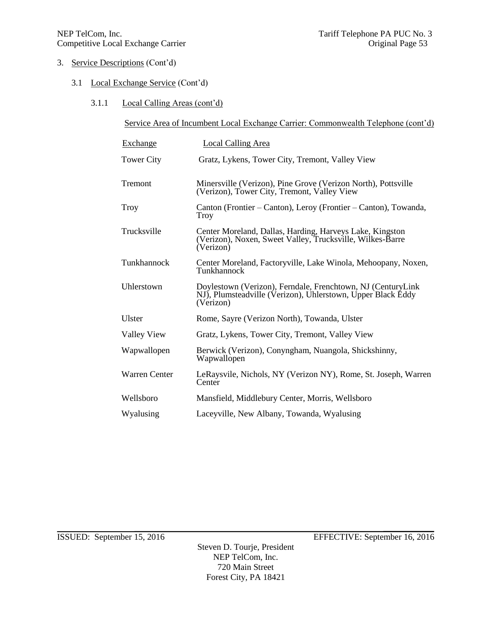### 3.1 Local Exchange Service (Cont'd)

3.1.1 Local Calling Areas (cont'd)

Service Area of Incumbent Local Exchange Carrier: Commonwealth Telephone (cont'd)

| Exchange           | Local Calling Area                                                                                                                       |
|--------------------|------------------------------------------------------------------------------------------------------------------------------------------|
| <b>Tower City</b>  | Gratz, Lykens, Tower City, Tremont, Valley View                                                                                          |
| Tremont            | Minersville (Verizon), Pine Grove (Verizon North), Pottsville<br>(Verizon), Tower City, Tremont, Valley View                             |
| Troy               | Canton (Frontier – Canton), Leroy (Frontier – Canton), Towanda,<br>Troy                                                                  |
| Trucksville        | Center Moreland, Dallas, Harding, Harveys Lake, Kingston<br>(Verizon), Noxen, Sweet Valley, Trucksville, Wilkes-Barre<br>(Verizon)       |
| Tunkhannock        | Center Moreland, Factoryville, Lake Winola, Mehoopany, Noxen,<br>Tunkhannock                                                             |
| Uhlerstown         | Doylestown (Verizon), Ferndale, Frenchtown, NJ (CenturyLink)<br>NJ), Plumsteadville (Verizon), Uhlerstown, Upper Black Eddy<br>(Verizon) |
| Ulster             | Rome, Sayre (Verizon North), Towanda, Ulster                                                                                             |
| <b>Valley View</b> | Gratz, Lykens, Tower City, Tremont, Valley View                                                                                          |
| Wapwallopen        | Berwick (Verizon), Conyngham, Nuangola, Shickshinny,<br>Wapwallopen                                                                      |
| Warren Center      | LeRaysvile, Nichols, NY (Verizon NY), Rome, St. Joseph, Warren<br>Center                                                                 |
| Wellsboro          | Mansfield, Middlebury Center, Morris, Wellsboro                                                                                          |
| Wyalusing          | Laceyville, New Albany, Towanda, Wyalusing                                                                                               |

Steven D. Tourje, President NEP TelCom, Inc. 720 Main Street Forest City, PA 18421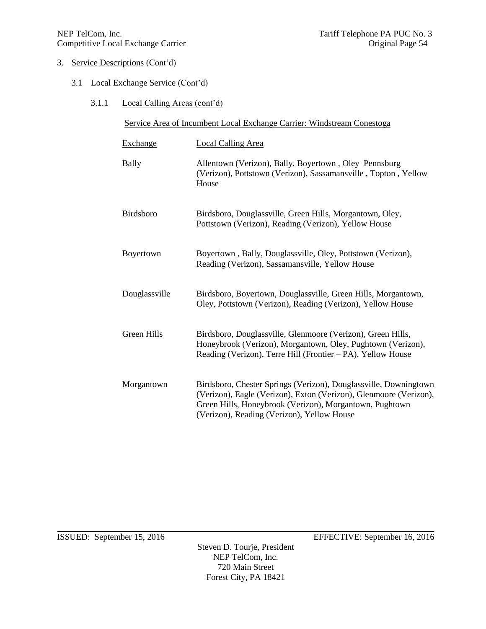# 3. Service Descriptions (Cont'd)

### 3.1 Local Exchange Service (Cont'd)

3.1.1 Local Calling Areas (cont'd)

Service Area of Incumbent Local Exchange Carrier: Windstream Conestoga

| <b>Exchange</b>    | Local Calling Area                                                                                                                                                                                                                             |
|--------------------|------------------------------------------------------------------------------------------------------------------------------------------------------------------------------------------------------------------------------------------------|
| Bally              | Allentown (Verizon), Bally, Boyertown, Oley Pennsburg<br>(Verizon), Pottstown (Verizon), Sassamansville, Topton, Yellow<br>House                                                                                                               |
| <b>Birdsboro</b>   | Birdsboro, Douglassville, Green Hills, Morgantown, Oley,<br>Pottstown (Verizon), Reading (Verizon), Yellow House                                                                                                                               |
| Boyertown          | Boyertown, Bally, Douglassville, Oley, Pottstown (Verizon),<br>Reading (Verizon), Sassamansville, Yellow House                                                                                                                                 |
| Douglassville      | Birdsboro, Boyertown, Douglassville, Green Hills, Morgantown,<br>Oley, Pottstown (Verizon), Reading (Verizon), Yellow House                                                                                                                    |
| <b>Green Hills</b> | Birdsboro, Douglassville, Glenmoore (Verizon), Green Hills,<br>Honeybrook (Verizon), Morgantown, Oley, Pughtown (Verizon),<br>Reading (Verizon), Terre Hill (Frontier – PA), Yellow House                                                      |
| Morgantown         | Birdsboro, Chester Springs (Verizon), Douglassville, Downingtown<br>(Verizon), Eagle (Verizon), Exton (Verizon), Glenmoore (Verizon),<br>Green Hills, Honeybrook (Verizon), Morgantown, Pughtown<br>(Verizon), Reading (Verizon), Yellow House |

Steven D. Tourje, President NEP TelCom, Inc. 720 Main Street Forest City, PA 18421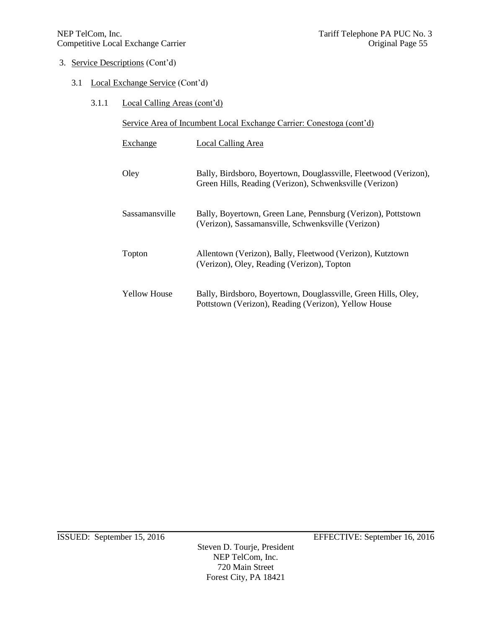### 3.1 Local Exchange Service (Cont'd)

3.1.1 Local Calling Areas (cont'd)

Service Area of Incumbent Local Exchange Carrier: Conestoga (cont'd)

| <b>Exchange</b>     | <b>Local Calling Area</b>                                                                                                   |
|---------------------|-----------------------------------------------------------------------------------------------------------------------------|
| Oley                | Bally, Birdsboro, Boyertown, Douglassville, Fleetwood (Verizon),<br>Green Hills, Reading (Verizon), Schwenksville (Verizon) |
| Sassamansville      | Bally, Boyertown, Green Lane, Pennsburg (Verizon), Pottstown<br>(Verizon), Sassamansville, Schwenksville (Verizon)          |
| Topton              | Allentown (Verizon), Bally, Fleetwood (Verizon), Kutztown<br>(Verizon), Oley, Reading (Verizon), Topton                     |
| <b>Yellow House</b> | Bally, Birdsboro, Boyertown, Douglassville, Green Hills, Oley,<br>Pottstown (Verizon), Reading (Verizon), Yellow House      |

Steven D. Tourje, President NEP TelCom, Inc. 720 Main Street Forest City, PA 18421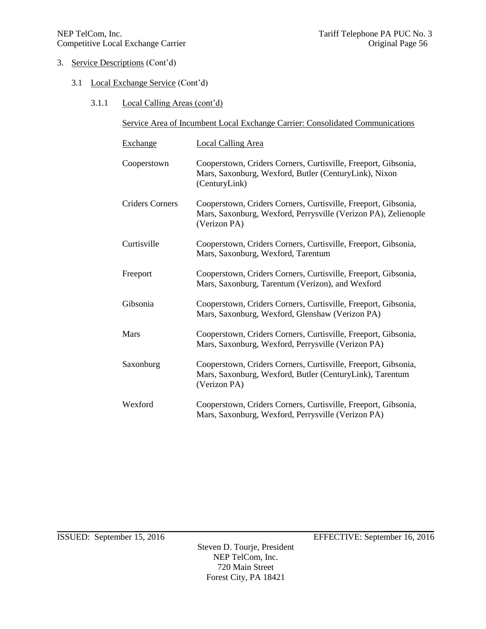#### NEP TelCom, Inc.<br>
Competitive Local Exchange Carrier<br>
Competitive Local Exchange Carrier<br>
Competitive Local Exchange Carrier<br>
Competitive Local Exchange Carrier<br>
Competitive Local Exchange Carrier<br>
Competitive Local Exchan Competitive Local Exchange Carrier

# 3. Service Descriptions (Cont'd)

### 3.1 Local Exchange Service (Cont'd)

3.1.1 Local Calling Areas (cont'd)

Service Area of Incumbent Local Exchange Carrier: Consolidated Communications

| <b>Exchange</b>        | <b>Local Calling Area</b>                                                                                                                        |
|------------------------|--------------------------------------------------------------------------------------------------------------------------------------------------|
| Cooperstown            | Cooperstown, Criders Corners, Curtisville, Freeport, Gibsonia,<br>Mars, Saxonburg, Wexford, Butler (CenturyLink), Nixon<br>(CenturyLink)         |
| <b>Criders Corners</b> | Cooperstown, Criders Corners, Curtisville, Freeport, Gibsonia,<br>Mars, Saxonburg, Wexford, Perrysville (Verizon PA), Zelienople<br>(Verizon PA) |
| Curtisville            | Cooperstown, Criders Corners, Curtisville, Freeport, Gibsonia,<br>Mars, Saxonburg, Wexford, Tarentum                                             |
| Freeport               | Cooperstown, Criders Corners, Curtisville, Freeport, Gibsonia,<br>Mars, Saxonburg, Tarentum (Verizon), and Wexford                               |
| Gibsonia               | Cooperstown, Criders Corners, Curtisville, Freeport, Gibsonia,<br>Mars, Saxonburg, Wexford, Glenshaw (Verizon PA)                                |
| <b>Mars</b>            | Cooperstown, Criders Corners, Curtisville, Freeport, Gibsonia,<br>Mars, Saxonburg, Wexford, Perrysville (Verizon PA)                             |
| Saxonburg              | Cooperstown, Criders Corners, Curtisville, Freeport, Gibsonia,<br>Mars, Saxonburg, Wexford, Butler (CenturyLink), Tarentum<br>(Verizon PA)       |
| Wexford                | Cooperstown, Criders Corners, Curtisville, Freeport, Gibsonia,<br>Mars, Saxonburg, Wexford, Perrysville (Verizon PA)                             |

Steven D. Tourje, President NEP TelCom, Inc. 720 Main Street Forest City, PA 18421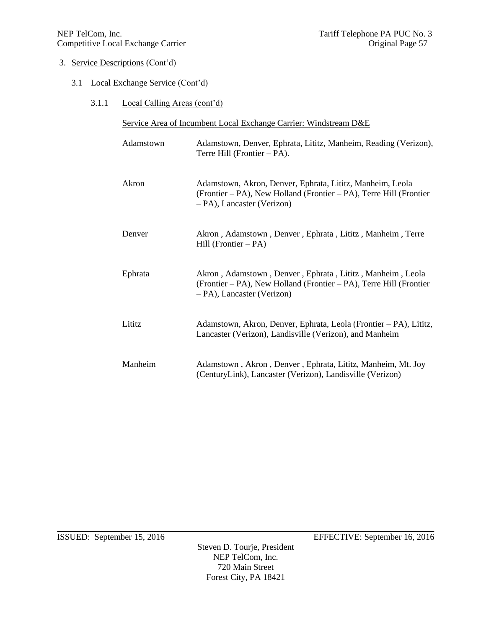### 3. Service Descriptions (Cont'd)

### 3.1 Local Exchange Service (Cont'd)

3.1.1 Local Calling Areas (cont'd)

| Service Area of Incumbent Local Exchange Carrier: Windstream D&E |                                                                                                   |  |
|------------------------------------------------------------------|---------------------------------------------------------------------------------------------------|--|
| Adamstown                                                        | Adamstown, Denver, Ephrata, Lititz, Manheim, Reading (Verizon),<br>Terre Hill (Frontier $- PA$ ). |  |

- Akron Adamstown, Akron, Denver, Ephrata, Lititz, Manheim, Leola (Frontier – PA), New Holland (Frontier – PA), Terre Hill (Frontier – PA), Lancaster (Verizon)
- Denver Akron , Adamstown , Denver , Ephrata , Lititz , Manheim , Terre Hill (Frontier – PA)
- Ephrata Akron , Adamstown , Denver , Ephrata , Lititz , Manheim , Leola (Frontier – PA), New Holland (Frontier – PA), Terre Hill (Frontier – PA), Lancaster (Verizon)
- Lititz Adamstown, Akron, Denver, Ephrata, Leola (Frontier PA), Lititz, Lancaster (Verizon), Landisville (Verizon), and Manheim
- Manheim Adamstown , Akron , Denver , Ephrata, Lititz, Manheim, Mt. Joy (CenturyLink), Lancaster (Verizon), Landisville (Verizon)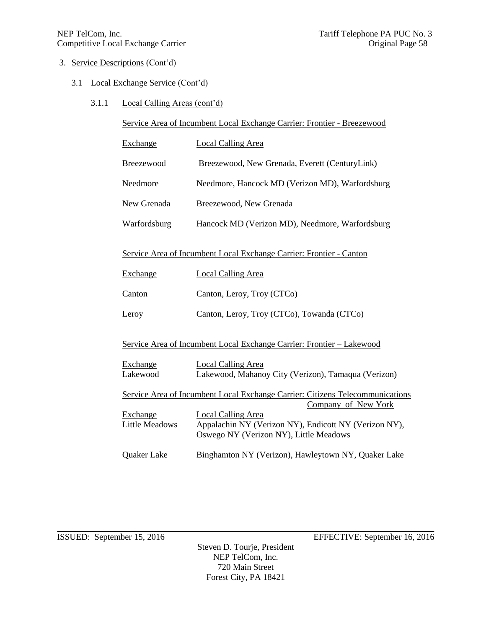### 3.1 Local Exchange Service (Cont'd)

3.1.1 Local Calling Areas (cont'd)

Service Area of Incumbent Local Exchange Carrier: Frontier - Breezewood

Exchange Local Calling Area

| Breezewood  | Breezewood, New Grenada, Everett (CenturyLink)  |
|-------------|-------------------------------------------------|
| Needmore    | Needmore, Hancock MD (Verizon MD), Warfordsburg |
| New Grenada | Breezewood, New Grenada                         |

Warfordsburg Hancock MD (Verizon MD), Needmore, Warfordsburg

### Service Area of Incumbent Local Exchange Carrier: Frontier - Canton

| <b>Exchange</b>            | Local Calling Area                                                                                                    |
|----------------------------|-----------------------------------------------------------------------------------------------------------------------|
| Canton                     | Canton, Leroy, Troy (CTCo)                                                                                            |
| Leroy                      | Canton, Leroy, Troy (CTCo), Towanda (CTCo)                                                                            |
|                            | Service Area of Incumbent Local Exchange Carrier: Frontier – Lakewood                                                 |
| Exchange<br>Lakewood       | Local Calling Area<br>Lakewood, Mahanoy City (Verizon), Tamaqua (Verizon)                                             |
|                            | Service Area of Incumbent Local Exchange Carrier: Citizens Telecommunications<br>Company of New York                  |
| Exchange<br>Little Meadows | Local Calling Area<br>Appalachin NY (Verizon NY), Endicott NY (Verizon NY),<br>Oswego NY (Verizon NY), Little Meadows |

Quaker Lake Binghamton NY (Verizon), Hawleytown NY, Quaker Lake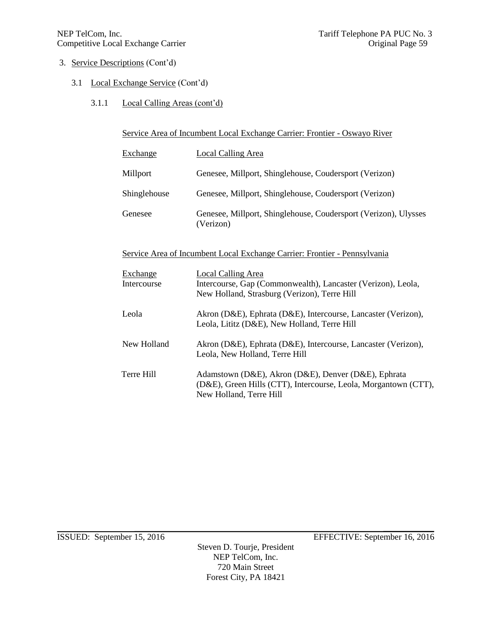### 3.1 Local Exchange Service (Cont'd)

3.1.1 Local Calling Areas (cont'd)

|--|

| Exchange     | Local Calling Area                                                           |
|--------------|------------------------------------------------------------------------------|
| Millport     | Genesee, Millport, Shinglehouse, Coudersport (Verizon)                       |
| Shinglehouse | Genesee, Millport, Shinglehouse, Coudersport (Verizon)                       |
| Genesee      | Genesee, Millport, Shinglehouse, Coudersport (Verizon), Ulysses<br>(Verizon) |

# Service Area of Incumbent Local Exchange Carrier: Frontier - Pennsylvania

| Exchange<br>Intercourse | Local Calling Area<br>Intercourse, Gap (Commonwealth), Lancaster (Verizon), Leola,<br>New Holland, Strasburg (Verizon), Terre Hill                |
|-------------------------|---------------------------------------------------------------------------------------------------------------------------------------------------|
| Leola                   | Akron (D&E), Ephrata (D&E), Intercourse, Lancaster (Verizon),<br>Leola, Lititz (D&E), New Holland, Terre Hill                                     |
| New Holland             | Akron (D&E), Ephrata (D&E), Intercourse, Lancaster (Verizon),<br>Leola, New Holland, Terre Hill                                                   |
| Terre Hill              | Adamstown (D&E), Akron (D&E), Denver (D&E), Ephrata<br>(D&E), Green Hills (CTT), Intercourse, Leola, Morgantown (CTT),<br>New Holland, Terre Hill |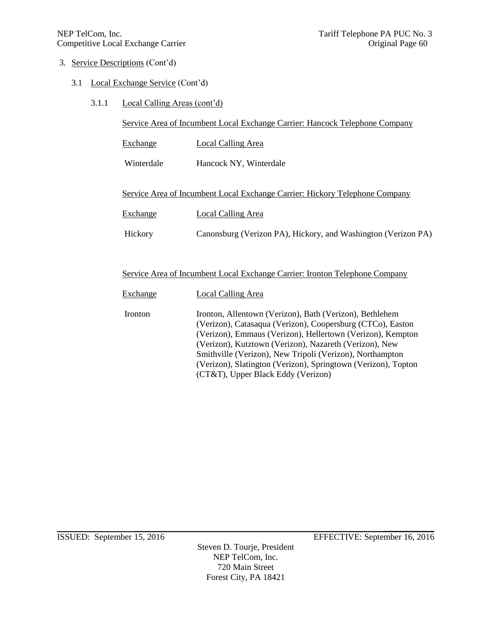- 3.1 Local Exchange Service (Cont'd)
	- 3.1.1 Local Calling Areas (cont'd)

Service Area of Incumbent Local Exchange Carrier: Hancock Telephone Company

Exchange Local Calling Area

Winterdale Hancock NY, Winterdale

### Service Area of Incumbent Local Exchange Carrier: Hickory Telephone Company

| Exchange | Local Calling Area |
|----------|--------------------|
|          |                    |

Hickory Canonsburg (Verizon PA), Hickory, and Washington (Verizon PA)

### Service Area of Incumbent Local Exchange Carrier: Ironton Telephone Company

| Exchange | <b>Local Calling Area</b>                                                                                                                                                                                                                                                                                                                                                                                        |
|----------|------------------------------------------------------------------------------------------------------------------------------------------------------------------------------------------------------------------------------------------------------------------------------------------------------------------------------------------------------------------------------------------------------------------|
| Ironton  | Ironton, Allentown (Verizon), Bath (Verizon), Bethlehem<br>(Verizon), Catasaqua (Verizon), Coopersburg (CTCo), Easton<br>(Verizon), Emmaus (Verizon), Hellertown (Verizon), Kempton<br>(Verizon), Kutztown (Verizon), Nazareth (Verizon), New<br>Smithville (Verizon), New Tripoli (Verizon), Northampton<br>(Verizon), Slatington (Verizon), Springtown (Verizon), Topton<br>(CT&T), Upper Black Eddy (Verizon) |

Steven D. Tourje, President NEP TelCom, Inc. 720 Main Street Forest City, PA 18421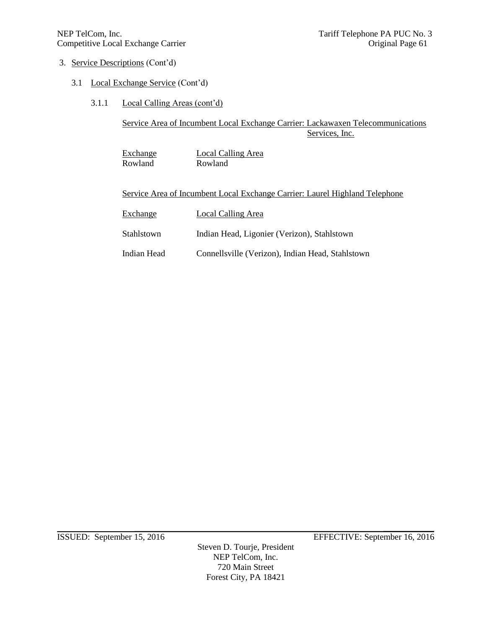### 3.1 Local Exchange Service (Cont'd)

3.1.1 Local Calling Areas (cont'd)

Service Area of Incumbent Local Exchange Carrier: Lackawaxen Telecommunications Services, Inc.

Exchange Local Calling Area Rowland Rowland

Service Area of Incumbent Local Exchange Carrier: Laurel Highland Telephone

Exchange Local Calling Area

Stahlstown Indian Head, Ligonier (Verizon), Stahlstown

Indian Head Connellsville (Verizon), Indian Head, Stahlstown

Steven D. Tourje, President NEP TelCom, Inc. 720 Main Street Forest City, PA 18421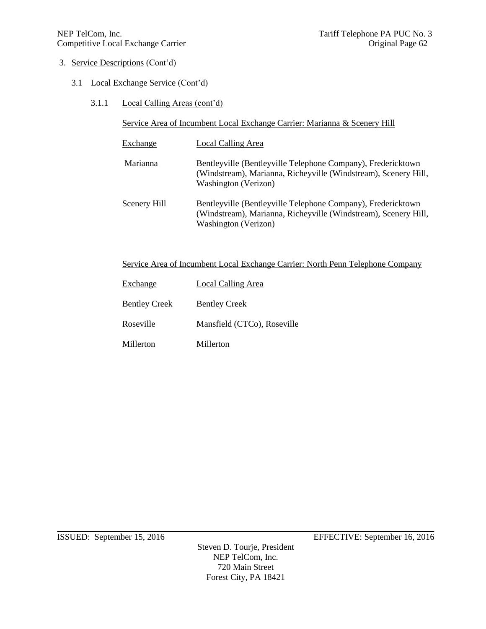# 3. Service Descriptions (Cont'd)

### 3.1 Local Exchange Service (Cont'd)

3.1.1 Local Calling Areas (cont'd)

Service Area of Incumbent Local Exchange Carrier: Marianna & Scenery Hill

| Exchange     | <b>Local Calling Area</b>                                                                                                                                      |
|--------------|----------------------------------------------------------------------------------------------------------------------------------------------------------------|
| Marianna     | Bentleyville (Bentleyville Telephone Company), Fredericktown<br>(Windstream), Marianna, Richeyville (Windstream), Scenery Hill,<br><b>Washington</b> (Verizon) |
| Scenery Hill | Bentleyville (Bentleyville Telephone Company), Fredericktown<br>(Windstream), Marianna, Richeyville (Windstream), Scenery Hill,<br>Washington (Verizon)        |

# Service Area of Incumbent Local Exchange Carrier: North Penn Telephone Company

| Exchange             | Local Calling Area          |
|----------------------|-----------------------------|
| <b>Bentley Creek</b> | <b>Bentley Creek</b>        |
| Roseville            | Mansfield (CTCo), Roseville |
| Millerton            | Millerton                   |

Steven D. Tourje, President NEP TelCom, Inc. 720 Main Street Forest City, PA 18421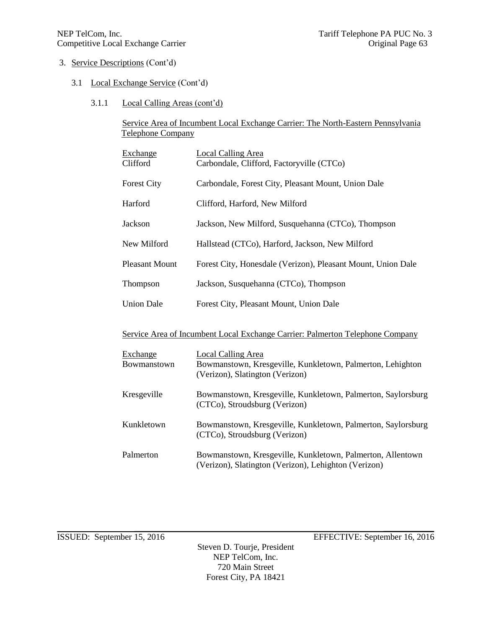### 3.1 Local Exchange Service (Cont'd)

3.1.1 Local Calling Areas (cont'd)

### Service Area of Incumbent Local Exchange Carrier: The North-Eastern Pennsylvania Telephone Company

| Exchange<br>Clifford | Local Calling Area<br>Carbondale, Clifford, Factoryville (CTCo) |
|----------------------|-----------------------------------------------------------------|
| <b>Forest City</b>   | Carbondale, Forest City, Pleasant Mount, Union Dale             |
| Harford              | Clifford, Harford, New Milford                                  |
| Jackson              | Jackson, New Milford, Susquehanna (CTCo), Thompson              |
| New Milford          | Hallstead (CTCo), Harford, Jackson, New Milford                 |
| Pleasant Mount       | Forest City, Honesdale (Verizon), Pleasant Mount, Union Dale    |
| Thompson             | Jackson, Susquehanna (CTCo), Thompson                           |
| Union Dale           | Forest City, Pleasant Mount, Union Dale                         |

# Service Area of Incumbent Local Exchange Carrier: Palmerton Telephone Company

| Exchange<br>Bowmanstown | Local Calling Area<br>Bowmanstown, Kresgeville, Kunkletown, Palmerton, Lehighton<br>(Verizon), Slatington (Verizon) |
|-------------------------|---------------------------------------------------------------------------------------------------------------------|
| Kresgeville             | Bowmanstown, Kresgeville, Kunkletown, Palmerton, Saylorsburg<br>(CTCo), Stroudsburg (Verizon)                       |
| Kunkletown              | Bowmanstown, Kresgeville, Kunkletown, Palmerton, Saylorsburg<br>(CTCo), Stroudsburg (Verizon)                       |
| Palmerton               | Bowmanstown, Kresgeville, Kunkletown, Palmerton, Allentown<br>(Verizon), Slatington (Verizon), Lehighton (Verizon)  |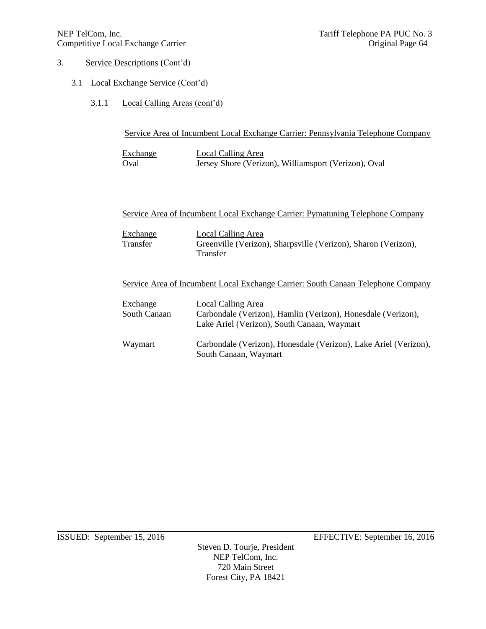### 3.1 Local Exchange Service (Cont'd)

3.1.1 Local Calling Areas (cont'd)

Service Area of Incumbent Local Exchange Carrier: Pennsylvania Telephone Company

| Exchange | Local Calling Area                                   |
|----------|------------------------------------------------------|
| Oval     | Jersey Shore (Verizon), Williamsport (Verizon), Oval |

Service Area of Incumbent Local Exchange Carrier: Pymatuning Telephone Company

| <b>Exchange</b> | Local Calling Area                                             |
|-----------------|----------------------------------------------------------------|
| Transfer        | Greenville (Verizon), Sharpsville (Verizon), Sharon (Verizon), |
|                 | <b>Transfer</b>                                                |

Service Area of Incumbent Local Exchange Carrier: South Canaan Telephone Company

| Exchange<br>South Canaan | Local Calling Area<br>Carbondale (Verizon), Hamlin (Verizon), Honesdale (Verizon),<br>Lake Ariel (Verizon), South Canaan, Waymart |
|--------------------------|-----------------------------------------------------------------------------------------------------------------------------------|
| Waymart                  | Carbondale (Verizon), Honesdale (Verizon), Lake Ariel (Verizon),<br>South Canaan, Waymart                                         |

Steven D. Tourje, President NEP TelCom, Inc. 720 Main Street Forest City, PA 18421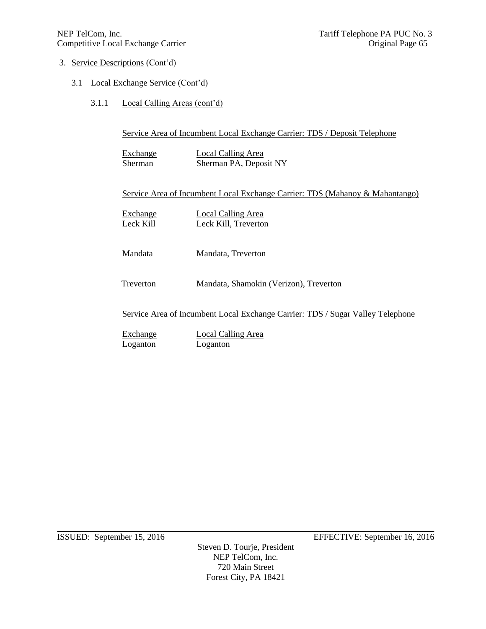#### 3.1 Local Exchange Service (Cont'd)

3.1.1 Local Calling Areas (cont'd)

Service Area of Incumbent Local Exchange Carrier: TDS / Deposit Telephone

Exchange Local Calling Area Sherman PA, Deposit NY

Service Area of Incumbent Local Exchange Carrier: TDS (Mahanoy & Mahantango)

| Exchange  | Local Calling Area   |
|-----------|----------------------|
| Leck Kill | Leck Kill, Treverton |

Mandata Mandata, Treverton

Treverton Mandata, Shamokin (Verizon), Treverton

Service Area of Incumbent Local Exchange Carrier: TDS / Sugar Valley Telephone

Exchange Local Calling Area Loganton Loganton

Steven D. Tourje, President NEP TelCom, Inc. 720 Main Street Forest City, PA 18421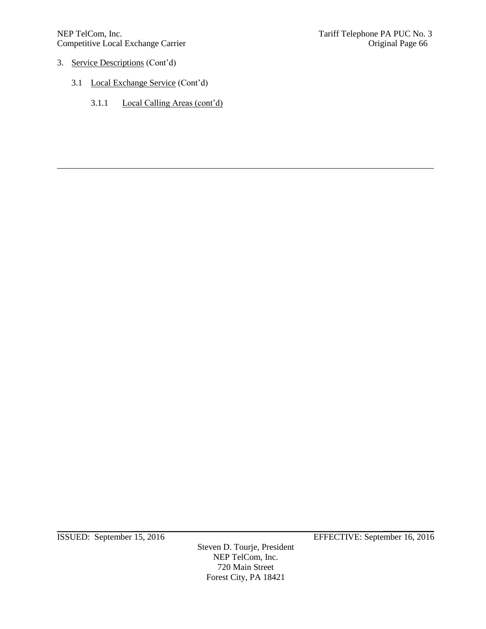### NEP TelCom, Inc.<br>
Competitive Local Exchange Carrier<br>
Competitive Local Exchange Carrier<br>
Competitive Local Exchange Carrier<br>
Competitive Local Exchange Carrier<br>
Competitive Local Exchange Carrier<br>
Competitive Local Exchan Competitive Local Exchange Carrier

- 3. Service Descriptions (Cont'd)
	- 3.1 Local Exchange Service (Cont'd)
		- 3.1.1 Local Calling Areas (cont'd)

Steven D. Tourje, President NEP TelCom, Inc. 720 Main Street Forest City, PA 18421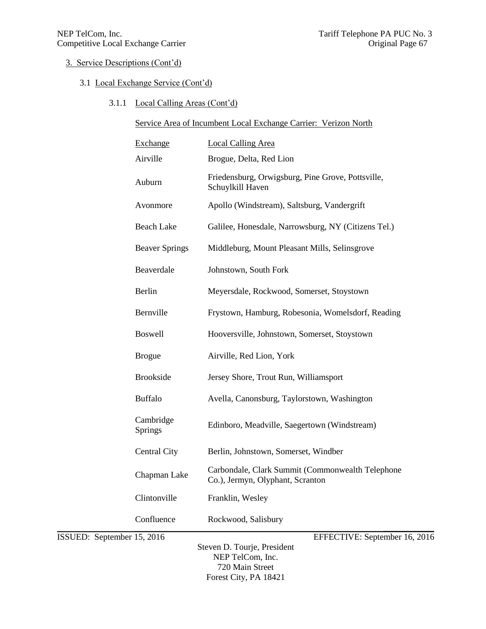### 3.1 Local Exchange Service (Cont'd)

3.1.1 Local Calling Areas (Cont'd)

|                            | Exchange              | <b>Local Calling Area</b>                                                            |
|----------------------------|-----------------------|--------------------------------------------------------------------------------------|
|                            | Airville              | Brogue, Delta, Red Lion                                                              |
|                            | Auburn                | Friedensburg, Orwigsburg, Pine Grove, Pottsville,<br>Schuylkill Haven                |
|                            | Avonmore              | Apollo (Windstream), Saltsburg, Vandergrift                                          |
|                            | <b>Beach Lake</b>     | Galilee, Honesdale, Narrowsburg, NY (Citizens Tel.)                                  |
|                            | <b>Beaver Springs</b> | Middleburg, Mount Pleasant Mills, Selinsgrove                                        |
|                            | Beaverdale            | Johnstown, South Fork                                                                |
|                            | Berlin                | Meyersdale, Rockwood, Somerset, Stoystown                                            |
|                            | Bernville             | Frystown, Hamburg, Robesonia, Womelsdorf, Reading                                    |
|                            | <b>Boswell</b>        | Hooversville, Johnstown, Somerset, Stoystown                                         |
|                            | <b>Brogue</b>         | Airville, Red Lion, York                                                             |
|                            | <b>Brookside</b>      | Jersey Shore, Trout Run, Williamsport                                                |
|                            | <b>Buffalo</b>        | Avella, Canonsburg, Taylorstown, Washington                                          |
|                            | Cambridge<br>Springs  | Edinboro, Meadville, Saegertown (Windstream)                                         |
|                            | Central City          | Berlin, Johnstown, Somerset, Windber                                                 |
|                            | Chapman Lake          | Carbondale, Clark Summit (Commonwealth Telephone<br>Co.), Jermyn, Olyphant, Scranton |
|                            | Clintonville          | Franklin, Wesley                                                                     |
|                            | Confluence            | Rockwood, Salisbury                                                                  |
| ISSUED: September 15, 2016 |                       | EFFECTIVE: September 16, 2016<br>Steven D. Tourje, President                         |

Service Area of Incumbent Local Exchange Carrier: Verizon North

NEP TelCom, Inc. 720 Main Street Forest City, PA 18421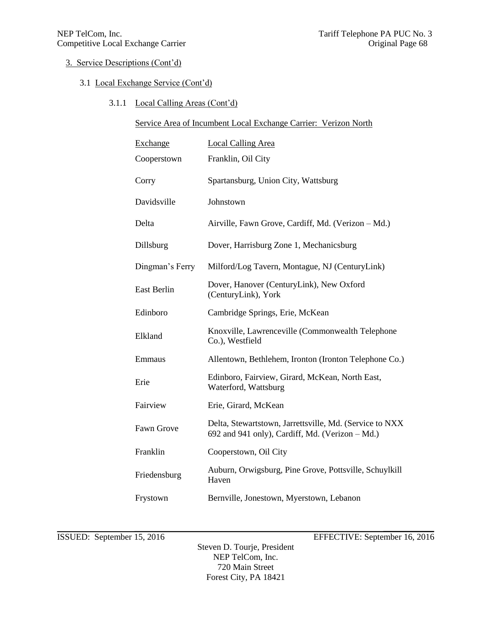#### 3.1 Local Exchange Service (Cont'd)

3.1.1 Local Calling Areas (Cont'd)

| Service Area of Incumbent Local Exchange Carrier: Verizon North |                                                                                                            |  |
|-----------------------------------------------------------------|------------------------------------------------------------------------------------------------------------|--|
| Exchange                                                        | <b>Local Calling Area</b>                                                                                  |  |
| Cooperstown                                                     | Franklin, Oil City                                                                                         |  |
| Corry                                                           | Spartansburg, Union City, Wattsburg                                                                        |  |
| Davidsville                                                     | Johnstown                                                                                                  |  |
| Delta                                                           | Airville, Fawn Grove, Cardiff, Md. (Verizon – Md.)                                                         |  |
| Dillsburg                                                       | Dover, Harrisburg Zone 1, Mechanicsburg                                                                    |  |
| Dingman's Ferry                                                 | Milford/Log Tavern, Montague, NJ (CenturyLink)                                                             |  |
| East Berlin                                                     | Dover, Hanover (CenturyLink), New Oxford<br>(CenturyLink), York                                            |  |
| Edinboro                                                        | Cambridge Springs, Erie, McKean                                                                            |  |
| Elkland                                                         | Knoxville, Lawrenceville (Commonwealth Telephone<br>Co.), Westfield                                        |  |
| Emmaus                                                          | Allentown, Bethlehem, Ironton (Ironton Telephone Co.)                                                      |  |
| Erie                                                            | Edinboro, Fairview, Girard, McKean, North East,<br>Waterford, Wattsburg                                    |  |
| Fairview                                                        | Erie, Girard, McKean                                                                                       |  |
| Fawn Grove                                                      | Delta, Stewartstown, Jarrettsville, Md. (Service to NXX<br>692 and 941 only), Cardiff, Md. (Verizon – Md.) |  |
| Franklin                                                        | Cooperstown, Oil City                                                                                      |  |
| Friedensburg                                                    | Auburn, Orwigsburg, Pine Grove, Pottsville, Schuylkill<br>Haven                                            |  |
| Frystown                                                        | Bernville, Jonestown, Myerstown, Lebanon                                                                   |  |

Steven D. Tourje, President NEP TelCom, Inc. 720 Main Street Forest City, PA 18421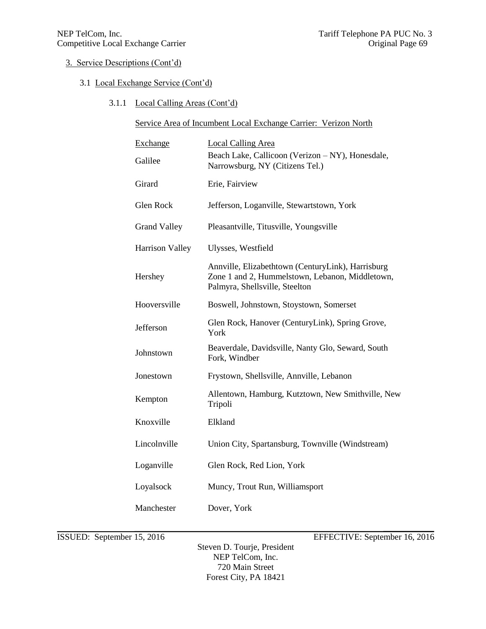### 3.1 Local Exchange Service (Cont'd)

3.1.1 Local Calling Areas (Cont'd)

Service Area of Incumbent Local Exchange Carrier: Verizon North

| Exchange               | <b>Local Calling Area</b>                                                                                                              |
|------------------------|----------------------------------------------------------------------------------------------------------------------------------------|
| Galilee                | Beach Lake, Callicoon (Verizon - NY), Honesdale,<br>Narrowsburg, NY (Citizens Tel.)                                                    |
| Girard                 | Erie, Fairview                                                                                                                         |
| Glen Rock              | Jefferson, Loganville, Stewartstown, York                                                                                              |
| <b>Grand Valley</b>    | Pleasantville, Titusville, Youngsville                                                                                                 |
| <b>Harrison Valley</b> | Ulysses, Westfield                                                                                                                     |
| Hershey                | Annville, Elizabethtown (CenturyLink), Harrisburg<br>Zone 1 and 2, Hummelstown, Lebanon, Middletown,<br>Palmyra, Shellsville, Steelton |
| Hooversville           | Boswell, Johnstown, Stoystown, Somerset                                                                                                |
| Jefferson              | Glen Rock, Hanover (CenturyLink), Spring Grove,<br>York                                                                                |
| Johnstown              | Beaverdale, Davidsville, Nanty Glo, Seward, South<br>Fork, Windber                                                                     |
| Jonestown              | Frystown, Shellsville, Annville, Lebanon                                                                                               |
| Kempton                | Allentown, Hamburg, Kutztown, New Smithville, New<br>Tripoli                                                                           |
| Knoxville              | Elkland                                                                                                                                |
| Lincolnville           | Union City, Spartansburg, Townville (Windstream)                                                                                       |
| Loganville             | Glen Rock, Red Lion, York                                                                                                              |
| Loyalsock              | Muncy, Trout Run, Williamsport                                                                                                         |
| Manchester             | Dover, York                                                                                                                            |

ISSUED: September 15, 2016 EFFECTIVE: September 16, 2016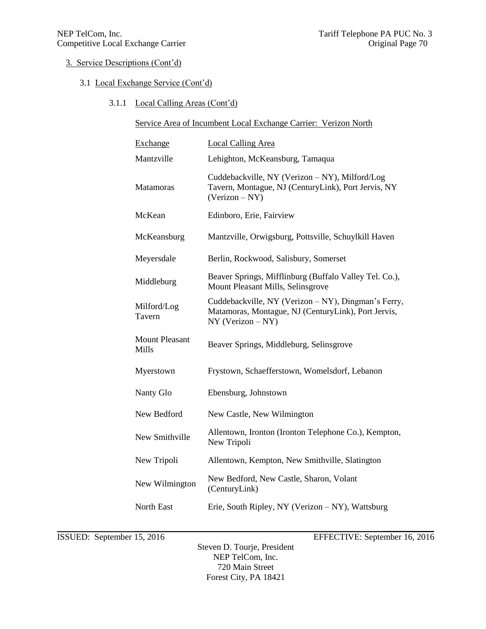### 3.1 Local Exchange Service (Cont'd)

3.1.1 Local Calling Areas (Cont'd)

| Service Area of Incumbent Local Exchange Carrier: Verizon North |
|-----------------------------------------------------------------|
|-----------------------------------------------------------------|

| <b>Exchange</b>                | <b>Local Calling Area</b>                                                                                                           |
|--------------------------------|-------------------------------------------------------------------------------------------------------------------------------------|
| Mantzville                     | Lehighton, McKeansburg, Tamaqua                                                                                                     |
| <b>Matamoras</b>               | Cuddebackville, NY (Verizon - NY), Milford/Log<br>Tavern, Montague, NJ (CenturyLink), Port Jervis, NY<br>$(Verizon - NY)$           |
| McKean                         | Edinboro, Erie, Fairview                                                                                                            |
| McKeansburg                    | Mantzville, Orwigsburg, Pottsville, Schuylkill Haven                                                                                |
| Meyersdale                     | Berlin, Rockwood, Salisbury, Somerset                                                                                               |
| Middleburg                     | Beaver Springs, Mifflinburg (Buffalo Valley Tel. Co.),<br>Mount Pleasant Mills, Selinsgrove                                         |
| Milford/Log<br>Tavern          | Cuddebackville, NY (Verizon - NY), Dingman's Ferry,<br>Matamoras, Montague, NJ (CenturyLink), Port Jervis,<br>$NY$ (Verizon $-NY$ ) |
| <b>Mount Pleasant</b><br>Mills | Beaver Springs, Middleburg, Selinsgrove                                                                                             |
| Myerstown                      | Frystown, Schaefferstown, Womelsdorf, Lebanon                                                                                       |
| Nanty Glo                      | Ebensburg, Johnstown                                                                                                                |
| New Bedford                    | New Castle, New Wilmington                                                                                                          |
| New Smithville                 | Allentown, Ironton (Ironton Telephone Co.), Kempton,<br>New Tripoli                                                                 |
| New Tripoli                    | Allentown, Kempton, New Smithville, Slatington                                                                                      |
| New Wilmington                 | New Bedford, New Castle, Sharon, Volant<br>(CenturyLink)                                                                            |
| <b>North East</b>              | Erie, South Ripley, NY (Verizon – NY), Wattsburg                                                                                    |

ISSUED: September 15, 2016 EFFECTIVE: September 16, 2016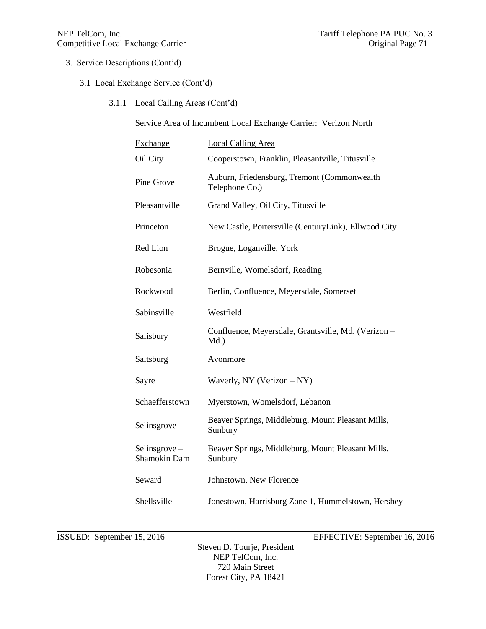# 3.1 Local Exchange Service (Cont'd)

3.1.1 Local Calling Areas (Cont'd)

|  | Service Area of Incumbent Local Exchange Carrier: Verizon North |  |
|--|-----------------------------------------------------------------|--|
|  |                                                                 |  |

| <b>Exchange</b>                        | <b>Local Calling Area</b>                                     |
|----------------------------------------|---------------------------------------------------------------|
| Oil City                               | Cooperstown, Franklin, Pleasantville, Titusville              |
| Pine Grove                             | Auburn, Friedensburg, Tremont (Commonwealth<br>Telephone Co.) |
| Pleasantville                          | Grand Valley, Oil City, Titusville                            |
| Princeton                              | New Castle, Portersville (CenturyLink), Ellwood City          |
| Red Lion                               | Brogue, Loganville, York                                      |
| Robesonia                              | Bernville, Womelsdorf, Reading                                |
| Rockwood                               | Berlin, Confluence, Meyersdale, Somerset                      |
| Sabinsville                            | Westfield                                                     |
| Salisbury                              | Confluence, Meyersdale, Grantsville, Md. (Verizon -<br>Md.)   |
| Saltsburg                              | Avonmore                                                      |
| Sayre                                  | Waverly, NY (Verizon $-NY$ )                                  |
| Schaefferstown                         | Myerstown, Womelsdorf, Lebanon                                |
| Selinsgrove                            | Beaver Springs, Middleburg, Mount Pleasant Mills,<br>Sunbury  |
| Selinsgrove $-$<br><b>Shamokin Dam</b> | Beaver Springs, Middleburg, Mount Pleasant Mills,<br>Sunbury  |
| Seward                                 | Johnstown, New Florence                                       |
| Shellsville                            | Jonestown, Harrisburg Zone 1, Hummelstown, Hershey            |

ISSUED: September 15, 2016 EFFECTIVE: September 16, 2016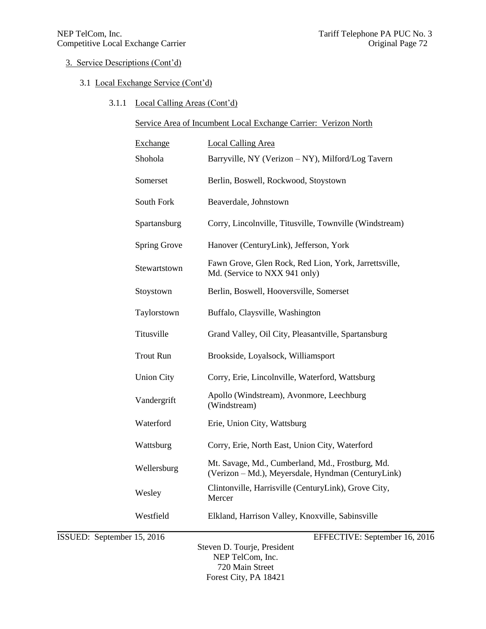#### 3.1 Local Exchange Service (Cont'd)

3.1.1 Local Calling Areas (Cont'd)

# Service Area of Incumbent Local Exchange Carrier: Verizon North

|                            | Exchange            | <b>Local Calling Area</b>                                                                              |
|----------------------------|---------------------|--------------------------------------------------------------------------------------------------------|
|                            | Shohola             | Barryville, NY (Verizon – NY), Milford/Log Tavern                                                      |
|                            | Somerset            | Berlin, Boswell, Rockwood, Stoystown                                                                   |
|                            | South Fork          | Beaverdale, Johnstown                                                                                  |
|                            | Spartansburg        | Corry, Lincolnville, Titusville, Townville (Windstream)                                                |
|                            | <b>Spring Grove</b> | Hanover (CenturyLink), Jefferson, York                                                                 |
|                            | Stewartstown        | Fawn Grove, Glen Rock, Red Lion, York, Jarrettsville,<br>Md. (Service to NXX 941 only)                 |
|                            | Stoystown           | Berlin, Boswell, Hooversville, Somerset                                                                |
|                            | Taylorstown         | Buffalo, Claysville, Washington                                                                        |
|                            | Titusville          | Grand Valley, Oil City, Pleasantville, Spartansburg                                                    |
|                            | <b>Trout Run</b>    | Brookside, Loyalsock, Williamsport                                                                     |
|                            | <b>Union City</b>   | Corry, Erie, Lincolnville, Waterford, Wattsburg                                                        |
|                            | Vandergrift         | Apollo (Windstream), Avonmore, Leechburg<br>(Windstream)                                               |
|                            | Waterford           | Erie, Union City, Wattsburg                                                                            |
|                            | Wattsburg           | Corry, Erie, North East, Union City, Waterford                                                         |
|                            | Wellersburg         | Mt. Savage, Md., Cumberland, Md., Frostburg, Md.<br>(Verizon - Md.), Meyersdale, Hyndman (CenturyLink) |
|                            | Wesley              | Clintonville, Harrisville (CenturyLink), Grove City,<br>Mercer                                         |
|                            | Westfield           | Elkland, Harrison Valley, Knoxville, Sabinsville                                                       |
| ISSUED: September 15, 2016 |                     | EFFECTIVE: September 16, 2016                                                                          |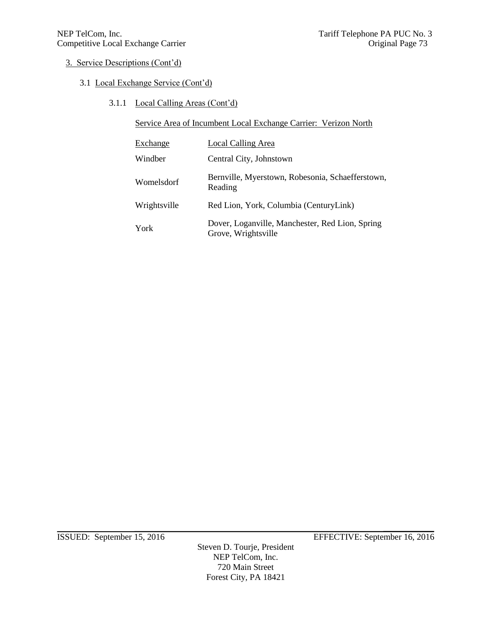### 3.1 Local Exchange Service (Cont'd)

3.1.1 Local Calling Areas (Cont'd)

Service Area of Incumbent Local Exchange Carrier: Verizon North

| <b>Exchange</b>   | <b>Local Calling Area</b>                                              |
|-------------------|------------------------------------------------------------------------|
| Windber           | Central City, Johnstown                                                |
| <b>Womelsdorf</b> | Bernville, Myerstown, Robesonia, Schaefferstown,<br>Reading            |
| Wrightsville      | Red Lion, York, Columbia (CenturyLink)                                 |
| York              | Dover, Loganville, Manchester, Red Lion, Spring<br>Grove, Wrightsville |

Steven D. Tourje, President NEP TelCom, Inc. 720 Main Street Forest City, PA 18421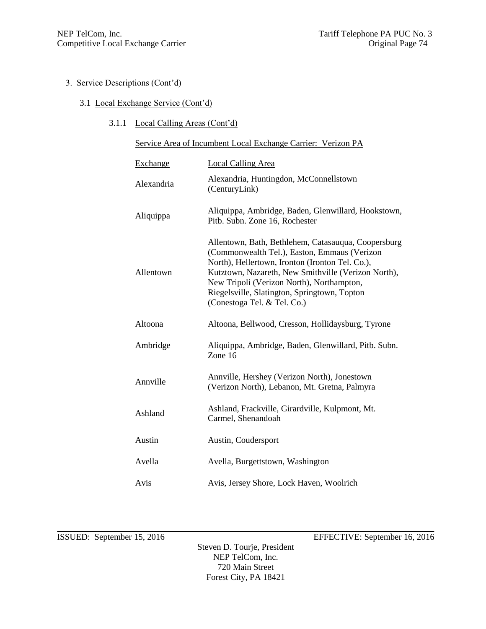### 3.1 Local Exchange Service (Cont'd)

3.1.1 Local Calling Areas (Cont'd)

#### Service Area of Incumbent Local Exchange Carrier: Verizon PA

| <b>Exchange</b> | <b>Local Calling Area</b>                                                                                                                                                                                                                                                                                                                 |
|-----------------|-------------------------------------------------------------------------------------------------------------------------------------------------------------------------------------------------------------------------------------------------------------------------------------------------------------------------------------------|
| Alexandria      | Alexandria, Huntingdon, McConnellstown<br>(CenturyLink)                                                                                                                                                                                                                                                                                   |
| Aliquippa       | Aliquippa, Ambridge, Baden, Glenwillard, Hookstown,<br>Pitb. Subn. Zone 16, Rochester                                                                                                                                                                                                                                                     |
| Allentown       | Allentown, Bath, Bethlehem, Catasauqua, Coopersburg<br>(Commonwealth Tel.), Easton, Emmaus (Verizon<br>North), Hellertown, Ironton (Ironton Tel. Co.),<br>Kutztown, Nazareth, New Smithville (Verizon North),<br>New Tripoli (Verizon North), Northampton,<br>Riegelsville, Slatington, Springtown, Topton<br>(Conestoga Tel. & Tel. Co.) |
| Altoona         | Altoona, Bellwood, Cresson, Hollidaysburg, Tyrone                                                                                                                                                                                                                                                                                         |
| Ambridge        | Aliquippa, Ambridge, Baden, Glenwillard, Pitb. Subn.<br>Zone 16                                                                                                                                                                                                                                                                           |
| Annville        | Annville, Hershey (Verizon North), Jonestown<br>(Verizon North), Lebanon, Mt. Gretna, Palmyra                                                                                                                                                                                                                                             |
| Ashland         | Ashland, Frackville, Girardville, Kulpmont, Mt.<br>Carmel, Shenandoah                                                                                                                                                                                                                                                                     |
| Austin          | Austin, Coudersport                                                                                                                                                                                                                                                                                                                       |
| Avella          | Avella, Burgettstown, Washington                                                                                                                                                                                                                                                                                                          |
| Avis            | Avis, Jersey Shore, Lock Haven, Woolrich                                                                                                                                                                                                                                                                                                  |

Steven D. Tourje, President NEP TelCom, Inc. 720 Main Street Forest City, PA 18421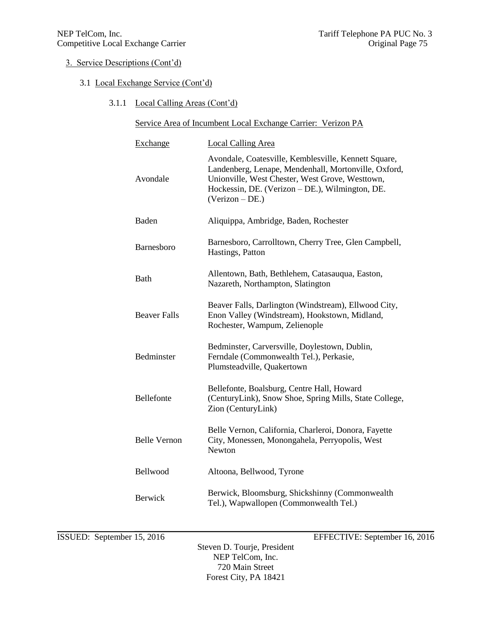#### 3.1 Local Exchange Service (Cont'd)

3.1.1 Local Calling Areas (Cont'd)

### Service Area of Incumbent Local Exchange Carrier: Verizon PA

| <b>Exchange</b>     | <b>Local Calling Area</b>                                                                                                                                                                                                               |
|---------------------|-----------------------------------------------------------------------------------------------------------------------------------------------------------------------------------------------------------------------------------------|
| Avondale            | Avondale, Coatesville, Kemblesville, Kennett Square,<br>Landenberg, Lenape, Mendenhall, Mortonville, Oxford,<br>Unionville, West Chester, West Grove, Westtown,<br>Hockessin, DE. (Verizon – DE.), Wilmington, DE.<br>$(Verizon - DE.)$ |
| Baden               | Aliquippa, Ambridge, Baden, Rochester                                                                                                                                                                                                   |
| Barnesboro          | Barnesboro, Carrolltown, Cherry Tree, Glen Campbell,<br>Hastings, Patton                                                                                                                                                                |
| Bath                | Allentown, Bath, Bethlehem, Catasauqua, Easton,<br>Nazareth, Northampton, Slatington                                                                                                                                                    |
| <b>Beaver Falls</b> | Beaver Falls, Darlington (Windstream), Ellwood City,<br>Enon Valley (Windstream), Hookstown, Midland,<br>Rochester, Wampum, Zelienople                                                                                                  |
| Bedminster          | Bedminster, Carversville, Doylestown, Dublin,<br>Ferndale (Commonwealth Tel.), Perkasie,<br>Plumsteadville, Quakertown                                                                                                                  |
| Bellefonte          | Bellefonte, Boalsburg, Centre Hall, Howard<br>(CenturyLink), Snow Shoe, Spring Mills, State College,<br>Zion (CenturyLink)                                                                                                              |
| <b>Belle Vernon</b> | Belle Vernon, California, Charleroi, Donora, Fayette<br>City, Monessen, Monongahela, Perryopolis, West<br>Newton                                                                                                                        |
| Bellwood            | Altoona, Bellwood, Tyrone                                                                                                                                                                                                               |
| <b>Berwick</b>      | Berwick, Bloomsburg, Shickshinny (Commonwealth<br>Tel.), Wapwallopen (Commonwealth Tel.)                                                                                                                                                |

Steven D. Tourje, President NEP TelCom, Inc. 720 Main Street Forest City, PA 18421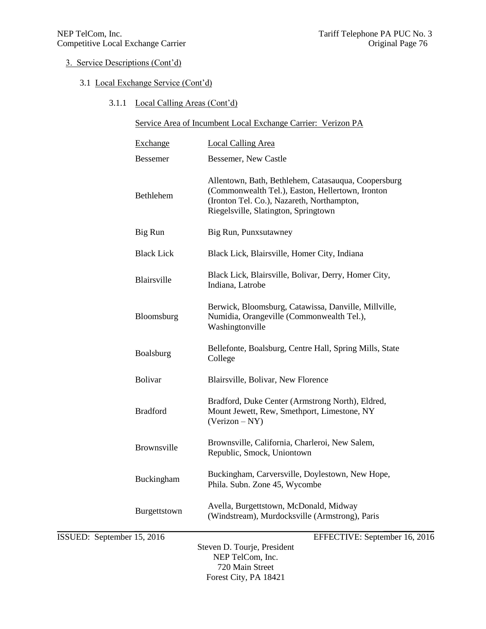#### 3.1 Local Exchange Service (Cont'd)

3.1.1 Local Calling Areas (Cont'd)

| Service Area of Incumbent Local Exchange Carrier: Verizon PA |                                                                                                                                                                                               |  |
|--------------------------------------------------------------|-----------------------------------------------------------------------------------------------------------------------------------------------------------------------------------------------|--|
| Exchange                                                     | <b>Local Calling Area</b>                                                                                                                                                                     |  |
| <b>Bessemer</b>                                              | Bessemer, New Castle                                                                                                                                                                          |  |
| Bethlehem                                                    | Allentown, Bath, Bethlehem, Catasauqua, Coopersburg<br>(Commonwealth Tel.), Easton, Hellertown, Ironton<br>(Ironton Tel. Co.), Nazareth, Northampton,<br>Riegelsville, Slatington, Springtown |  |
| Big Run                                                      | Big Run, Punxsutawney                                                                                                                                                                         |  |
| <b>Black Lick</b>                                            | Black Lick, Blairsville, Homer City, Indiana                                                                                                                                                  |  |
| <b>Blairsville</b>                                           | Black Lick, Blairsville, Bolivar, Derry, Homer City,<br>Indiana, Latrobe                                                                                                                      |  |
| Bloomsburg                                                   | Berwick, Bloomsburg, Catawissa, Danville, Millville,<br>Numidia, Orangeville (Commonwealth Tel.),<br>Washingtonville                                                                          |  |
| Boalsburg                                                    | Bellefonte, Boalsburg, Centre Hall, Spring Mills, State<br>College                                                                                                                            |  |
| <b>Bolivar</b>                                               | Blairsville, Bolivar, New Florence                                                                                                                                                            |  |
| <b>Bradford</b>                                              | Bradford, Duke Center (Armstrong North), Eldred,<br>Mount Jewett, Rew, Smethport, Limestone, NY<br>$(Verizon - NY)$                                                                           |  |
| Brownsville                                                  | Brownsville, California, Charleroi, New Salem,<br>Republic, Smock, Uniontown                                                                                                                  |  |
| Buckingham                                                   | Buckingham, Carversville, Doylestown, New Hope,<br>Phila. Subn. Zone 45, Wycombe                                                                                                              |  |
| Burgettstown                                                 | Avella, Burgettstown, McDonald, Midway<br>(Windstream), Murdocksville (Armstrong), Paris                                                                                                      |  |

ISSUED: September 15, 2016 EFFECTIVE: September 16, 2016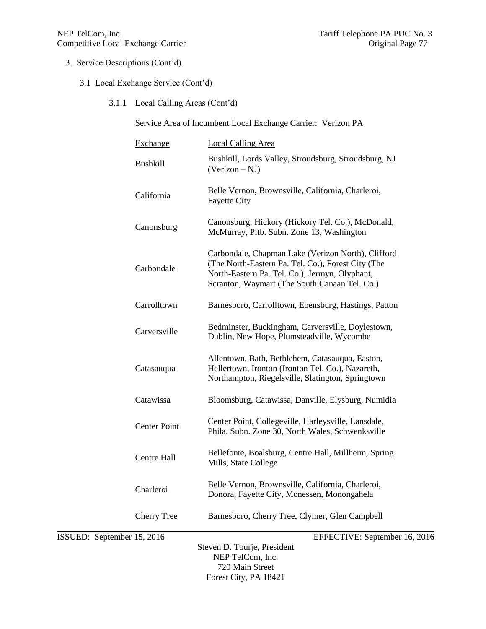### 3.1 Local Exchange Service (Cont'd)

3.1.1 Local Calling Areas (Cont'd)

### Service Area of Incumbent Local Exchange Carrier: Verizon PA

| Exchange                   | <b>Local Calling Area</b>                                                                                                                                                                                   |
|----------------------------|-------------------------------------------------------------------------------------------------------------------------------------------------------------------------------------------------------------|
| <b>Bushkill</b>            | Bushkill, Lords Valley, Stroudsburg, Stroudsburg, NJ<br>$(Verizon - NJ)$                                                                                                                                    |
| California                 | Belle Vernon, Brownsville, California, Charleroi,<br><b>Fayette City</b>                                                                                                                                    |
| Canonsburg                 | Canonsburg, Hickory (Hickory Tel. Co.), McDonald,<br>McMurray, Pitb. Subn. Zone 13, Washington                                                                                                              |
| Carbondale                 | Carbondale, Chapman Lake (Verizon North), Clifford<br>(The North-Eastern Pa. Tel. Co.), Forest City (The<br>North-Eastern Pa. Tel. Co.), Jermyn, Olyphant,<br>Scranton, Waymart (The South Canaan Tel. Co.) |
| Carrolltown                | Barnesboro, Carrolltown, Ebensburg, Hastings, Patton                                                                                                                                                        |
| Carversville               | Bedminster, Buckingham, Carversville, Doylestown,<br>Dublin, New Hope, Plumsteadville, Wycombe                                                                                                              |
| Catasauqua                 | Allentown, Bath, Bethlehem, Catasauqua, Easton,<br>Hellertown, Ironton (Ironton Tel. Co.), Nazareth,<br>Northampton, Riegelsville, Slatington, Springtown                                                   |
| Catawissa                  | Bloomsburg, Catawissa, Danville, Elysburg, Numidia                                                                                                                                                          |
| <b>Center Point</b>        | Center Point, Collegeville, Harleysville, Lansdale,<br>Phila. Subn. Zone 30, North Wales, Schwenksville                                                                                                     |
| Centre Hall                | Bellefonte, Boalsburg, Centre Hall, Millheim, Spring<br>Mills, State College                                                                                                                                |
| Charleroi                  | Belle Vernon, Brownsville, California, Charleroi,<br>Donora, Fayette City, Monessen, Monongahela                                                                                                            |
| <b>Cherry Tree</b>         | Barnesboro, Cherry Tree, Clymer, Glen Campbell                                                                                                                                                              |
| ISSUED: September 15, 2016 | EFFECTIVE: September 16, 2016                                                                                                                                                                               |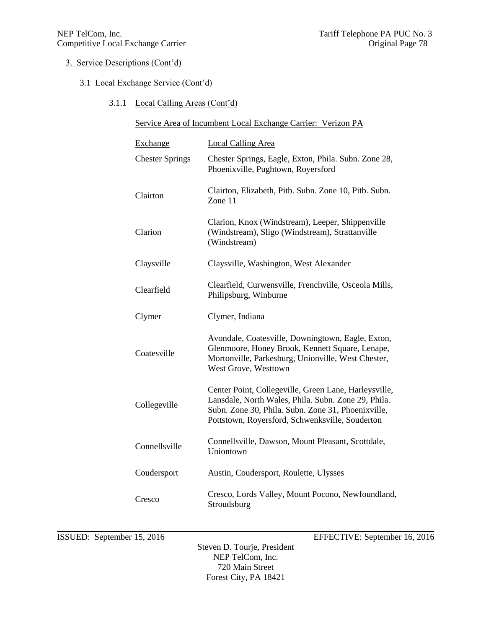### 3.1 Local Exchange Service (Cont'd)

3.1.1 Local Calling Areas (Cont'd)

|  | Service Area of Incumbent Local Exchange Carrier: Verizon PA |  |
|--|--------------------------------------------------------------|--|
|  |                                                              |  |

| Exchange               | <b>Local Calling Area</b>                                                                                                                                                                                             |
|------------------------|-----------------------------------------------------------------------------------------------------------------------------------------------------------------------------------------------------------------------|
| <b>Chester Springs</b> | Chester Springs, Eagle, Exton, Phila. Subn. Zone 28,<br>Phoenixville, Pughtown, Royersford                                                                                                                            |
| Clairton               | Clairton, Elizabeth, Pitb. Subn. Zone 10, Pitb. Subn.<br>Zone 11                                                                                                                                                      |
| Clarion                | Clarion, Knox (Windstream), Leeper, Shippenville<br>(Windstream), Sligo (Windstream), Strattanville<br>(Windstream)                                                                                                   |
| Claysville             | Claysville, Washington, West Alexander                                                                                                                                                                                |
| Clearfield             | Clearfield, Curwensville, Frenchville, Osceola Mills,<br>Philipsburg, Winburne                                                                                                                                        |
| Clymer                 | Clymer, Indiana                                                                                                                                                                                                       |
| Coatesville            | Avondale, Coatesville, Downingtown, Eagle, Exton,<br>Glenmoore, Honey Brook, Kennett Square, Lenape,<br>Mortonville, Parkesburg, Unionville, West Chester,<br>West Grove, Westtown                                    |
| Collegeville           | Center Point, Collegeville, Green Lane, Harleysville,<br>Lansdale, North Wales, Phila. Subn. Zone 29, Phila.<br>Subn. Zone 30, Phila. Subn. Zone 31, Phoenixville,<br>Pottstown, Royersford, Schwenksville, Souderton |
| Connellsville          | Connellsville, Dawson, Mount Pleasant, Scottdale,<br>Uniontown                                                                                                                                                        |
| Coudersport            | Austin, Coudersport, Roulette, Ulysses                                                                                                                                                                                |
| Cresco                 | Cresco, Lords Valley, Mount Pocono, Newfoundland,<br>Stroudsburg                                                                                                                                                      |

Steven D. Tourje, President NEP TelCom, Inc. 720 Main Street Forest City, PA 18421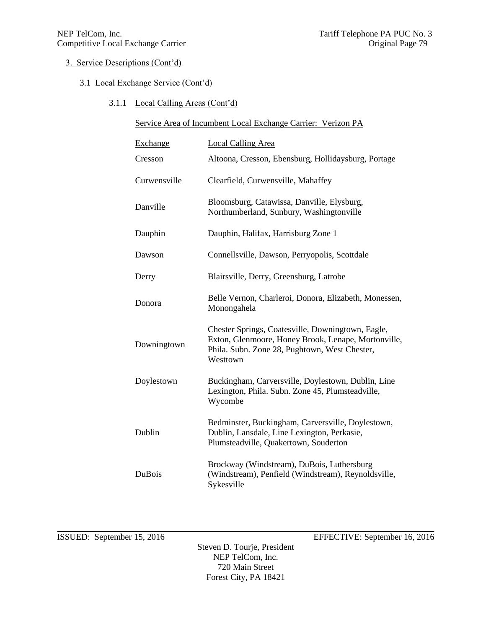### 3.1 Local Exchange Service (Cont'd)

3.1.1 Local Calling Areas (Cont'd)

| Service Area of Incumbent Local Exchange Carrier: Verizon PA |                                                                                                                                                                       |  |
|--------------------------------------------------------------|-----------------------------------------------------------------------------------------------------------------------------------------------------------------------|--|
| <b>Exchange</b>                                              | <b>Local Calling Area</b>                                                                                                                                             |  |
| Cresson                                                      | Altoona, Cresson, Ebensburg, Hollidaysburg, Portage                                                                                                                   |  |
| Curwensville                                                 | Clearfield, Curwensville, Mahaffey                                                                                                                                    |  |
| Danville                                                     | Bloomsburg, Catawissa, Danville, Elysburg,<br>Northumberland, Sunbury, Washingtonville                                                                                |  |
| Dauphin                                                      | Dauphin, Halifax, Harrisburg Zone 1                                                                                                                                   |  |
| Dawson                                                       | Connellsville, Dawson, Perryopolis, Scottdale                                                                                                                         |  |
| Derry                                                        | Blairsville, Derry, Greensburg, Latrobe                                                                                                                               |  |
| Donora                                                       | Belle Vernon, Charleroi, Donora, Elizabeth, Monessen,<br>Monongahela                                                                                                  |  |
| Downingtown                                                  | Chester Springs, Coatesville, Downingtown, Eagle,<br>Exton, Glenmoore, Honey Brook, Lenape, Mortonville,<br>Phila. Subn. Zone 28, Pughtown, West Chester,<br>Westtown |  |
| Doylestown                                                   | Buckingham, Carversville, Doylestown, Dublin, Line<br>Lexington, Phila. Subn. Zone 45, Plumsteadville,<br>Wycombe                                                     |  |
| Dublin                                                       | Bedminster, Buckingham, Carversville, Doylestown,<br>Dublin, Lansdale, Line Lexington, Perkasie,<br>Plumsteadville, Quakertown, Souderton                             |  |
| DuBois                                                       | Brockway (Windstream), DuBois, Luthersburg<br>(Windstream), Penfield (Windstream), Reynoldsville,<br>Sykesville                                                       |  |

ISSUED: September 15, 2016 EFFECTIVE: September 16, 2016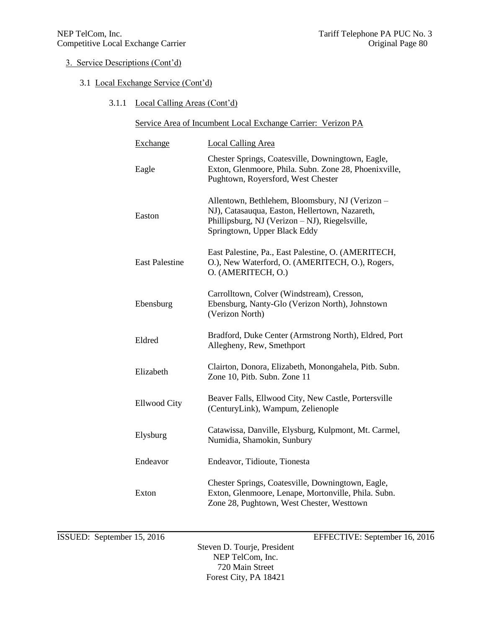### 3.1 Local Exchange Service (Cont'd)

3.1.1 Local Calling Areas (Cont'd)

Service Area of Incumbent Local Exchange Carrier: Verizon PA

| <b>Exchange</b>       | <b>Local Calling Area</b>                                                                                                                                                           |
|-----------------------|-------------------------------------------------------------------------------------------------------------------------------------------------------------------------------------|
| Eagle                 | Chester Springs, Coatesville, Downingtown, Eagle,<br>Exton, Glenmoore, Phila. Subn. Zone 28, Phoenixville,<br>Pughtown, Royersford, West Chester                                    |
| Easton                | Allentown, Bethlehem, Bloomsbury, NJ (Verizon -<br>NJ), Catasauqua, Easton, Hellertown, Nazareth,<br>Phillipsburg, NJ (Verizon - NJ), Riegelsville,<br>Springtown, Upper Black Eddy |
| <b>East Palestine</b> | East Palestine, Pa., East Palestine, O. (AMERITECH,<br>O.), New Waterford, O. (AMERITECH, O.), Rogers,<br>O. (AMERITECH, O.)                                                        |
| Ebensburg             | Carrolltown, Colver (Windstream), Cresson,<br>Ebensburg, Nanty-Glo (Verizon North), Johnstown<br>(Verizon North)                                                                    |
| Eldred                | Bradford, Duke Center (Armstrong North), Eldred, Port<br>Allegheny, Rew, Smethport                                                                                                  |
| Elizabeth             | Clairton, Donora, Elizabeth, Monongahela, Pitb. Subn.<br>Zone 10, Pitb. Subn. Zone 11                                                                                               |
| <b>Ellwood City</b>   | Beaver Falls, Ellwood City, New Castle, Portersville<br>(CenturyLink), Wampum, Zelienople                                                                                           |
| Elysburg              | Catawissa, Danville, Elysburg, Kulpmont, Mt. Carmel,<br>Numidia, Shamokin, Sunbury                                                                                                  |
| Endeavor              | Endeavor, Tidioute, Tionesta                                                                                                                                                        |
| Exton                 | Chester Springs, Coatesville, Downingtown, Eagle,<br>Exton, Glenmoore, Lenape, Mortonville, Phila. Subn.<br>Zone 28, Pughtown, West Chester, Westtown                               |

ISSUED: September 15, 2016 EFFECTIVE: September 16, 2016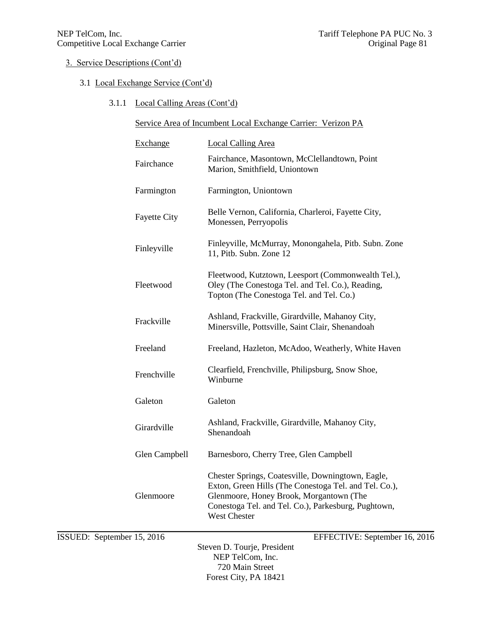#### 3.1 Local Exchange Service (Cont'd)

3.1.1 Local Calling Areas (Cont'd)

Service Area of Incumbent Local Exchange Carrier: Verizon PA

| Exchange                   | <b>Local Calling Area</b>                                                                                                                                                                                                           |
|----------------------------|-------------------------------------------------------------------------------------------------------------------------------------------------------------------------------------------------------------------------------------|
| Fairchance                 | Fairchance, Masontown, McClellandtown, Point<br>Marion, Smithfield, Uniontown                                                                                                                                                       |
| Farmington                 | Farmington, Uniontown                                                                                                                                                                                                               |
| <b>Fayette City</b>        | Belle Vernon, California, Charleroi, Fayette City,<br>Monessen, Perryopolis                                                                                                                                                         |
| Finleyville                | Finleyville, McMurray, Monongahela, Pitb. Subn. Zone<br>11, Pitb. Subn. Zone 12                                                                                                                                                     |
| Fleetwood                  | Fleetwood, Kutztown, Leesport (Commonwealth Tel.),<br>Oley (The Conestoga Tel. and Tel. Co.), Reading,<br>Topton (The Conestoga Tel. and Tel. Co.)                                                                                  |
| Frackville                 | Ashland, Frackville, Girardville, Mahanoy City,<br>Minersville, Pottsville, Saint Clair, Shenandoah                                                                                                                                 |
| Freeland                   | Freeland, Hazleton, McAdoo, Weatherly, White Haven                                                                                                                                                                                  |
| Frenchville                | Clearfield, Frenchville, Philipsburg, Snow Shoe,<br>Winburne                                                                                                                                                                        |
| Galeton                    | Galeton                                                                                                                                                                                                                             |
| Girardville                | Ashland, Frackville, Girardville, Mahanoy City,<br>Shenandoah                                                                                                                                                                       |
| Glen Campbell              | Barnesboro, Cherry Tree, Glen Campbell                                                                                                                                                                                              |
| Glenmoore                  | Chester Springs, Coatesville, Downingtown, Eagle,<br>Exton, Green Hills (The Conestoga Tel. and Tel. Co.),<br>Glenmoore, Honey Brook, Morgantown (The<br>Conestoga Tel. and Tel. Co.), Parkesburg, Pughtown,<br><b>West Chester</b> |
| ISSUED: September 15, 2016 | EFFECTIVE: September 16, 2016                                                                                                                                                                                                       |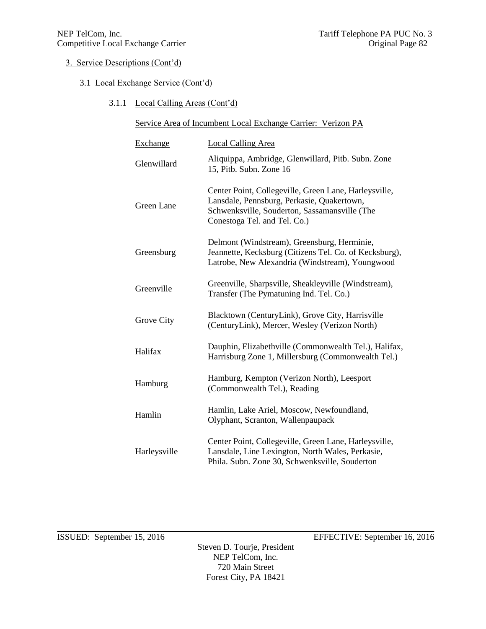### 3.1 Local Exchange Service (Cont'd)

3.1.1 Local Calling Areas (Cont'd)

| Service Area of Incumbent Local Exchange Carrier: Verizon PA |                                                                                                                                                                                      |  |
|--------------------------------------------------------------|--------------------------------------------------------------------------------------------------------------------------------------------------------------------------------------|--|
| Exchange                                                     | <b>Local Calling Area</b>                                                                                                                                                            |  |
| Glenwillard                                                  | Aliquippa, Ambridge, Glenwillard, Pitb. Subn. Zone<br>15, Pitb. Subn. Zone 16                                                                                                        |  |
| Green Lane                                                   | Center Point, Collegeville, Green Lane, Harleysville,<br>Lansdale, Pennsburg, Perkasie, Quakertown,<br>Schwenksville, Souderton, Sassamansville (The<br>Conestoga Tel. and Tel. Co.) |  |
| Greensburg                                                   | Delmont (Windstream), Greensburg, Herminie,<br>Jeannette, Kecksburg (Citizens Tel. Co. of Kecksburg),<br>Latrobe, New Alexandria (Windstream), Youngwood                             |  |
| Greenville                                                   | Greenville, Sharpsville, Sheakleyville (Windstream),<br>Transfer (The Pymatuning Ind. Tel. Co.)                                                                                      |  |
| Grove City                                                   | Blacktown (CenturyLink), Grove City, Harrisville<br>(CenturyLink), Mercer, Wesley (Verizon North)                                                                                    |  |
| Halifax                                                      | Dauphin, Elizabethville (Commonwealth Tel.), Halifax,<br>Harrisburg Zone 1, Millersburg (Commonwealth Tel.)                                                                          |  |
| Hamburg                                                      | Hamburg, Kempton (Verizon North), Leesport<br>(Commonwealth Tel.), Reading                                                                                                           |  |
| Hamlin                                                       | Hamlin, Lake Ariel, Moscow, Newfoundland,<br>Olyphant, Scranton, Wallenpaupack                                                                                                       |  |
| Harleysville                                                 | Center Point, Collegeville, Green Lane, Harleysville,<br>Lansdale, Line Lexington, North Wales, Perkasie,<br>Phila. Subn. Zone 30, Schwenksville, Souderton                          |  |

Steven D. Tourje, President NEP TelCom, Inc. 720 Main Street Forest City, PA 18421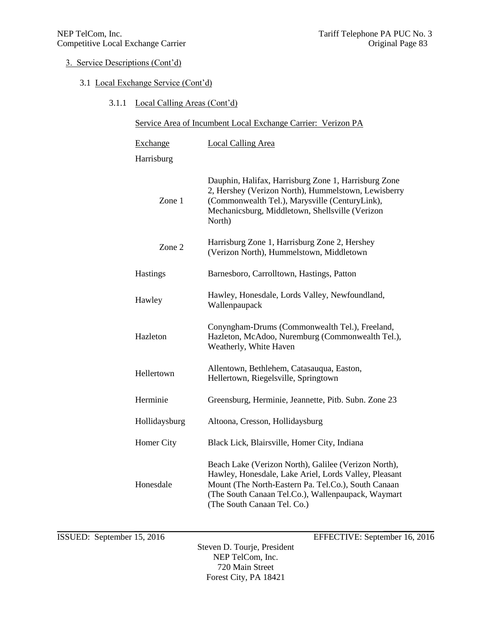### 3.1 Local Exchange Service (Cont'd)

3.1.1 Local Calling Areas (Cont'd)

| Service Area of Incumbent Local Exchange Carrier: Verizon PA |                                                                                                                                                                                                                                                           |  |
|--------------------------------------------------------------|-----------------------------------------------------------------------------------------------------------------------------------------------------------------------------------------------------------------------------------------------------------|--|
| Exchange                                                     | <b>Local Calling Area</b>                                                                                                                                                                                                                                 |  |
| Harrisburg                                                   |                                                                                                                                                                                                                                                           |  |
| Zone 1                                                       | Dauphin, Halifax, Harrisburg Zone 1, Harrisburg Zone<br>2, Hershey (Verizon North), Hummelstown, Lewisberry<br>(Commonwealth Tel.), Marysville (CenturyLink),<br>Mechanicsburg, Middletown, Shellsville (Verizon<br>North)                                |  |
| Zone 2                                                       | Harrisburg Zone 1, Harrisburg Zone 2, Hershey<br>(Verizon North), Hummelstown, Middletown                                                                                                                                                                 |  |
| <b>Hastings</b>                                              | Barnesboro, Carrolltown, Hastings, Patton                                                                                                                                                                                                                 |  |
| Hawley                                                       | Hawley, Honesdale, Lords Valley, Newfoundland,<br>Wallenpaupack                                                                                                                                                                                           |  |
| Hazleton                                                     | Conyngham-Drums (Commonwealth Tel.), Freeland,<br>Hazleton, McAdoo, Nuremburg (Commonwealth Tel.),<br>Weatherly, White Haven                                                                                                                              |  |
| Hellertown                                                   | Allentown, Bethlehem, Catasauqua, Easton,<br>Hellertown, Riegelsville, Springtown                                                                                                                                                                         |  |
| Herminie                                                     | Greensburg, Herminie, Jeannette, Pitb. Subn. Zone 23                                                                                                                                                                                                      |  |
| Hollidaysburg                                                | Altoona, Cresson, Hollidaysburg                                                                                                                                                                                                                           |  |
| Homer City                                                   | Black Lick, Blairsville, Homer City, Indiana                                                                                                                                                                                                              |  |
| Honesdale                                                    | Beach Lake (Verizon North), Galilee (Verizon North),<br>Hawley, Honesdale, Lake Ariel, Lords Valley, Pleasant<br>Mount (The North-Eastern Pa. Tel.Co.), South Canaan<br>(The South Canaan Tel.Co.), Wallenpaupack, Waymart<br>(The South Canaan Tel. Co.) |  |

ISSUED: September 15, 2016 EFFECTIVE: September 16, 2016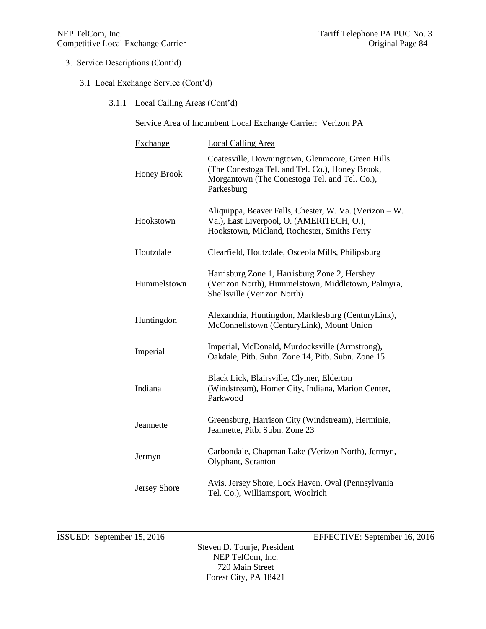### 3.1 Local Exchange Service (Cont'd)

3.1.1 Local Calling Areas (Cont'd)

| Service Area of Incumbent Local Exchange Carrier: Verizon PA |  |  |  |
|--------------------------------------------------------------|--|--|--|
|                                                              |  |  |  |

| <b>Exchange</b>     | <b>Local Calling Area</b>                                                                                                                                          |
|---------------------|--------------------------------------------------------------------------------------------------------------------------------------------------------------------|
| <b>Honey Brook</b>  | Coatesville, Downingtown, Glenmoore, Green Hills<br>(The Conestoga Tel. and Tel. Co.), Honey Brook,<br>Morgantown (The Conestoga Tel. and Tel. Co.),<br>Parkesburg |
| Hookstown           | Aliquippa, Beaver Falls, Chester, W. Va. (Verizon – W.<br>Va.), East Liverpool, O. (AMERITECH, O.),<br>Hookstown, Midland, Rochester, Smiths Ferry                 |
| Houtzdale           | Clearfield, Houtzdale, Osceola Mills, Philipsburg                                                                                                                  |
| Hummelstown         | Harrisburg Zone 1, Harrisburg Zone 2, Hershey<br>(Verizon North), Hummelstown, Middletown, Palmyra,<br>Shellsville (Verizon North)                                 |
| Huntingdon          | Alexandria, Huntingdon, Marklesburg (CenturyLink),<br>McConnellstown (CenturyLink), Mount Union                                                                    |
| Imperial            | Imperial, McDonald, Murdocksville (Armstrong),<br>Oakdale, Pitb. Subn. Zone 14, Pitb. Subn. Zone 15                                                                |
| Indiana             | Black Lick, Blairsville, Clymer, Elderton<br>(Windstream), Homer City, Indiana, Marion Center,<br>Parkwood                                                         |
| Jeannette           | Greensburg, Harrison City (Windstream), Herminie,<br>Jeannette, Pitb. Subn. Zone 23                                                                                |
| Jermyn              | Carbondale, Chapman Lake (Verizon North), Jermyn,<br>Olyphant, Scranton                                                                                            |
| <b>Jersey Shore</b> | Avis, Jersey Shore, Lock Haven, Oval (Pennsylvania<br>Tel. Co.), Williamsport, Woolrich                                                                            |

Steven D. Tourje, President NEP TelCom, Inc. 720 Main Street Forest City, PA 18421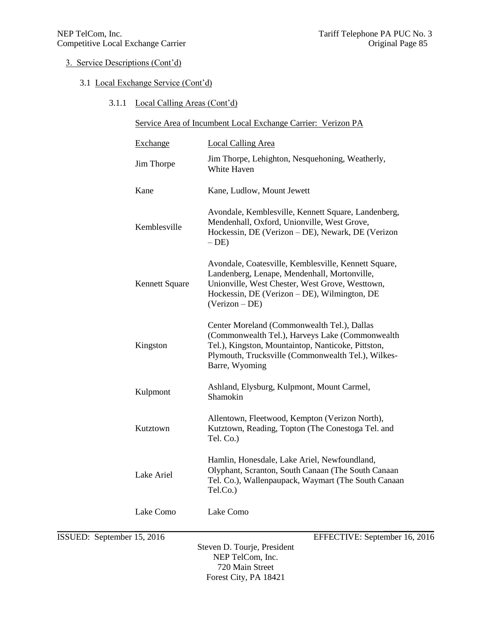### 3.1 Local Exchange Service (Cont'd)

3.1.1 Local Calling Areas (Cont'd)

### Service Area of Incumbent Local Exchange Carrier: Verizon PA

| Exchange       | <b>Local Calling Area</b>                                                                                                                                                                                                    |
|----------------|------------------------------------------------------------------------------------------------------------------------------------------------------------------------------------------------------------------------------|
| Jim Thorpe     | Jim Thorpe, Lehighton, Nesquehoning, Weatherly,<br>White Haven                                                                                                                                                               |
| Kane           | Kane, Ludlow, Mount Jewett                                                                                                                                                                                                   |
| Kemblesville   | Avondale, Kemblesville, Kennett Square, Landenberg,<br>Mendenhall, Oxford, Unionville, West Grove,<br>Hockessin, DE (Verizon – DE), Newark, DE (Verizon<br>$-DE$                                                             |
| Kennett Square | Avondale, Coatesville, Kemblesville, Kennett Square,<br>Landenberg, Lenape, Mendenhall, Mortonville,<br>Unionville, West Chester, West Grove, Westtown,<br>Hockessin, DE (Verizon - DE), Wilmington, DE<br>$(Verizon - DE)$  |
| Kingston       | Center Moreland (Commonwealth Tel.), Dallas<br>(Commonwealth Tel.), Harveys Lake (Commonwealth<br>Tel.), Kingston, Mountaintop, Nanticoke, Pittston,<br>Plymouth, Trucksville (Commonwealth Tel.), Wilkes-<br>Barre, Wyoming |
| Kulpmont       | Ashland, Elysburg, Kulpmont, Mount Carmel,<br>Shamokin                                                                                                                                                                       |
| Kutztown       | Allentown, Fleetwood, Kempton (Verizon North),<br>Kutztown, Reading, Topton (The Conestoga Tel. and<br>Tel. Co.)                                                                                                             |
| Lake Ariel     | Hamlin, Honesdale, Lake Ariel, Newfoundland,<br>Olyphant, Scranton, South Canaan (The South Canaan<br>Tel. Co.), Wallenpaupack, Waymart (The South Canaan<br>Tel.Co.)                                                        |
| Lake Como      | Lake Como                                                                                                                                                                                                                    |

ISSUED: September 15, 2016 EFFECTIVE: September 16, 2016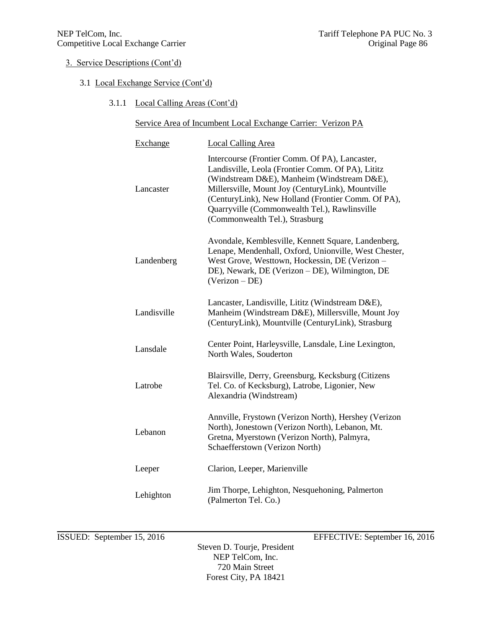### 3.1 Local Exchange Service (Cont'd)

3.1.1 Local Calling Areas (Cont'd)

### Service Area of Incumbent Local Exchange Carrier: Verizon PA

| Exchange    | <b>Local Calling Area</b>                                                                                                                                                                                                                                                                                                                        |
|-------------|--------------------------------------------------------------------------------------------------------------------------------------------------------------------------------------------------------------------------------------------------------------------------------------------------------------------------------------------------|
| Lancaster   | Intercourse (Frontier Comm. Of PA), Lancaster,<br>Landisville, Leola (Frontier Comm. Of PA), Lititz<br>(Windstream D&E), Manheim (Windstream D&E),<br>Millersville, Mount Joy (CenturyLink), Mountville<br>(CenturyLink), New Holland (Frontier Comm. Of PA),<br>Quarryville (Commonwealth Tel.), Rawlinsville<br>(Commonwealth Tel.), Strasburg |
| Landenberg  | Avondale, Kemblesville, Kennett Square, Landenberg,<br>Lenape, Mendenhall, Oxford, Unionville, West Chester,<br>West Grove, Westtown, Hockessin, DE (Verizon -<br>DE), Newark, DE (Verizon - DE), Wilmington, DE<br>$(Verizon - DE)$                                                                                                             |
| Landisville | Lancaster, Landisville, Lititz (Windstream D&E),<br>Manheim (Windstream D&E), Millersville, Mount Joy<br>(CenturyLink), Mountville (CenturyLink), Strasburg                                                                                                                                                                                      |
| Lansdale    | Center Point, Harleysville, Lansdale, Line Lexington,<br>North Wales, Souderton                                                                                                                                                                                                                                                                  |
| Latrobe     | Blairsville, Derry, Greensburg, Kecksburg (Citizens<br>Tel. Co. of Kecksburg), Latrobe, Ligonier, New<br>Alexandria (Windstream)                                                                                                                                                                                                                 |
| Lebanon     | Annville, Frystown (Verizon North), Hershey (Verizon<br>North), Jonestown (Verizon North), Lebanon, Mt.<br>Gretna, Myerstown (Verizon North), Palmyra,<br>Schaefferstown (Verizon North)                                                                                                                                                         |
| Leeper      | Clarion, Leeper, Marienville                                                                                                                                                                                                                                                                                                                     |
| Lehighton   | Jim Thorpe, Lehighton, Nesquehoning, Palmerton<br>(Palmerton Tel. Co.)                                                                                                                                                                                                                                                                           |

ISSUED: September 15, 2016 EFFECTIVE: September 16, 2016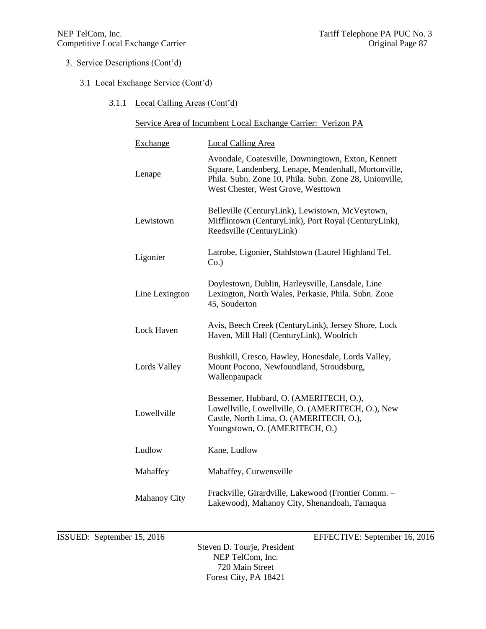#### 3.1 Local Exchange Service (Cont'd)

3.1.1 Local Calling Areas (Cont'd)

Service Area of Incumbent Local Exchange Carrier: Verizon PA

| Exchange       | <b>Local Calling Area</b>                                                                                                                                                                                   |
|----------------|-------------------------------------------------------------------------------------------------------------------------------------------------------------------------------------------------------------|
| Lenape         | Avondale, Coatesville, Downingtown, Exton, Kennett<br>Square, Landenberg, Lenape, Mendenhall, Mortonville,<br>Phila. Subn. Zone 10, Phila. Subn. Zone 28, Unionville,<br>West Chester, West Grove, Westtown |
| Lewistown      | Belleville (CenturyLink), Lewistown, McVeytown,<br>Mifflintown (CenturyLink), Port Royal (CenturyLink),<br>Reedsville (CenturyLink)                                                                         |
| Ligonier       | Latrobe, Ligonier, Stahlstown (Laurel Highland Tel.<br>Co.                                                                                                                                                  |
| Line Lexington | Doylestown, Dublin, Harleysville, Lansdale, Line<br>Lexington, North Wales, Perkasie, Phila. Subn. Zone<br>45, Souderton                                                                                    |
| Lock Haven     | Avis, Beech Creek (CenturyLink), Jersey Shore, Lock<br>Haven, Mill Hall (CenturyLink), Woolrich                                                                                                             |
| Lords Valley   | Bushkill, Cresco, Hawley, Honesdale, Lords Valley,<br>Mount Pocono, Newfoundland, Stroudsburg,<br>Wallenpaupack                                                                                             |
| Lowellville    | Bessemer, Hubbard, O. (AMERITECH, O.),<br>Lowellville, Lowellville, O. (AMERITECH, O.), New<br>Castle, North Lima, O. (AMERITECH, O.),<br>Youngstown, O. (AMERITECH, O.)                                    |
| Ludlow         | Kane, Ludlow                                                                                                                                                                                                |
| Mahaffey       | Mahaffey, Curwensville                                                                                                                                                                                      |
| Mahanoy City   | Frackville, Girardville, Lakewood (Frontier Comm. -<br>Lakewood), Mahanoy City, Shenandoah, Tamaqua                                                                                                         |

Steven D. Tourje, President NEP TelCom, Inc. 720 Main Street Forest City, PA 18421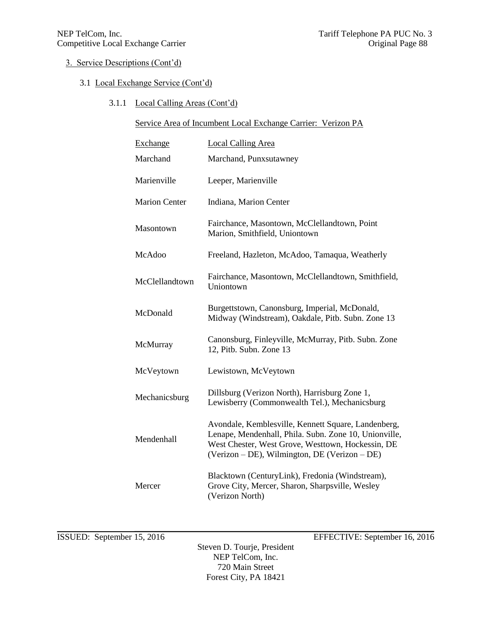#### 3.1 Local Exchange Service (Cont'd)

3.1.1 Local Calling Areas (Cont'd)

# Service Area of Incumbent Local Exchange Carrier: Verizon PA

| Exchange             | <b>Local Calling Area</b>                                                                                                                                                                                          |
|----------------------|--------------------------------------------------------------------------------------------------------------------------------------------------------------------------------------------------------------------|
| Marchand             | Marchand, Punxsutawney                                                                                                                                                                                             |
| Marienville          | Leeper, Marienville                                                                                                                                                                                                |
| <b>Marion Center</b> | Indiana, Marion Center                                                                                                                                                                                             |
| Masontown            | Fairchance, Masontown, McClellandtown, Point<br>Marion, Smithfield, Uniontown                                                                                                                                      |
| McAdoo               | Freeland, Hazleton, McAdoo, Tamaqua, Weatherly                                                                                                                                                                     |
| McClellandtown       | Fairchance, Masontown, McClellandtown, Smithfield,<br>Uniontown                                                                                                                                                    |
| McDonald             | Burgettstown, Canonsburg, Imperial, McDonald,<br>Midway (Windstream), Oakdale, Pitb. Subn. Zone 13                                                                                                                 |
| McMurray             | Canonsburg, Finleyville, McMurray, Pitb. Subn. Zone<br>12, Pitb. Subn. Zone 13                                                                                                                                     |
| McVeytown            | Lewistown, McVeytown                                                                                                                                                                                               |
| Mechanicsburg        | Dillsburg (Verizon North), Harrisburg Zone 1,<br>Lewisberry (Commonwealth Tel.), Mechanicsburg                                                                                                                     |
| Mendenhall           | Avondale, Kemblesville, Kennett Square, Landenberg,<br>Lenape, Mendenhall, Phila. Subn. Zone 10, Unionville,<br>West Chester, West Grove, Westtown, Hockessin, DE<br>(Verizon – DE), Wilmington, DE (Verizon – DE) |
| Mercer               | Blacktown (CenturyLink), Fredonia (Windstream),<br>Grove City, Mercer, Sharon, Sharpsville, Wesley<br>(Verizon North)                                                                                              |

Steven D. Tourje, President NEP TelCom, Inc. 720 Main Street Forest City, PA 18421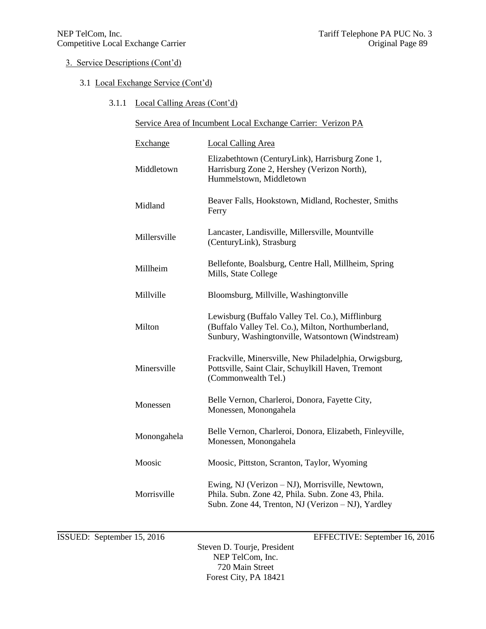# 3.1 Local Exchange Service (Cont'd)

3.1.1 Local Calling Areas (Cont'd)

| Service Area of Incumbent Local Exchange Carrier: Verizon PA |  |
|--------------------------------------------------------------|--|
|                                                              |  |

| <b>Exchange</b> | <b>Local Calling Area</b>                                                                                                                                   |
|-----------------|-------------------------------------------------------------------------------------------------------------------------------------------------------------|
| Middletown      | Elizabethtown (CenturyLink), Harrisburg Zone 1,<br>Harrisburg Zone 2, Hershey (Verizon North),<br>Hummelstown, Middletown                                   |
| Midland         | Beaver Falls, Hookstown, Midland, Rochester, Smiths<br>Ferry                                                                                                |
| Millersville    | Lancaster, Landisville, Millersville, Mountville<br>(CenturyLink), Strasburg                                                                                |
| Millheim        | Bellefonte, Boalsburg, Centre Hall, Millheim, Spring<br>Mills, State College                                                                                |
| Millville       | Bloomsburg, Millville, Washingtonville                                                                                                                      |
| Milton          | Lewisburg (Buffalo Valley Tel. Co.), Mifflinburg<br>(Buffalo Valley Tel. Co.), Milton, Northumberland,<br>Sunbury, Washingtonville, Watsontown (Windstream) |
| Minersville     | Frackville, Minersville, New Philadelphia, Orwigsburg,<br>Pottsville, Saint Clair, Schuylkill Haven, Tremont<br>(Commonwealth Tel.)                         |
| Monessen        | Belle Vernon, Charleroi, Donora, Fayette City,<br>Monessen, Monongahela                                                                                     |
| Monongahela     | Belle Vernon, Charleroi, Donora, Elizabeth, Finleyville,<br>Monessen, Monongahela                                                                           |
| Moosic          | Moosic, Pittston, Scranton, Taylor, Wyoming                                                                                                                 |
| Morrisville     | Ewing, NJ (Verizon – NJ), Morrisville, Newtown,<br>Phila. Subn. Zone 42, Phila. Subn. Zone 43, Phila.<br>Subn. Zone 44, Trenton, NJ (Verizon - NJ), Yardley |

ISSUED: September 15, 2016 EFFECTIVE: September 16, 2016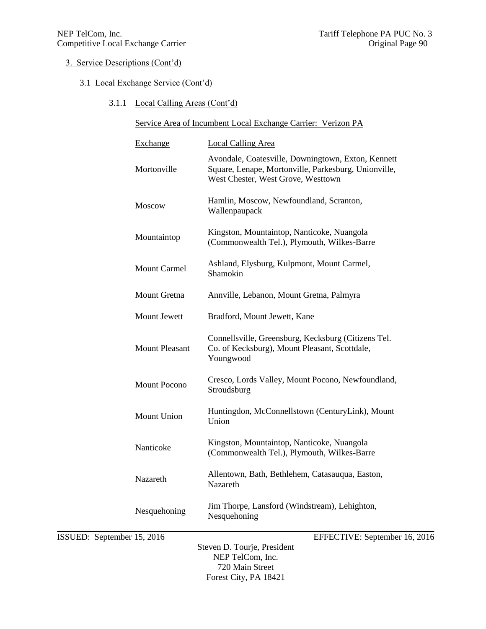### 3.1 Local Exchange Service (Cont'd)

3.1.1 Local Calling Areas (Cont'd)

Service Area of Incumbent Local Exchange Carrier: Verizon PA

| <b>Exchange</b>       | <b>Local Calling Area</b>                                                                                                                        |
|-----------------------|--------------------------------------------------------------------------------------------------------------------------------------------------|
| Mortonville           | Avondale, Coatesville, Downingtown, Exton, Kennett<br>Square, Lenape, Mortonville, Parkesburg, Unionville,<br>West Chester, West Grove, Westtown |
| Moscow                | Hamlin, Moscow, Newfoundland, Scranton,<br>Wallenpaupack                                                                                         |
| Mountaintop           | Kingston, Mountaintop, Nanticoke, Nuangola<br>(Commonwealth Tel.), Plymouth, Wilkes-Barre                                                        |
| <b>Mount Carmel</b>   | Ashland, Elysburg, Kulpmont, Mount Carmel,<br>Shamokin                                                                                           |
| <b>Mount Gretna</b>   | Annville, Lebanon, Mount Gretna, Palmyra                                                                                                         |
| <b>Mount Jewett</b>   | Bradford, Mount Jewett, Kane                                                                                                                     |
| <b>Mount Pleasant</b> | Connellsville, Greensburg, Kecksburg (Citizens Tel.<br>Co. of Kecksburg), Mount Pleasant, Scottdale,<br>Youngwood                                |
| <b>Mount Pocono</b>   | Cresco, Lords Valley, Mount Pocono, Newfoundland,<br>Stroudsburg                                                                                 |
| <b>Mount Union</b>    | Huntingdon, McConnellstown (CenturyLink), Mount<br>Union                                                                                         |
| Nanticoke             | Kingston, Mountaintop, Nanticoke, Nuangola<br>(Commonwealth Tel.), Plymouth, Wilkes-Barre                                                        |
| Nazareth              | Allentown, Bath, Bethlehem, Catasauqua, Easton,<br>Nazareth                                                                                      |
| Nesquehoning          | Jim Thorpe, Lansford (Windstream), Lehighton,<br>Nesquehoning                                                                                    |

ISSUED: September 15, 2016 EFFECTIVE: September 16, 2016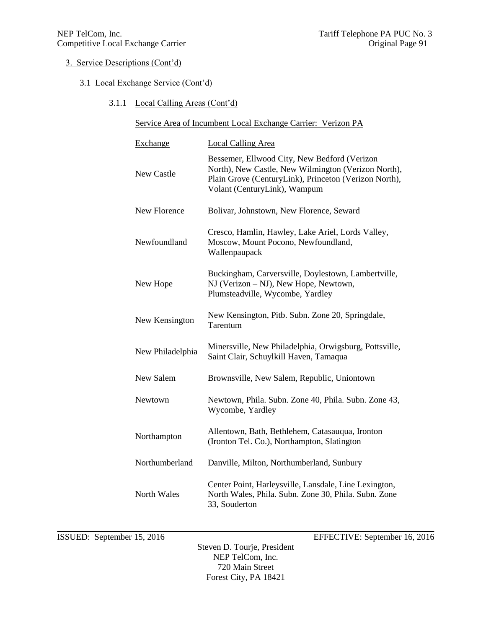### 3.1 Local Exchange Service (Cont'd)

3.1.1 Local Calling Areas (Cont'd)

Service Area of Incumbent Local Exchange Carrier: Verizon PA

| <b>Exchange</b>    | <b>Local Calling Area</b>                                                                                                                                                                    |
|--------------------|----------------------------------------------------------------------------------------------------------------------------------------------------------------------------------------------|
| New Castle         | Bessemer, Ellwood City, New Bedford (Verizon<br>North), New Castle, New Wilmington (Verizon North),<br>Plain Grove (CenturyLink), Princeton (Verizon North),<br>Volant (CenturyLink), Wampum |
| New Florence       | Bolivar, Johnstown, New Florence, Seward                                                                                                                                                     |
| Newfoundland       | Cresco, Hamlin, Hawley, Lake Ariel, Lords Valley,<br>Moscow, Mount Pocono, Newfoundland,<br>Wallenpaupack                                                                                    |
| New Hope           | Buckingham, Carversville, Doylestown, Lambertville,<br>NJ (Verizon – NJ), New Hope, Newtown,<br>Plumsteadville, Wycombe, Yardley                                                             |
| New Kensington     | New Kensington, Pitb. Subn. Zone 20, Springdale,<br>Tarentum                                                                                                                                 |
| New Philadelphia   | Minersville, New Philadelphia, Orwigsburg, Pottsville,<br>Saint Clair, Schuylkill Haven, Tamaqua                                                                                             |
| New Salem          | Brownsville, New Salem, Republic, Uniontown                                                                                                                                                  |
| Newtown            | Newtown, Phila. Subn. Zone 40, Phila. Subn. Zone 43,<br>Wycombe, Yardley                                                                                                                     |
| Northampton        | Allentown, Bath, Bethlehem, Catasauqua, Ironton<br>(Ironton Tel. Co.), Northampton, Slatington                                                                                               |
| Northumberland     | Danville, Milton, Northumberland, Sunbury                                                                                                                                                    |
| <b>North Wales</b> | Center Point, Harleysville, Lansdale, Line Lexington,<br>North Wales, Phila. Subn. Zone 30, Phila. Subn. Zone<br>33, Souderton                                                               |

Steven D. Tourje, President NEP TelCom, Inc. 720 Main Street Forest City, PA 18421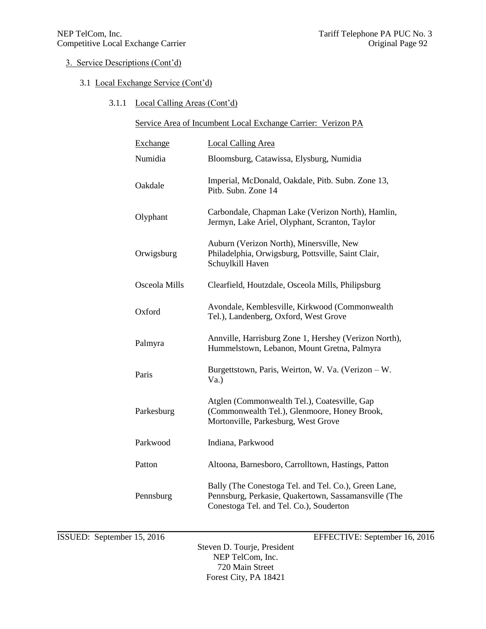#### 3.1 Local Exchange Service (Cont'd)

3.1.1 Local Calling Areas (Cont'd)

| Service Area of Incumbent Local Exchange Carrier: Verizon PA |                                                                                                                                     |  |
|--------------------------------------------------------------|-------------------------------------------------------------------------------------------------------------------------------------|--|
| Exchange                                                     | <b>Local Calling Area</b>                                                                                                           |  |
| Numidia                                                      | Bloomsburg, Catawissa, Elysburg, Numidia                                                                                            |  |
| Oakdale                                                      | Imperial, McDonald, Oakdale, Pitb. Subn. Zone 13,<br>Pitb. Subn. Zone 14                                                            |  |
| Olyphant                                                     | Carbondale, Chapman Lake (Verizon North), Hamlin,<br>Jermyn, Lake Ariel, Olyphant, Scranton, Taylor                                 |  |
| Orwigsburg                                                   | Auburn (Verizon North), Minersville, New<br>Philadelphia, Orwigsburg, Pottsville, Saint Clair,<br>Schuylkill Haven                  |  |
| Osceola Mills                                                | Clearfield, Houtzdale, Osceola Mills, Philipsburg                                                                                   |  |
| Oxford                                                       | Avondale, Kemblesville, Kirkwood (Commonwealth<br>Tel.), Landenberg, Oxford, West Grove                                             |  |
| Palmyra                                                      | Annville, Harrisburg Zone 1, Hershey (Verizon North),<br>Hummelstown, Lebanon, Mount Gretna, Palmyra                                |  |
| Paris                                                        | Burgettstown, Paris, Weirton, W. Va. (Verizon – W.<br>$Va.$ )                                                                       |  |
| Parkesburg                                                   | Atglen (Commonwealth Tel.), Coatesville, Gap<br>(Commonwealth Tel.), Glenmoore, Honey Brook,<br>Mortonville, Parkesburg, West Grove |  |
| Parkwood                                                     | Indiana, Parkwood                                                                                                                   |  |
| Patton                                                       | Altoona, Barnesboro, Carrolltown, Hastings, Patton                                                                                  |  |
| Pennsburg                                                    | Bally (The Conestoga Tel. and Tel. Co.), Green Lane,<br>Pennsburg, Perkasie, Quakertown, Sassamansville (The                        |  |

ISSUED: September 15, 2016 EFFECTIVE: September 16, 2016

Steven D. Tourje, President NEP TelCom, Inc. 720 Main Street Forest City, PA 18421

Conestoga Tel. and Tel. Co.), Souderton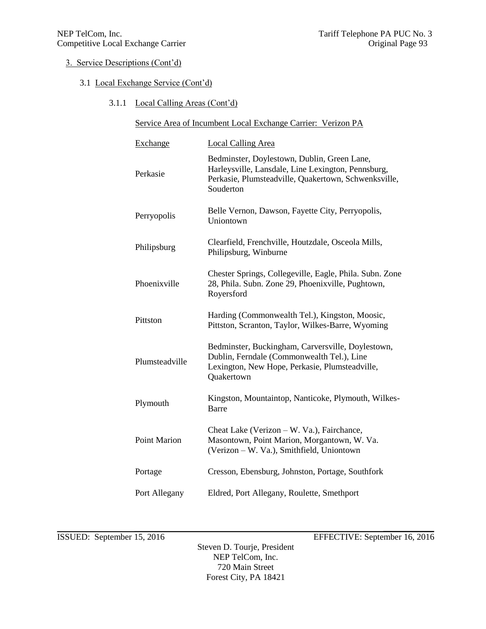#### 3.1 Local Exchange Service (Cont'd)

3.1.1 Local Calling Areas (Cont'd)

## Service Area of Incumbent Local Exchange Carrier: Verizon PA

| <b>Exchange</b>     | <b>Local Calling Area</b>                                                                                                                                              |
|---------------------|------------------------------------------------------------------------------------------------------------------------------------------------------------------------|
| Perkasie            | Bedminster, Doylestown, Dublin, Green Lane,<br>Harleysville, Lansdale, Line Lexington, Pennsburg,<br>Perkasie, Plumsteadville, Quakertown, Schwenksville,<br>Souderton |
| Perryopolis         | Belle Vernon, Dawson, Fayette City, Perryopolis,<br>Uniontown                                                                                                          |
| Philipsburg         | Clearfield, Frenchville, Houtzdale, Osceola Mills,<br>Philipsburg, Winburne                                                                                            |
| Phoenixville        | Chester Springs, Collegeville, Eagle, Phila. Subn. Zone<br>28, Phila. Subn. Zone 29, Phoenixville, Pughtown,<br>Royersford                                             |
| Pittston            | Harding (Commonwealth Tel.), Kingston, Moosic,<br>Pittston, Scranton, Taylor, Wilkes-Barre, Wyoming                                                                    |
| Plumsteadville      | Bedminster, Buckingham, Carversville, Doylestown,<br>Dublin, Ferndale (Commonwealth Tel.), Line<br>Lexington, New Hope, Perkasie, Plumsteadville,<br>Quakertown        |
| Plymouth            | Kingston, Mountaintop, Nanticoke, Plymouth, Wilkes-<br><b>Barre</b>                                                                                                    |
| <b>Point Marion</b> | Cheat Lake (Verizon – W. Va.), Fairchance,<br>Masontown, Point Marion, Morgantown, W. Va.<br>(Verizon – W. Va.), Smithfield, Uniontown                                 |
| Portage             | Cresson, Ebensburg, Johnston, Portage, Southfork                                                                                                                       |
| Port Allegany       | Eldred, Port Allegany, Roulette, Smethport                                                                                                                             |

Steven D. Tourje, President NEP TelCom, Inc. 720 Main Street Forest City, PA 18421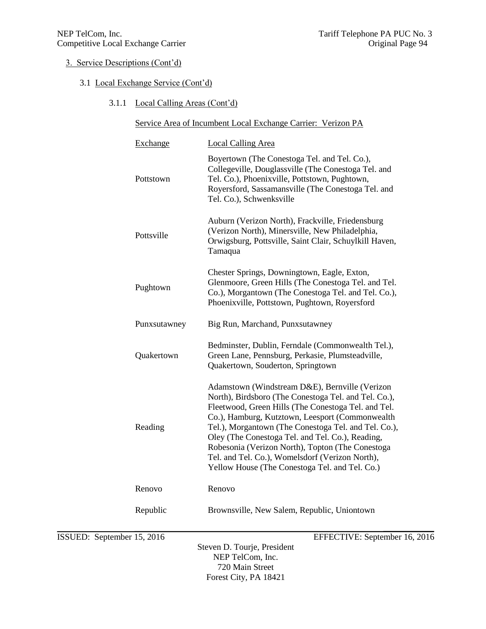### 3.1 Local Exchange Service (Cont'd)

3.1.1 Local Calling Areas (Cont'd)

## Service Area of Incumbent Local Exchange Carrier: Verizon PA

| Exchange     | <b>Local Calling Area</b>                                                                                                                                                                                                                                                                                                                                                                                                                                                             |
|--------------|---------------------------------------------------------------------------------------------------------------------------------------------------------------------------------------------------------------------------------------------------------------------------------------------------------------------------------------------------------------------------------------------------------------------------------------------------------------------------------------|
| Pottstown    | Boyertown (The Conestoga Tel. and Tel. Co.),<br>Collegeville, Douglassville (The Conestoga Tel. and<br>Tel. Co.), Phoenixville, Pottstown, Pughtown,<br>Royersford, Sassamansville (The Conestoga Tel. and<br>Tel. Co.), Schwenksville                                                                                                                                                                                                                                                |
| Pottsville   | Auburn (Verizon North), Frackville, Friedensburg<br>(Verizon North), Minersville, New Philadelphia,<br>Orwigsburg, Pottsville, Saint Clair, Schuylkill Haven,<br>Tamaqua                                                                                                                                                                                                                                                                                                              |
| Pughtown     | Chester Springs, Downingtown, Eagle, Exton,<br>Glenmoore, Green Hills (The Conestoga Tel. and Tel.<br>Co.), Morgantown (The Conestoga Tel. and Tel. Co.),<br>Phoenixville, Pottstown, Pughtown, Royersford                                                                                                                                                                                                                                                                            |
| Punxsutawney | Big Run, Marchand, Punxsutawney                                                                                                                                                                                                                                                                                                                                                                                                                                                       |
| Quakertown   | Bedminster, Dublin, Ferndale (Commonwealth Tel.),<br>Green Lane, Pennsburg, Perkasie, Plumsteadville,<br>Quakertown, Souderton, Springtown                                                                                                                                                                                                                                                                                                                                            |
| Reading      | Adamstown (Windstream D&E), Bernville (Verizon<br>North), Birdsboro (The Conestoga Tel. and Tel. Co.),<br>Fleetwood, Green Hills (The Conestoga Tel. and Tel.<br>Co.), Hamburg, Kutztown, Leesport (Commonwealth<br>Tel.), Morgantown (The Conestoga Tel. and Tel. Co.),<br>Oley (The Conestoga Tel. and Tel. Co.), Reading,<br>Robesonia (Verizon North), Topton (The Conestoga<br>Tel. and Tel. Co.), Womelsdorf (Verizon North),<br>Yellow House (The Conestoga Tel. and Tel. Co.) |
| Renovo       | Renovo                                                                                                                                                                                                                                                                                                                                                                                                                                                                                |
| Republic     | Brownsville, New Salem, Republic, Uniontown                                                                                                                                                                                                                                                                                                                                                                                                                                           |
|              |                                                                                                                                                                                                                                                                                                                                                                                                                                                                                       |

ISSUED: September 15, 2016 EFFECTIVE: September 16, 2016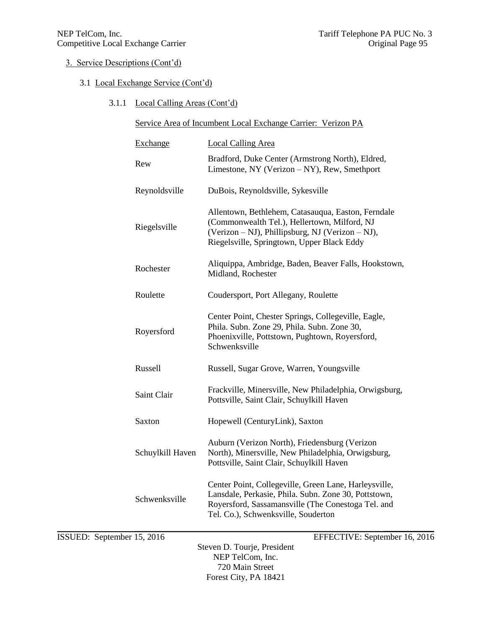### 3.1 Local Exchange Service (Cont'd)

3.1.1 Local Calling Areas (Cont'd)

Service Area of Incumbent Local Exchange Carrier: Verizon PA

| <b>Exchange</b>  | <b>Local Calling Area</b>                                                                                                                                                                                  |
|------------------|------------------------------------------------------------------------------------------------------------------------------------------------------------------------------------------------------------|
| Rew              | Bradford, Duke Center (Armstrong North), Eldred,<br>Limestone, NY (Verizon - NY), Rew, Smethport                                                                                                           |
| Reynoldsville    | DuBois, Reynoldsville, Sykesville                                                                                                                                                                          |
| Riegelsville     | Allentown, Bethlehem, Catasauqua, Easton, Ferndale<br>(Commonwealth Tel.), Hellertown, Milford, NJ<br>(Verizon - NJ), Phillipsburg, NJ (Verizon - NJ),<br>Riegelsville, Springtown, Upper Black Eddy       |
| Rochester        | Aliquippa, Ambridge, Baden, Beaver Falls, Hookstown,<br>Midland, Rochester                                                                                                                                 |
| Roulette         | Coudersport, Port Allegany, Roulette                                                                                                                                                                       |
| Royersford       | Center Point, Chester Springs, Collegeville, Eagle,<br>Phila. Subn. Zone 29, Phila. Subn. Zone 30,<br>Phoenixville, Pottstown, Pughtown, Royersford,<br>Schwenksville                                      |
| Russell          | Russell, Sugar Grove, Warren, Youngsville                                                                                                                                                                  |
| Saint Clair      | Frackville, Minersville, New Philadelphia, Orwigsburg,<br>Pottsville, Saint Clair, Schuylkill Haven                                                                                                        |
| Saxton           | Hopewell (CenturyLink), Saxton                                                                                                                                                                             |
| Schuylkill Haven | Auburn (Verizon North), Friedensburg (Verizon<br>North), Minersville, New Philadelphia, Orwigsburg,<br>Pottsville, Saint Clair, Schuylkill Haven                                                           |
| Schwenksville    | Center Point, Collegeville, Green Lane, Harleysville,<br>Lansdale, Perkasie, Phila. Subn. Zone 30, Pottstown,<br>Royersford, Sassamansville (The Conestoga Tel. and<br>Tel. Co.), Schwenksville, Souderton |

ISSUED: September 15, 2016 EFFECTIVE: September 16, 2016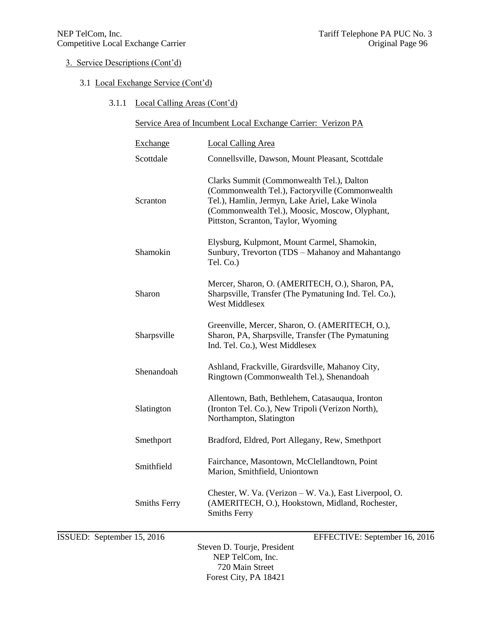### 3.1 Local Exchange Service (Cont'd)

3.1.1 Local Calling Areas (Cont'd)

| Service Area of Incumbent Local Exchange Carrier: Verizon PA |                                                                                                                                                                                                                                         |  |
|--------------------------------------------------------------|-----------------------------------------------------------------------------------------------------------------------------------------------------------------------------------------------------------------------------------------|--|
| <b>Exchange</b>                                              | <b>Local Calling Area</b>                                                                                                                                                                                                               |  |
| Scottdale                                                    | Connellsville, Dawson, Mount Pleasant, Scottdale                                                                                                                                                                                        |  |
| Scranton                                                     | Clarks Summit (Commonwealth Tel.), Dalton<br>(Commonwealth Tel.), Factoryville (Commonwealth<br>Tel.), Hamlin, Jermyn, Lake Ariel, Lake Winola<br>(Commonwealth Tel.), Moosic, Moscow, Olyphant,<br>Pittston, Scranton, Taylor, Wyoming |  |
| Shamokin                                                     | Elysburg, Kulpmont, Mount Carmel, Shamokin,<br>Sunbury, Trevorton (TDS - Mahanoy and Mahantango<br>Tel. Co.)                                                                                                                            |  |
| Sharon                                                       | Mercer, Sharon, O. (AMERITECH, O.), Sharon, PA,<br>Sharpsville, Transfer (The Pymatuning Ind. Tel. Co.),<br><b>West Middlesex</b>                                                                                                       |  |
| Sharpsville                                                  | Greenville, Mercer, Sharon, O. (AMERITECH, O.),<br>Sharon, PA, Sharpsville, Transfer (The Pymatuning<br>Ind. Tel. Co.), West Middlesex                                                                                                  |  |
| Shenandoah                                                   | Ashland, Frackville, Girardsville, Mahanoy City,<br>Ringtown (Commonwealth Tel.), Shenandoah                                                                                                                                            |  |
| Slatington                                                   | Allentown, Bath, Bethlehem, Catasauqua, Ironton<br>(Ironton Tel. Co.), New Tripoli (Verizon North),<br>Northampton, Slatington                                                                                                          |  |
| Smethport                                                    | Bradford, Eldred, Port Allegany, Rew, Smethport                                                                                                                                                                                         |  |
| Smithfield                                                   | Fairchance, Masontown, McClellandtown, Point<br>Marion, Smithfield, Uniontown                                                                                                                                                           |  |
| <b>Smiths Ferry</b>                                          | Chester, W. Va. (Verizon - W. Va.), East Liverpool, O.<br>(AMERITECH, O.), Hookstown, Midland, Rochester,<br><b>Smiths Ferry</b>                                                                                                        |  |

ISSUED: September 15, 2016 EFFECTIVE: September 16, 2016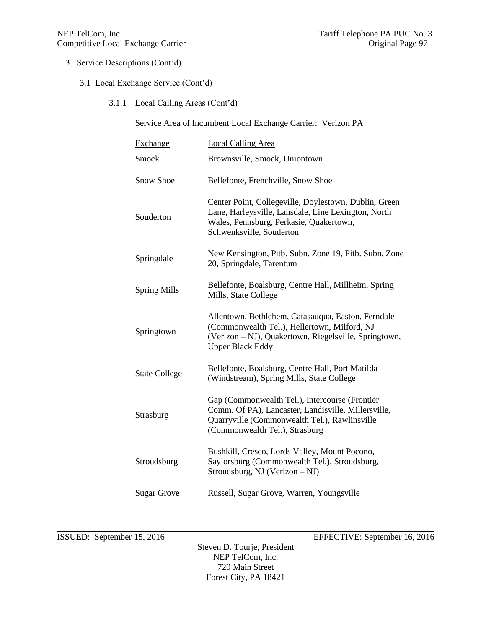### 3.1 Local Exchange Service (Cont'd)

3.1.1 Local Calling Areas (Cont'd)

| Service Area of Incumbent Local Exchange Carrier: Verizon PA |                                                                                                                                                                                          |  |
|--------------------------------------------------------------|------------------------------------------------------------------------------------------------------------------------------------------------------------------------------------------|--|
| <b>Exchange</b>                                              | <b>Local Calling Area</b>                                                                                                                                                                |  |
| <b>Smock</b>                                                 | Brownsville, Smock, Uniontown                                                                                                                                                            |  |
| Snow Shoe                                                    | Bellefonte, Frenchville, Snow Shoe                                                                                                                                                       |  |
| Souderton                                                    | Center Point, Collegeville, Doylestown, Dublin, Green<br>Lane, Harleysville, Lansdale, Line Lexington, North<br>Wales, Pennsburg, Perkasie, Quakertown,<br>Schwenksville, Souderton      |  |
| Springdale                                                   | New Kensington, Pitb. Subn. Zone 19, Pitb. Subn. Zone<br>20, Springdale, Tarentum                                                                                                        |  |
| <b>Spring Mills</b>                                          | Bellefonte, Boalsburg, Centre Hall, Millheim, Spring<br>Mills, State College                                                                                                             |  |
| Springtown                                                   | Allentown, Bethlehem, Catasauqua, Easton, Ferndale<br>(Commonwealth Tel.), Hellertown, Milford, NJ<br>(Verizon - NJ), Quakertown, Riegelsville, Springtown,<br><b>Upper Black Eddy</b>   |  |
| <b>State College</b>                                         | Bellefonte, Boalsburg, Centre Hall, Port Matilda<br>(Windstream), Spring Mills, State College                                                                                            |  |
| Strasburg                                                    | Gap (Commonwealth Tel.), Intercourse (Frontier<br>Comm. Of PA), Lancaster, Landisville, Millersville,<br>Quarryville (Commonwealth Tel.), Rawlinsville<br>(Commonwealth Tel.), Strasburg |  |
| Stroudsburg                                                  | Bushkill, Cresco, Lords Valley, Mount Pocono,<br>Saylorsburg (Commonwealth Tel.), Stroudsburg,<br>Stroudsburg, NJ (Verizon - NJ)                                                         |  |
| <b>Sugar Grove</b>                                           | Russell, Sugar Grove, Warren, Youngsville                                                                                                                                                |  |

Steven D. Tourje, President NEP TelCom, Inc. 720 Main Street Forest City, PA 18421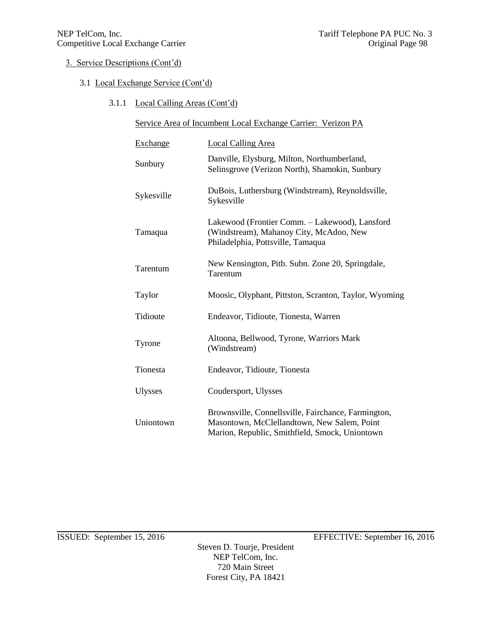### 3.1 Local Exchange Service (Cont'd)

3.1.1 Local Calling Areas (Cont'd)

Service Area of Incumbent Local Exchange Carrier: Verizon PA Exchange Local Calling Area Sunbury Danville, Elysburg, Milton, Northumberland, Selinsgrove (Verizon North), Shamokin, Sunbury Sykesville DuBois, Luthersburg (Windstream), Reynoldsville, Sykesville Tamaqua Lakewood (Frontier Comm. – Lakewood), Lansford (Windstream), Mahanoy City, McAdoo, New Philadelphia, Pottsville, Tamaqua Tarentum New Kensington, Pitb. Subn. Zone 20, Springdale, Tarentum Taylor Moosic, Olyphant, Pittston, Scranton, Taylor, Wyoming Tidioute Endeavor, Tidioute, Tionesta, Warren Tyrone Altoona, Bellwood, Tyrone, Warriors Mark (Windstream) Tionesta Endeavor, Tidioute, Tionesta Ulysses Coudersport, Ulysses Uniontown Brownsville, Connellsville, Fairchance, Farmington, Masontown, McClellandtown, New Salem, Point Marion, Republic, Smithfield, Smock, Uniontown

Steven D. Tourje, President NEP TelCom, Inc. 720 Main Street Forest City, PA 18421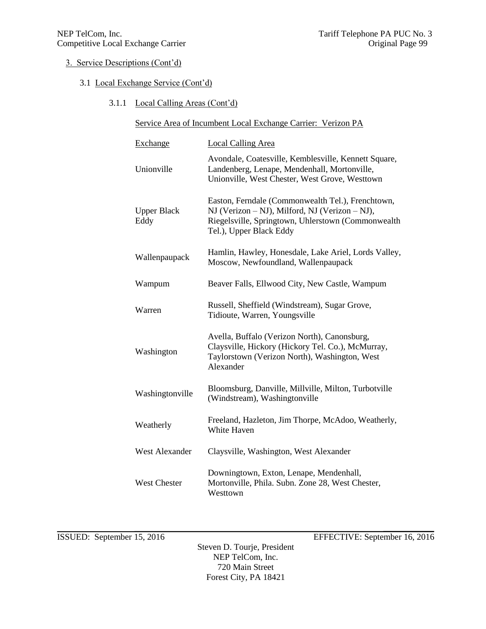### 3.1 Local Exchange Service (Cont'd)

3.1.1 Local Calling Areas (Cont'd)

## Service Area of Incumbent Local Exchange Carrier: Verizon PA

| <b>Exchange</b>            | <b>Local Calling Area</b>                                                                                                                                                            |
|----------------------------|--------------------------------------------------------------------------------------------------------------------------------------------------------------------------------------|
| Unionville                 | Avondale, Coatesville, Kemblesville, Kennett Square,<br>Landenberg, Lenape, Mendenhall, Mortonville,<br>Unionville, West Chester, West Grove, Westtown                               |
| <b>Upper Black</b><br>Eddy | Easton, Ferndale (Commonwealth Tel.), Frenchtown,<br>NJ (Verizon – NJ), Milford, NJ (Verizon – NJ),<br>Riegelsville, Springtown, Uhlerstown (Commonwealth<br>Tel.), Upper Black Eddy |
| Wallenpaupack              | Hamlin, Hawley, Honesdale, Lake Ariel, Lords Valley,<br>Moscow, Newfoundland, Wallenpaupack                                                                                          |
| Wampum                     | Beaver Falls, Ellwood City, New Castle, Wampum                                                                                                                                       |
| Warren                     | Russell, Sheffield (Windstream), Sugar Grove,<br>Tidioute, Warren, Youngsville                                                                                                       |
| Washington                 | Avella, Buffalo (Verizon North), Canonsburg,<br>Claysville, Hickory (Hickory Tel. Co.), McMurray,<br>Taylorstown (Verizon North), Washington, West<br>Alexander                      |
| Washingtonville            | Bloomsburg, Danville, Millville, Milton, Turbotville<br>(Windstream), Washingtonville                                                                                                |
| Weatherly                  | Freeland, Hazleton, Jim Thorpe, McAdoo, Weatherly,<br>White Haven                                                                                                                    |
| <b>West Alexander</b>      | Claysville, Washington, West Alexander                                                                                                                                               |
| <b>West Chester</b>        | Downingtown, Exton, Lenape, Mendenhall,<br>Mortonville, Phila. Subn. Zone 28, West Chester,<br>Westtown                                                                              |

Steven D. Tourje, President NEP TelCom, Inc. 720 Main Street Forest City, PA 18421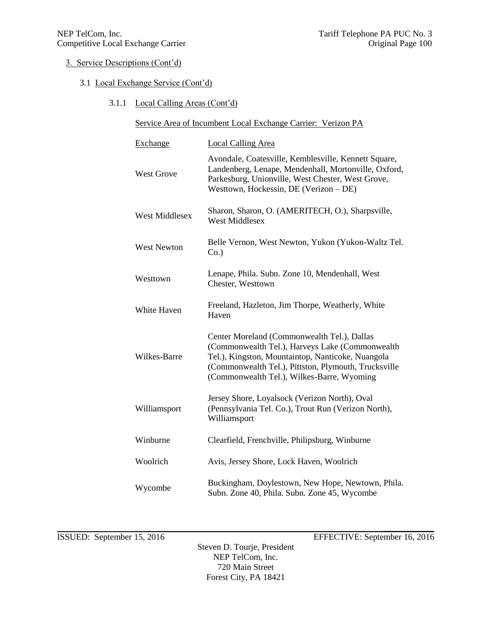#### 3.1 Local Exchange Service (Cont'd)

3.1.1 Local Calling Areas (Cont'd)

## Service Area of Incumbent Local Exchange Carrier: Verizon PA

| <b>Exchange</b>       | <b>Local Calling Area</b>                                                                                                                                                                                                                                 |
|-----------------------|-----------------------------------------------------------------------------------------------------------------------------------------------------------------------------------------------------------------------------------------------------------|
| <b>West Grove</b>     | Avondale, Coatesville, Kemblesville, Kennett Square,<br>Landenberg, Lenape, Mendenhall, Mortonville, Oxford,<br>Parkesburg, Unionville, West Chester, West Grove,<br>Westtown, Hockessin, DE (Verizon - DE)                                               |
| <b>West Middlesex</b> | Sharon, Sharon, O. (AMERITECH, O.), Sharpsville,<br><b>West Middlesex</b>                                                                                                                                                                                 |
| <b>West Newton</b>    | Belle Vernon, West Newton, Yukon (Yukon-Waltz Tel.<br>Co.                                                                                                                                                                                                 |
| Westtown              | Lenape, Phila. Subn. Zone 10, Mendenhall, West<br>Chester, Westtown                                                                                                                                                                                       |
| White Haven           | Freeland, Hazleton, Jim Thorpe, Weatherly, White<br>Haven                                                                                                                                                                                                 |
| Wilkes-Barre          | Center Moreland (Commonwealth Tel.), Dallas<br>(Commonwealth Tel.), Harveys Lake (Commonwealth<br>Tel.), Kingston, Mountaintop, Nanticoke, Nuangola<br>(Commonwealth Tel.), Pittston, Plymouth, Trucksville<br>(Commonwealth Tel.), Wilkes-Barre, Wyoming |
| Williamsport          | Jersey Shore, Loyalsock (Verizon North), Oval<br>(Pennsylvania Tel. Co.), Trout Run (Verizon North),<br>Williamsport                                                                                                                                      |
| Winburne              | Clearfield, Frenchville, Philipsburg, Winburne                                                                                                                                                                                                            |
| Woolrich              | Avis, Jersey Shore, Lock Haven, Woolrich                                                                                                                                                                                                                  |
| Wycombe               | Buckingham, Doylestown, New Hope, Newtown, Phila.<br>Subn. Zone 40, Phila. Subn. Zone 45, Wycombe                                                                                                                                                         |

Steven D. Tourje, President NEP TelCom, Inc. 720 Main Street Forest City, PA 18421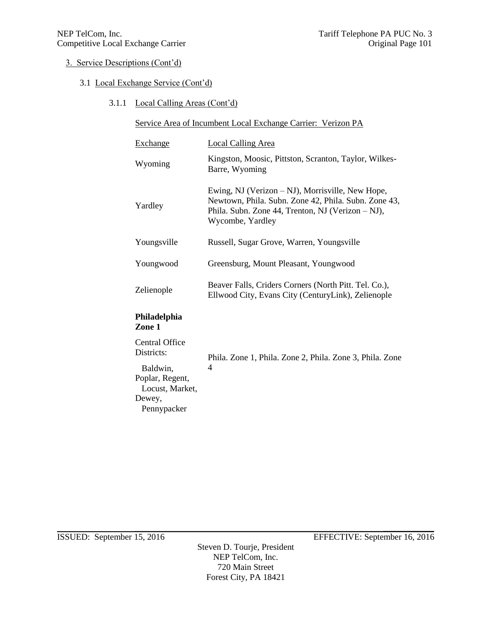### 3.1 Local Exchange Service (Cont'd)

3.1.1 Local Calling Areas (Cont'd)

| Service Area of Incumbent Local Exchange Carrier: Verizon PA |  |
|--------------------------------------------------------------|--|
|                                                              |  |

| <b>Exchange</b>                                                         | <b>Local Calling Area</b>                                                                                                                                                         |
|-------------------------------------------------------------------------|-----------------------------------------------------------------------------------------------------------------------------------------------------------------------------------|
| Wyoming                                                                 | Kingston, Moosic, Pittston, Scranton, Taylor, Wilkes-<br>Barre, Wyoming                                                                                                           |
| Yardley                                                                 | Ewing, NJ (Verizon – NJ), Morrisville, New Hope,<br>Newtown, Phila. Subn. Zone 42, Phila. Subn. Zone 43,<br>Phila. Subn. Zone 44, Trenton, NJ (Verizon - NJ),<br>Wycombe, Yardley |
| Youngsville                                                             | Russell, Sugar Grove, Warren, Youngsville                                                                                                                                         |
| Youngwood                                                               | Greensburg, Mount Pleasant, Youngwood                                                                                                                                             |
| Zelienople                                                              | Beaver Falls, Criders Corners (North Pitt. Tel. Co.),<br>Ellwood City, Evans City (CenturyLink), Zelienople                                                                       |
| Philadelphia<br>Zone 1                                                  |                                                                                                                                                                                   |
| <b>Central Office</b><br>Districts:                                     | Phila. Zone 1, Phila. Zone 2, Phila. Zone 3, Phila. Zone                                                                                                                          |
| Baldwin,<br>Poplar, Regent,<br>Locust, Market,<br>Dewey,<br>Pennypacker | 4                                                                                                                                                                                 |

Steven D. Tourje, President NEP TelCom, Inc. 720 Main Street Forest City, PA 18421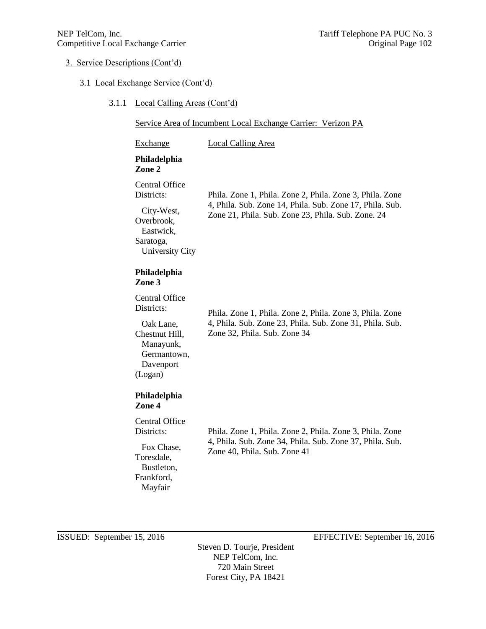#### 3.1 Local Exchange Service (Cont'd)

3.1.1 Local Calling Areas (Cont'd)

#### Service Area of Incumbent Local Exchange Carrier: Verizon PA

Exchange Local Calling Area

## **Philadelphia Zone 2**

| Central Office           |                                                                                                                |
|--------------------------|----------------------------------------------------------------------------------------------------------------|
| Districts:               | Phila, Zone 1, Phila, Zone 2, Phila, Zone 3, Phila, Zone                                                       |
| City-West,<br>Overbrook, | 4, Phila. Sub. Zone 14, Phila. Sub. Zone 17, Phila. Sub.<br>Zone 21, Phila. Sub. Zone 23, Phila. Sub. Zone. 24 |

#### **Philadelphia Zone 3**

University City

 Eastwick, Saratoga,

Central Office Districts:

 Oak Lane, Chestnut Hill, Manayunk, Phila. Zone 1, Phila. Zone 2, Phila. Zone 3, Phila. Zone 4, Phila. Sub. Zone 23, Phila. Sub. Zone 31, Phila. Sub. Zone 32, Phila. Sub. Zone 34

#### **Philadelphia Zone 4**

 Germantown, Davenport (Logan)

Central Office Districts:

 Fox Chase, Toresdale, Bustleton, Frankford, Mayfair

Phila. Zone 1, Phila. Zone 2, Phila. Zone 3, Phila. Zone 4, Phila. Sub. Zone 34, Phila. Sub. Zone 37, Phila. Sub. Zone 40, Phila. Sub. Zone 41

Steven D. Tourje, President NEP TelCom, Inc. 720 Main Street Forest City, PA 18421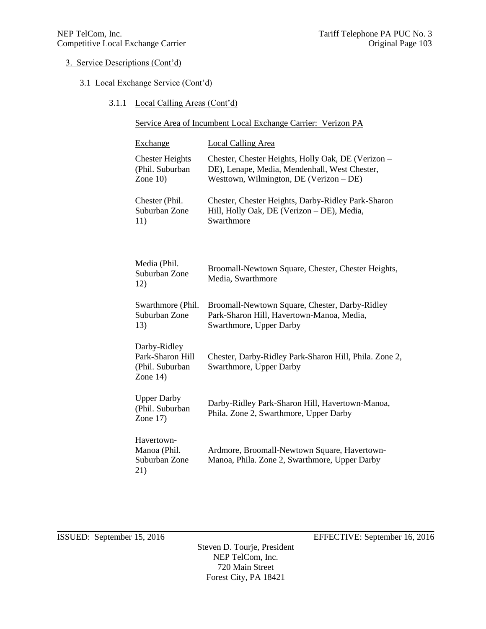### 3.1 Local Exchange Service (Cont'd)

3.1.1 Local Calling Areas (Cont'd)

### Service Area of Incumbent Local Exchange Carrier: Verizon PA

| <b>Exchange</b>                                                   | <b>Local Calling Area</b>                                                                                                                      |
|-------------------------------------------------------------------|------------------------------------------------------------------------------------------------------------------------------------------------|
| <b>Chester Heights</b><br>(Phil. Suburban<br>Zone $10$ )          | Chester, Chester Heights, Holly Oak, DE (Verizon –<br>DE), Lenape, Media, Mendenhall, West Chester,<br>Westtown, Wilmington, DE (Verizon - DE) |
| Chester (Phil.<br>Suburban Zone<br>11)                            | Chester, Chester Heights, Darby-Ridley Park-Sharon<br>Hill, Holly Oak, DE (Verizon - DE), Media,<br>Swarthmore                                 |
| Media (Phil.<br>Suburban Zone<br>12)                              | Broomall-Newtown Square, Chester, Chester Heights,<br>Media, Swarthmore                                                                        |
| Swarthmore (Phil.<br>Suburban Zone<br>13)                         | Broomall-Newtown Square, Chester, Darby-Ridley<br>Park-Sharon Hill, Havertown-Manoa, Media,<br>Swarthmore, Upper Darby                         |
| Darby-Ridley<br>Park-Sharon Hill<br>(Phil. Suburban<br>Zone $14)$ | Chester, Darby-Ridley Park-Sharon Hill, Phila. Zone 2,<br>Swarthmore, Upper Darby                                                              |
| <b>Upper Darby</b><br>(Phil. Suburban<br>Zone $17)$               | Darby-Ridley Park-Sharon Hill, Havertown-Manoa,<br>Phila. Zone 2, Swarthmore, Upper Darby                                                      |
| Havertown-<br>Manoa (Phil.<br>Suburban Zone<br>21)                | Ardmore, Broomall-Newtown Square, Havertown-<br>Manoa, Phila. Zone 2, Swarthmore, Upper Darby                                                  |

Steven D. Tourje, President NEP TelCom, Inc. 720 Main Street Forest City, PA 18421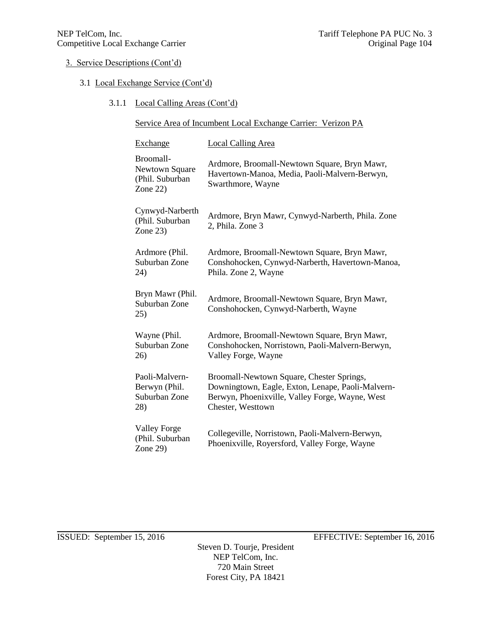### 3.1 Local Exchange Service (Cont'd)

3.1.1 Local Calling Areas (Cont'd)

### Service Area of Incumbent Local Exchange Carrier: Verizon PA

| Exchange                                                            | <b>Local Calling Area</b>                                                                                                                                              |
|---------------------------------------------------------------------|------------------------------------------------------------------------------------------------------------------------------------------------------------------------|
| Broomall-<br><b>Newtown Square</b><br>(Phil. Suburban<br>Zone $22)$ | Ardmore, Broomall-Newtown Square, Bryn Mawr,<br>Havertown-Manoa, Media, Paoli-Malvern-Berwyn,<br>Swarthmore, Wayne                                                     |
| Cynwyd-Narberth<br>(Phil. Suburban<br>Zone $23$ )                   | Ardmore, Bryn Mawr, Cynwyd-Narberth, Phila. Zone<br>2, Phila. Zone 3                                                                                                   |
| Ardmore (Phil.<br>Suburban Zone<br>24)                              | Ardmore, Broomall-Newtown Square, Bryn Mawr,<br>Conshohocken, Cynwyd-Narberth, Havertown-Manoa,<br>Phila. Zone 2, Wayne                                                |
| Bryn Mawr (Phil.<br>Suburban Zone<br>25)                            | Ardmore, Broomall-Newtown Square, Bryn Mawr,<br>Conshohocken, Cynwyd-Narberth, Wayne                                                                                   |
| Wayne (Phil.<br>Suburban Zone<br>26)                                | Ardmore, Broomall-Newtown Square, Bryn Mawr,<br>Conshohocken, Norristown, Paoli-Malvern-Berwyn,<br>Valley Forge, Wayne                                                 |
| Paoli-Malvern-<br>Berwyn (Phil.<br>Suburban Zone<br>28)             | Broomall-Newtown Square, Chester Springs,<br>Downingtown, Eagle, Exton, Lenape, Paoli-Malvern-<br>Berwyn, Phoenixville, Valley Forge, Wayne, West<br>Chester, Westtown |
| <b>Valley Forge</b><br>(Phil. Suburban<br>Zone $29$ )               | Collegeville, Norristown, Paoli-Malvern-Berwyn,<br>Phoenixville, Royersford, Valley Forge, Wayne                                                                       |

Steven D. Tourje, President NEP TelCom, Inc. 720 Main Street Forest City, PA 18421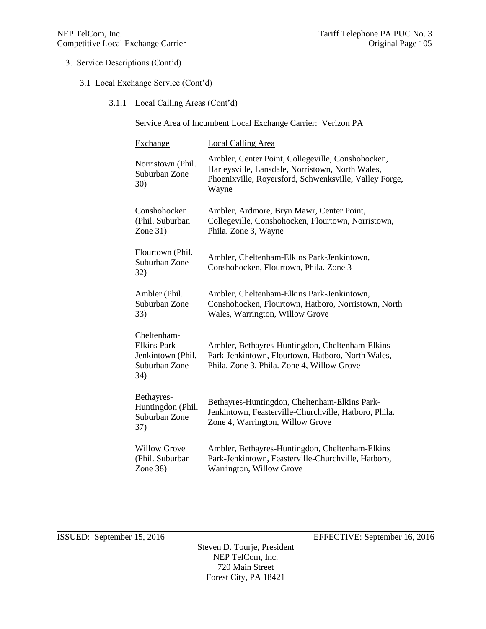### 3.1 Local Exchange Service (Cont'd)

3.1.1 Local Calling Areas (Cont'd)

### Service Area of Incumbent Local Exchange Carrier: Verizon PA

| <b>Exchange</b>                                                                 | <b>Local Calling Area</b>                                                                                                                                                |
|---------------------------------------------------------------------------------|--------------------------------------------------------------------------------------------------------------------------------------------------------------------------|
| Norristown (Phil.<br>Suburban Zone<br>30)                                       | Ambler, Center Point, Collegeville, Conshohocken,<br>Harleysville, Lansdale, Norristown, North Wales,<br>Phoenixville, Royersford, Schwenksville, Valley Forge,<br>Wayne |
| Conshohocken<br>(Phil. Suburban<br>Zone $31)$                                   | Ambler, Ardmore, Bryn Mawr, Center Point,<br>Collegeville, Conshohocken, Flourtown, Norristown,<br>Phila. Zone 3, Wayne                                                  |
| Flourtown (Phil.<br>Suburban Zone<br>32)                                        | Ambler, Cheltenham-Elkins Park-Jenkintown,<br>Conshohocken, Flourtown, Phila. Zone 3                                                                                     |
| Ambler (Phil.<br>Suburban Zone<br>33)                                           | Ambler, Cheltenham-Elkins Park-Jenkintown,<br>Conshohocken, Flourtown, Hatboro, Norristown, North<br>Wales, Warrington, Willow Grove                                     |
| Cheltenham-<br><b>Elkins Park-</b><br>Jenkintown (Phil.<br>Suburban Zone<br>34) | Ambler, Bethayres-Huntingdon, Cheltenham-Elkins<br>Park-Jenkintown, Flourtown, Hatboro, North Wales,<br>Phila. Zone 3, Phila. Zone 4, Willow Grove                       |
| Bethayres-<br>Huntingdon (Phil.<br>Suburban Zone<br>37)                         | Bethayres-Huntingdon, Cheltenham-Elkins Park-<br>Jenkintown, Feasterville-Churchville, Hatboro, Phila.<br>Zone 4, Warrington, Willow Grove                               |
| <b>Willow Grove</b><br>(Phil. Suburban<br>Zone 38)                              | Ambler, Bethayres-Huntingdon, Cheltenham-Elkins<br>Park-Jenkintown, Feasterville-Churchville, Hatboro,<br>Warrington, Willow Grove                                       |

Steven D. Tourje, President NEP TelCom, Inc. 720 Main Street Forest City, PA 18421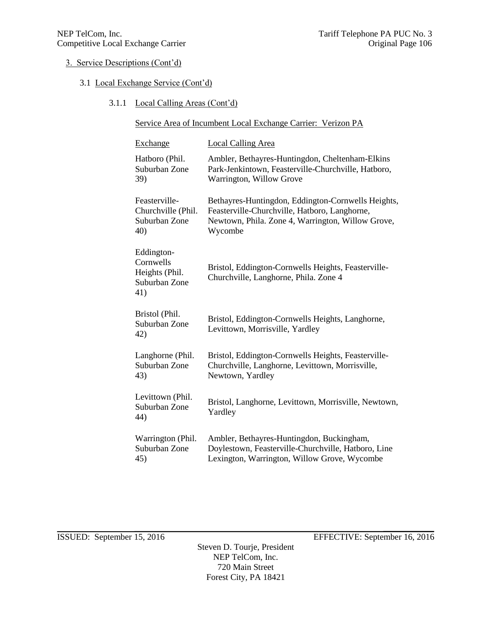### 3.1 Local Exchange Service (Cont'd)

3.1.1 Local Calling Areas (Cont'd)

### Service Area of Incumbent Local Exchange Carrier: Verizon PA

| <b>Exchange</b>                                                   | <b>Local Calling Area</b>                                                                    |
|-------------------------------------------------------------------|----------------------------------------------------------------------------------------------|
| Hatboro (Phil.                                                    | Ambler, Bethayres-Huntingdon, Cheltenham-Elkins                                              |
| Suburban Zone                                                     | Park-Jenkintown, Feasterville-Churchville, Hatboro,                                          |
| 39)                                                               | Warrington, Willow Grove                                                                     |
| Feasterville-                                                     | Bethayres-Huntingdon, Eddington-Cornwells Heights,                                           |
| Churchville (Phil.                                                | Feasterville-Churchville, Hatboro, Langhorne,                                                |
| Suburban Zone                                                     | Newtown, Phila. Zone 4, Warrington, Willow Grove,                                            |
| 40)                                                               | Wycombe                                                                                      |
| Eddington-<br>Cornwells<br>Heights (Phil.<br>Suburban Zone<br>41) | Bristol, Eddington-Cornwells Heights, Feasterville-<br>Churchville, Langhorne, Phila. Zone 4 |
| Bristol (Phil.<br>Suburban Zone<br>42)                            | Bristol, Eddington-Cornwells Heights, Langhorne,<br>Levittown, Morrisville, Yardley          |
| Langhorne (Phil.                                                  | Bristol, Eddington-Cornwells Heights, Feasterville-                                          |
| Suburban Zone                                                     | Churchville, Langhorne, Levittown, Morrisville,                                              |
| 43)                                                               | Newtown, Yardley                                                                             |
| Levittown (Phil.<br>Suburban Zone<br>44)                          | Bristol, Langhorne, Levittown, Morrisville, Newtown,<br>Yardley                              |
| Warrington (Phil.                                                 | Ambler, Bethayres-Huntingdon, Buckingham,                                                    |
| Suburban Zone                                                     | Doylestown, Feasterville-Churchville, Hatboro, Line                                          |
| 45)                                                               | Lexington, Warrington, Willow Grove, Wycombe                                                 |

Steven D. Tourje, President NEP TelCom, Inc. 720 Main Street Forest City, PA 18421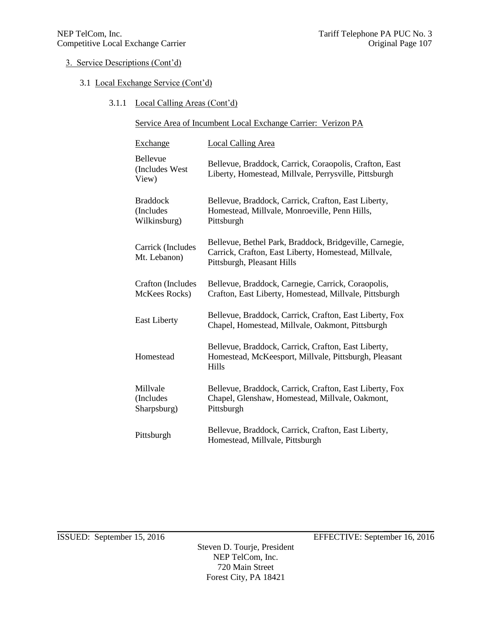### 3.1 Local Exchange Service (Cont'd)

3.1.1 Local Calling Areas (Cont'd)

### Service Area of Incumbent Local Exchange Carrier: Verizon PA

| <b>Exchange</b>                              | Local Calling Area                                                                                                                            |
|----------------------------------------------|-----------------------------------------------------------------------------------------------------------------------------------------------|
| <b>Bellevue</b><br>(Includes West<br>View)   | Bellevue, Braddock, Carrick, Coraopolis, Crafton, East<br>Liberty, Homestead, Millvale, Perrysville, Pittsburgh                               |
| <b>Braddock</b><br>(Includes<br>Wilkinsburg) | Bellevue, Braddock, Carrick, Crafton, East Liberty,<br>Homestead, Millvale, Monroeville, Penn Hills,<br>Pittsburgh                            |
| Carrick (Includes<br>Mt. Lebanon)            | Bellevue, Bethel Park, Braddock, Bridgeville, Carnegie,<br>Carrick, Crafton, East Liberty, Homestead, Millvale,<br>Pittsburgh, Pleasant Hills |
| Crafton (Includes<br>McKees Rocks)           | Bellevue, Braddock, Carnegie, Carrick, Coraopolis,<br>Crafton, East Liberty, Homestead, Millvale, Pittsburgh                                  |
| <b>East Liberty</b>                          | Bellevue, Braddock, Carrick, Crafton, East Liberty, Fox<br>Chapel, Homestead, Millvale, Oakmont, Pittsburgh                                   |
| Homestead                                    | Bellevue, Braddock, Carrick, Crafton, East Liberty,<br>Homestead, McKeesport, Millvale, Pittsburgh, Pleasant<br>Hills                         |
| Millvale<br>(Includes<br>Sharpsburg)         | Bellevue, Braddock, Carrick, Crafton, East Liberty, Fox<br>Chapel, Glenshaw, Homestead, Millvale, Oakmont,<br>Pittsburgh                      |
| Pittsburgh                                   | Bellevue, Braddock, Carrick, Crafton, East Liberty,<br>Homestead, Millvale, Pittsburgh                                                        |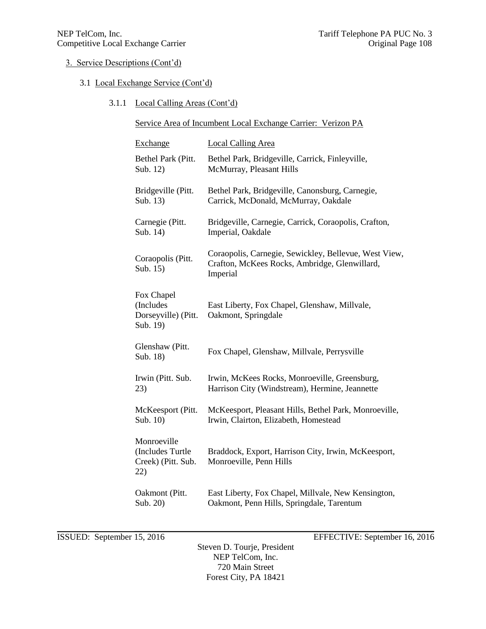#### 3.1 Local Exchange Service (Cont'd)

3.1.1 Local Calling Areas (Cont'd)

# Service Area of Incumbent Local Exchange Carrier: Verizon PA

| Exchange                                                     | <b>Local Calling Area</b>                                                                                          |
|--------------------------------------------------------------|--------------------------------------------------------------------------------------------------------------------|
| Bethel Park (Pitt.                                           | Bethel Park, Bridgeville, Carrick, Finleyville,                                                                    |
| Sub. 12)                                                     | McMurray, Pleasant Hills                                                                                           |
| Bridgeville (Pitt.                                           | Bethel Park, Bridgeville, Canonsburg, Carnegie,                                                                    |
| Sub. 13)                                                     | Carrick, McDonald, McMurray, Oakdale                                                                               |
| Carnegie (Pitt.                                              | Bridgeville, Carnegie, Carrick, Coraopolis, Crafton,                                                               |
| Sub. 14)                                                     | Imperial, Oakdale                                                                                                  |
| Coraopolis (Pitt.<br>Sub. 15)                                | Coraopolis, Carnegie, Sewickley, Bellevue, West View,<br>Crafton, McKees Rocks, Ambridge, Glenwillard,<br>Imperial |
| Fox Chapel<br>(Includes<br>Dorseyville) (Pitt.<br>Sub. 19)   | East Liberty, Fox Chapel, Glenshaw, Millvale,<br>Oakmont, Springdale                                               |
| Glenshaw (Pitt.<br>Sub. 18)                                  | Fox Chapel, Glenshaw, Millvale, Perrysville                                                                        |
| Irwin (Pitt. Sub.                                            | Irwin, McKees Rocks, Monroeville, Greensburg,                                                                      |
| 23)                                                          | Harrison City (Windstream), Hermine, Jeannette                                                                     |
| McKeesport (Pitt.                                            | McKeesport, Pleasant Hills, Bethel Park, Monroeville,                                                              |
| Sub. 10)                                                     | Irwin, Clairton, Elizabeth, Homestead                                                                              |
| Monroeville<br>(Includes Turtle<br>Creek) (Pitt. Sub.<br>22) | Braddock, Export, Harrison City, Irwin, McKeesport,<br>Monroeville, Penn Hills                                     |
| Oakmont (Pitt.                                               | East Liberty, Fox Chapel, Millvale, New Kensington,                                                                |
| Sub. 20)                                                     | Oakmont, Penn Hills, Springdale, Tarentum                                                                          |

Steven D. Tourje, President NEP TelCom, Inc. 720 Main Street Forest City, PA 18421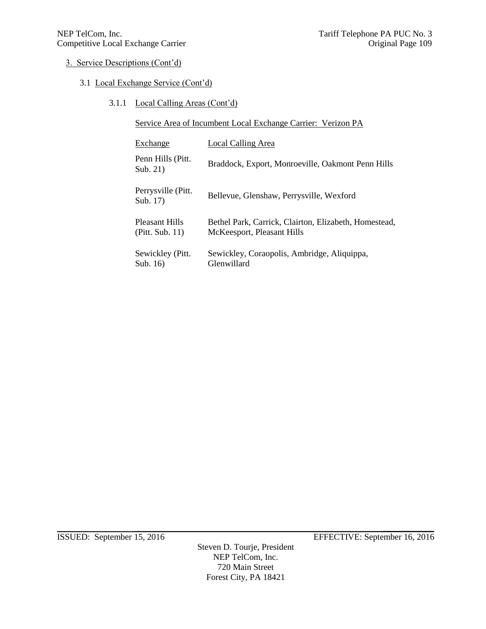### 3.1 Local Exchange Service (Cont'd)

3.1.1 Local Calling Areas (Cont'd)

# Service Area of Incumbent Local Exchange Carrier: Verizon PA

| <b>Exchange</b>                          | Local Calling Area                                                                  |
|------------------------------------------|-------------------------------------------------------------------------------------|
| Penn Hills (Pitt.<br>Sub. 21)            | Braddock, Export, Monroeville, Oakmont Penn Hills                                   |
| Perrysville (Pitt.<br>Sub. 17)           | Bellevue, Glenshaw, Perrysville, Wexford                                            |
| <b>Pleasant Hills</b><br>(Pitt. Sub. 11) | Bethel Park, Carrick, Clairton, Elizabeth, Homestead,<br>McKeesport, Pleasant Hills |
| Sewickley (Pitt.<br>Sub. 16)             | Sewickley, Coraopolis, Ambridge, Aliquippa,<br>Glenwillard                          |

Steven D. Tourje, President NEP TelCom, Inc. 720 Main Street Forest City, PA 18421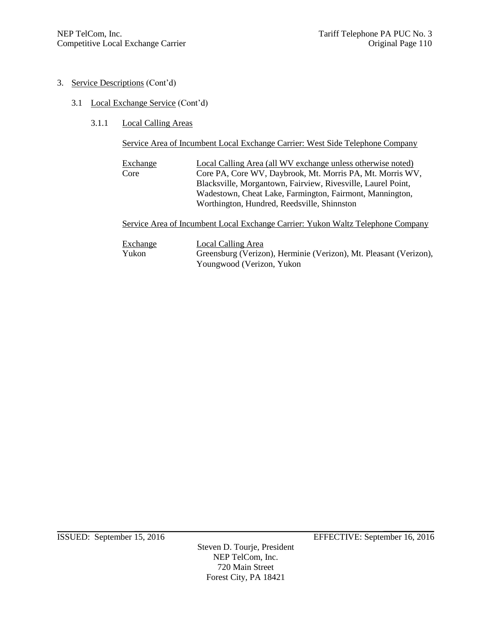- 3. Service Descriptions (Cont'd)
	- 3.1 Local Exchange Service (Cont'd)
		- 3.1.1 Local Calling Areas

Service Area of Incumbent Local Exchange Carrier: West Side Telephone Company

| Exchange | Local Calling Area (all WV exchange unless otherwise noted)  |
|----------|--------------------------------------------------------------|
| Core     | Core PA, Core WV, Daybrook, Mt. Morris PA, Mt. Morris WV,    |
|          | Blacksville, Morgantown, Fairview, Rivesville, Laurel Point, |
|          | Wadestown, Cheat Lake, Farmington, Fairmont, Mannington,     |
|          | Worthington, Hundred, Reedsville, Shinnston                  |

### Service Area of Incumbent Local Exchange Carrier: Yukon Waltz Telephone Company

| <b>Exchange</b> | Local Calling Area                                                |
|-----------------|-------------------------------------------------------------------|
| Yukon           | Greensburg (Verizon), Herminie (Verizon), Mt. Pleasant (Verizon), |
|                 | Youngwood (Verizon, Yukon                                         |

Steven D. Tourje, President NEP TelCom, Inc. 720 Main Street Forest City, PA 18421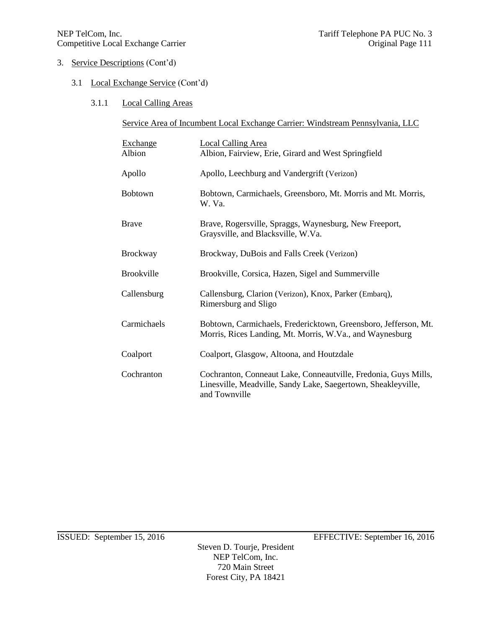## 3.1 Local Exchange Service (Cont'd)

3.1.1 Local Calling Areas

Service Area of Incumbent Local Exchange Carrier: Windstream Pennsylvania, LLC

| <b>Exchange</b><br>Albion | <b>Local Calling Area</b><br>Albion, Fairview, Erie, Girard and West Springfield                                                                  |
|---------------------------|---------------------------------------------------------------------------------------------------------------------------------------------------|
| Apollo                    | Apollo, Leechburg and Vandergrift (Verizon)                                                                                                       |
| <b>Bobtown</b>            | Bobtown, Carmichaels, Greensboro, Mt. Morris and Mt. Morris,<br>W. Va.                                                                            |
| <b>Brave</b>              | Brave, Rogersville, Spraggs, Waynesburg, New Freeport,<br>Graysville, and Blacksville, W.Va.                                                      |
| <b>Brockway</b>           | Brockway, DuBois and Falls Creek (Verizon)                                                                                                        |
| <b>Brookville</b>         | Brookville, Corsica, Hazen, Sigel and Summerville                                                                                                 |
| Callensburg               | Callensburg, Clarion (Verizon), Knox, Parker (Embarq),<br>Rimersburg and Sligo                                                                    |
| Carmichaels               | Bobtown, Carmichaels, Fredericktown, Greensboro, Jefferson, Mt.<br>Morris, Rices Landing, Mt. Morris, W.Va., and Waynesburg                       |
| Coalport                  | Coalport, Glasgow, Altoona, and Houtzdale                                                                                                         |
| Cochranton                | Cochranton, Conneaut Lake, Conneautville, Fredonia, Guys Mills,<br>Linesville, Meadville, Sandy Lake, Saegertown, Sheakleyville,<br>and Townville |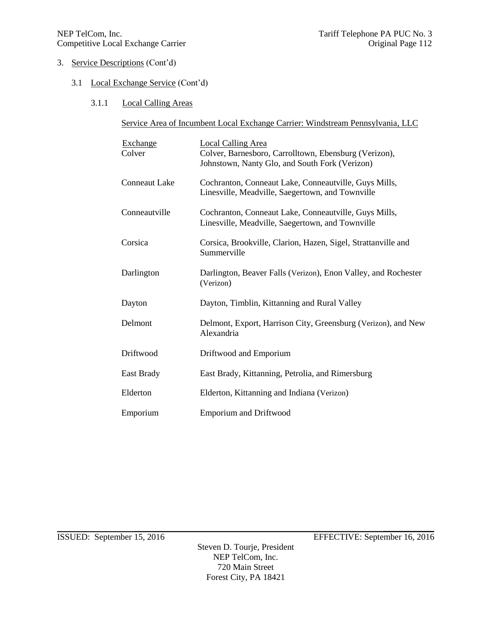## 3.1 Local Exchange Service (Cont'd)

3.1.1 Local Calling Areas

Service Area of Incumbent Local Exchange Carrier: Windstream Pennsylvania, LLC

| Exchange<br>Colver   | <b>Local Calling Area</b><br>Colver, Barnesboro, Carrolltown, Ebensburg (Verizon),<br>Johnstown, Nanty Glo, and South Fork (Verizon) |
|----------------------|--------------------------------------------------------------------------------------------------------------------------------------|
| <b>Conneaut Lake</b> | Cochranton, Conneaut Lake, Conneautville, Guys Mills,<br>Linesville, Meadville, Saegertown, and Townville                            |
| Conneautville        | Cochranton, Conneaut Lake, Conneautville, Guys Mills,<br>Linesville, Meadville, Saegertown, and Townville                            |
| Corsica              | Corsica, Brookville, Clarion, Hazen, Sigel, Strattanville and<br>Summerville                                                         |
| Darlington           | Darlington, Beaver Falls (Verizon), Enon Valley, and Rochester<br>(Verizon)                                                          |
| Dayton               | Dayton, Timblin, Kittanning and Rural Valley                                                                                         |
| Delmont              | Delmont, Export, Harrison City, Greensburg (Verizon), and New<br>Alexandria                                                          |
| Driftwood            | Driftwood and Emporium                                                                                                               |
| East Brady           | East Brady, Kittanning, Petrolia, and Rimersburg                                                                                     |
| Elderton             | Elderton, Kittanning and Indiana (Verizon)                                                                                           |
| Emporium             | <b>Emporium and Driftwood</b>                                                                                                        |

Steven D. Tourje, President NEP TelCom, Inc. 720 Main Street Forest City, PA 18421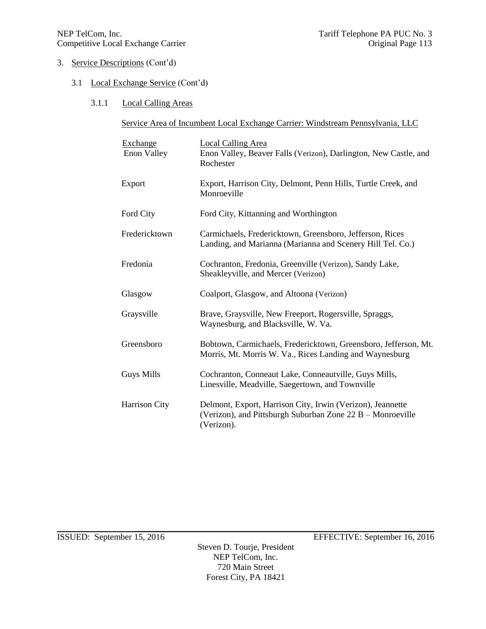## 3.1 Local Exchange Service (Cont'd)

3.1.1 Local Calling Areas

Service Area of Incumbent Local Exchange Carrier: Windstream Pennsylvania, LLC

| Exchange<br><b>Enon Valley</b> | <b>Local Calling Area</b><br>Enon Valley, Beaver Falls (Verizon), Darlington, New Castle, and<br>Rochester                             |
|--------------------------------|----------------------------------------------------------------------------------------------------------------------------------------|
| Export                         | Export, Harrison City, Delmont, Penn Hills, Turtle Creek, and<br>Monroeville                                                           |
| Ford City                      | Ford City, Kittanning and Worthington                                                                                                  |
| Fredericktown                  | Carmichaels, Fredericktown, Greensboro, Jefferson, Rices<br>Landing, and Marianna (Marianna and Scenery Hill Tel. Co.)                 |
| Fredonia                       | Cochranton, Fredonia, Greenville (Verizon), Sandy Lake,<br>Sheakleyville, and Mercer (Verizon)                                         |
| Glasgow                        | Coalport, Glasgow, and Altoona (Verizon)                                                                                               |
| Graysville                     | Brave, Graysville, New Freeport, Rogersville, Spraggs,<br>Waynesburg, and Blacksville, W. Va.                                          |
| Greensboro                     | Bobtown, Carmichaels, Fredericktown, Greensboro, Jefferson, Mt.<br>Morris, Mt. Morris W. Va., Rices Landing and Waynesburg             |
| <b>Guys Mills</b>              | Cochranton, Conneaut Lake, Conneautville, Guys Mills,<br>Linesville, Meadville, Saegertown, and Townville                              |
| Harrison City                  | Delmont, Export, Harrison City, Irwin (Verizon), Jeannette<br>(Verizon), and Pittsburgh Suburban Zone 22 B – Monroeville<br>(Verizon). |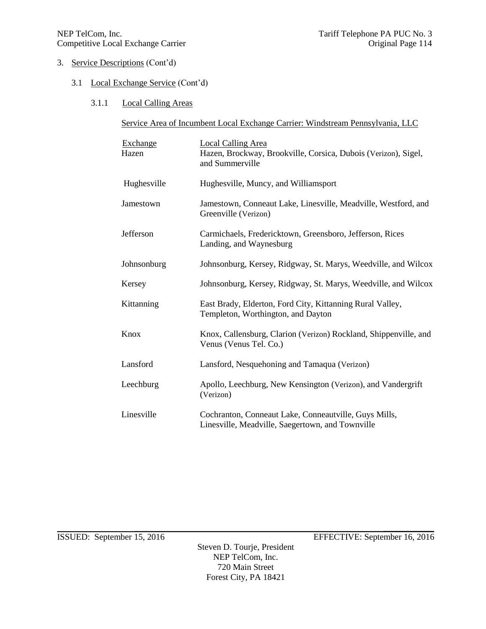## 3.1 Local Exchange Service (Cont'd)

3.1.1 Local Calling Areas

Service Area of Incumbent Local Exchange Carrier: Windstream Pennsylvania, LLC

| <b>Exchange</b><br>Hazen | Local Calling Area<br>Hazen, Brockway, Brookville, Corsica, Dubois (Verizon), Sigel,<br>and Summerville   |
|--------------------------|-----------------------------------------------------------------------------------------------------------|
| Hughesville              | Hughesville, Muncy, and Williamsport                                                                      |
| Jamestown                | Jamestown, Conneaut Lake, Linesville, Meadville, Westford, and<br>Greenville (Verizon)                    |
| Jefferson                | Carmichaels, Fredericktown, Greensboro, Jefferson, Rices<br>Landing, and Waynesburg                       |
| Johnsonburg              | Johnsonburg, Kersey, Ridgway, St. Marys, Weedville, and Wilcox                                            |
| Kersey                   | Johnsonburg, Kersey, Ridgway, St. Marys, Weedville, and Wilcox                                            |
| Kittanning               | East Brady, Elderton, Ford City, Kittanning Rural Valley,<br>Templeton, Worthington, and Dayton           |
| Knox                     | Knox, Callensburg, Clarion (Verizon) Rockland, Shippenville, and<br>Venus (Venus Tel. Co.)                |
| Lansford                 | Lansford, Nesquehoning and Tamaqua (Verizon)                                                              |
| Leechburg                | Apollo, Leechburg, New Kensington (Verizon), and Vandergrift<br>(Verizon)                                 |
| Linesville               | Cochranton, Conneaut Lake, Conneautville, Guys Mills,<br>Linesville, Meadville, Saegertown, and Townville |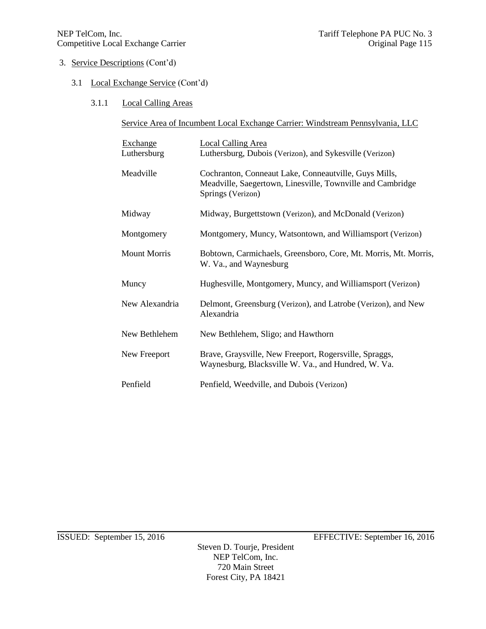## 3.1 Local Exchange Service (Cont'd)

3.1.1 Local Calling Areas

Service Area of Incumbent Local Exchange Carrier: Windstream Pennsylvania, LLC

| <b>Exchange</b><br>Luthersburg | <b>Local Calling Area</b><br>Luthersburg, Dubois (Verizon), and Sykesville (Verizon)                                                     |
|--------------------------------|------------------------------------------------------------------------------------------------------------------------------------------|
| Meadville                      | Cochranton, Conneaut Lake, Conneautville, Guys Mills,<br>Meadville, Saegertown, Linesville, Townville and Cambridge<br>Springs (Verizon) |
| Midway                         | Midway, Burgettstown (Verizon), and McDonald (Verizon)                                                                                   |
| Montgomery                     | Montgomery, Muncy, Watsontown, and Williamsport (Verizon)                                                                                |
| <b>Mount Morris</b>            | Bobtown, Carmichaels, Greensboro, Core, Mt. Morris, Mt. Morris,<br>W. Va., and Waynesburg                                                |
| Muncy                          | Hughesville, Montgomery, Muncy, and Williamsport (Verizon)                                                                               |
| New Alexandria                 | Delmont, Greensburg (Verizon), and Latrobe (Verizon), and New<br>Alexandria                                                              |
| New Bethlehem                  | New Bethlehem, Sligo; and Hawthorn                                                                                                       |
| New Freeport                   | Brave, Graysville, New Freeport, Rogersville, Spraggs,<br>Waynesburg, Blacksville W. Va., and Hundred, W. Va.                            |
| Penfield                       | Penfield, Weedville, and Dubois (Verizon)                                                                                                |

Steven D. Tourje, President NEP TelCom, Inc. 720 Main Street Forest City, PA 18421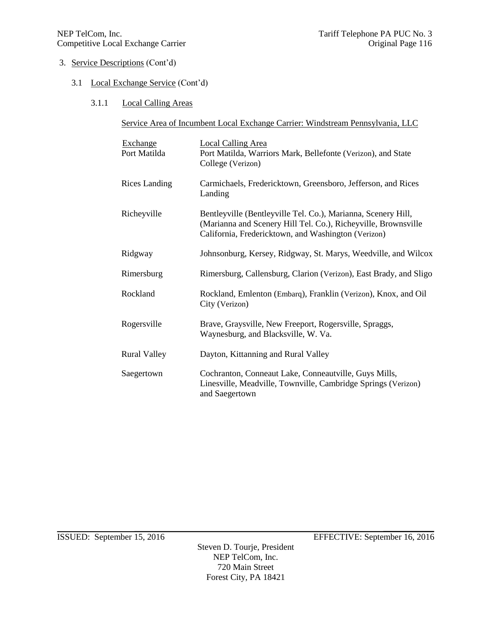## 3.1 Local Exchange Service (Cont'd)

3.1.1 Local Calling Areas

Service Area of Incumbent Local Exchange Carrier: Windstream Pennsylvania, LLC

| <b>Exchange</b><br>Port Matilda | <b>Local Calling Area</b><br>Port Matilda, Warriors Mark, Bellefonte (Verizon), and State<br>College (Verizon)                                                                         |
|---------------------------------|----------------------------------------------------------------------------------------------------------------------------------------------------------------------------------------|
| <b>Rices Landing</b>            | Carmichaels, Fredericktown, Greensboro, Jefferson, and Rices<br>Landing                                                                                                                |
| Richeyville                     | Bentleyville (Bentleyville Tel. Co.), Marianna, Scenery Hill,<br>(Marianna and Scenery Hill Tel. Co.), Richeyville, Brownsville<br>California, Fredericktown, and Washington (Verizon) |
| Ridgway                         | Johnsonburg, Kersey, Ridgway, St. Marys, Weedville, and Wilcox                                                                                                                         |
| Rimersburg                      | Rimersburg, Callensburg, Clarion (Verizon), East Brady, and Sligo                                                                                                                      |
| Rockland                        | Rockland, Emlenton (Embarq), Franklin (Verizon), Knox, and Oil<br>City (Verizon)                                                                                                       |
| Rogersville                     | Brave, Graysville, New Freeport, Rogersville, Spraggs,<br>Waynesburg, and Blacksville, W. Va.                                                                                          |
| <b>Rural Valley</b>             | Dayton, Kittanning and Rural Valley                                                                                                                                                    |
| Saegertown                      | Cochranton, Conneaut Lake, Conneautville, Guys Mills,<br>Linesville, Meadville, Townville, Cambridge Springs (Verizon)<br>and Saegertown                                               |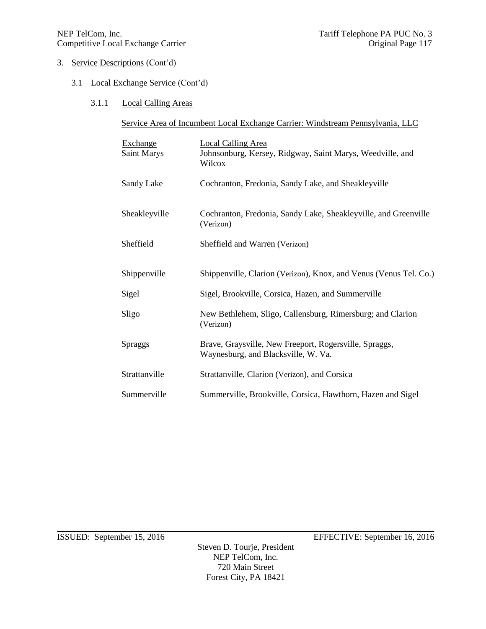## 3.1 Local Exchange Service (Cont'd)

3.1.1 Local Calling Areas

Service Area of Incumbent Local Exchange Carrier: Windstream Pennsylvania, LLC

| Exchange<br>Saint Marys | <b>Local Calling Area</b><br>Johnsonburg, Kersey, Ridgway, Saint Marys, Weedville, and<br>Wilcox |
|-------------------------|--------------------------------------------------------------------------------------------------|
| Sandy Lake              | Cochranton, Fredonia, Sandy Lake, and Sheakleyville                                              |
| Sheakleyville           | Cochranton, Fredonia, Sandy Lake, Sheakleyville, and Greenville<br>(Verizon)                     |
| Sheffield               | Sheffield and Warren (Verizon)                                                                   |
| Shippenville            | Shippenville, Clarion (Verizon), Knox, and Venus (Venus Tel. Co.)                                |
| Sigel                   | Sigel, Brookville, Corsica, Hazen, and Summerville                                               |
| Sligo                   | New Bethlehem, Sligo, Callensburg, Rimersburg; and Clarion<br>(Verizon)                          |
| Spraggs                 | Brave, Graysville, New Freeport, Rogersville, Spraggs,<br>Waynesburg, and Blacksville, W. Va.    |
| Strattanville           | Strattanville, Clarion (Verizon), and Corsica                                                    |
| Summerville             | Summerville, Brookville, Corsica, Hawthorn, Hazen and Sigel                                      |

Steven D. Tourje, President NEP TelCom, Inc. 720 Main Street Forest City, PA 18421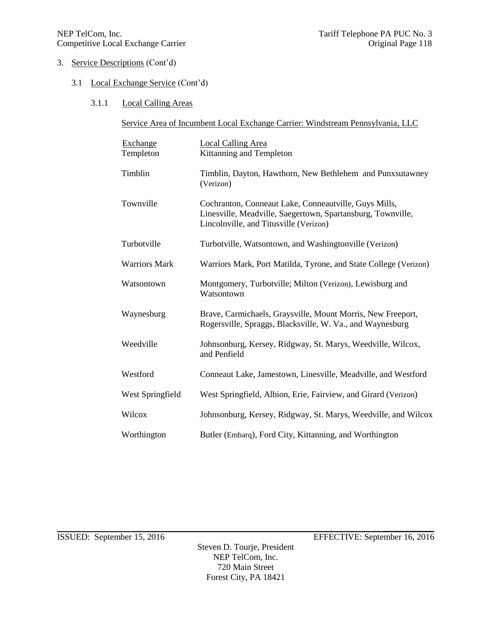## 3.1 Local Exchange Service (Cont'd)

3.1.1 Local Calling Areas

Service Area of Incumbent Local Exchange Carrier: Windstream Pennsylvania, LLC

| <b>Exchange</b><br>Templeton | <b>Local Calling Area</b><br>Kittanning and Templeton                                                                                                          |
|------------------------------|----------------------------------------------------------------------------------------------------------------------------------------------------------------|
| Timblin                      | Timblin, Dayton, Hawthorn, New Bethlehem and Punxsutawney<br>(Verizon)                                                                                         |
| Townville                    | Cochranton, Conneaut Lake, Conneautville, Guys Mills,<br>Linesville, Meadville, Saegertown, Spartansburg, Townville,<br>Lincolnville, and Titusville (Verizon) |
| Turbotville                  | Turbotville, Watsontown, and Washingtonville (Verizon)                                                                                                         |
| <b>Warriors Mark</b>         | Warriors Mark, Port Matilda, Tyrone, and State College (Verizon)                                                                                               |
| Watsontown                   | Montgomery, Turbotville; Milton (Verizon), Lewisburg and<br>Watsontown                                                                                         |
| Waynesburg                   | Brave, Carmichaels, Graysville, Mount Morris, New Freeport,<br>Rogersville, Spraggs, Blacksville, W. Va., and Waynesburg                                       |
| Weedville                    | Johnsonburg, Kersey, Ridgway, St. Marys, Weedville, Wilcox,<br>and Penfield                                                                                    |
| Westford                     | Conneaut Lake, Jamestown, Linesville, Meadville, and Westford                                                                                                  |
| West Springfield             | West Springfield, Albion, Erie, Fairview, and Girard (Verizon)                                                                                                 |
| Wilcox                       | Johnsonburg, Kersey, Ridgway, St. Marys, Weedville, and Wilcox                                                                                                 |
| Worthington                  | Butler (Embarq), Ford City, Kittanning, and Worthington                                                                                                        |

Steven D. Tourje, President NEP TelCom, Inc. 720 Main Street Forest City, PA 18421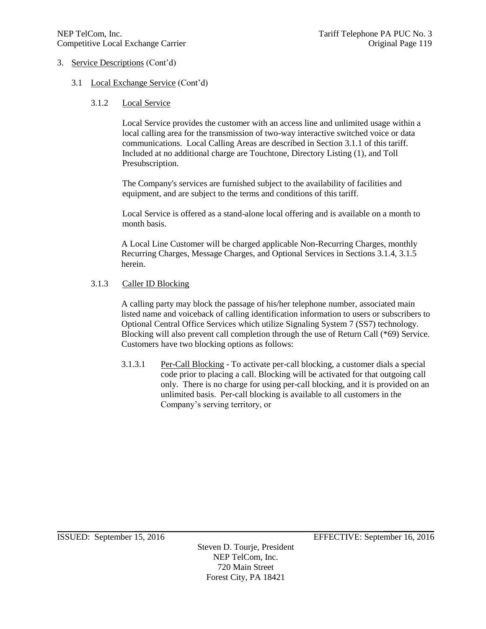### 3.1 Local Exchange Service (Cont'd)

#### 3.1.2 Local Service

Local Service provides the customer with an access line and unlimited usage within a local calling area for the transmission of two-way interactive switched voice or data communications. Local Calling Areas are described in Section 3.1.1 of this tariff. Included at no additional charge are Touchtone, Directory Listing (1), and Toll Presubscription.

The Company's services are furnished subject to the availability of facilities and equipment, and are subject to the terms and conditions of this tariff.

Local Service is offered as a stand-alone local offering and is available on a month to month basis.

A Local Line Customer will be charged applicable Non-Recurring Charges, monthly Recurring Charges, Message Charges, and Optional Services in Sections 3.1.4, 3.1.5 herein.

### 3.1.3 Caller ID Blocking

A calling party may block the passage of his/her telephone number, associated main listed name and voiceback of calling identification information to users or subscribers to Optional Central Office Services which utilize Signaling System 7 (SS7) technology. Blocking will also prevent call completion through the use of Return Call (\*69) Service. Customers have two blocking options as follows:

3.1.3.1 Per-Call Blocking - To activate per-call blocking, a customer dials a special code prior to placing a call. Blocking will be activated for that outgoing call only. There is no charge for using per-call blocking, and it is provided on an unlimited basis. Per-call blocking is available to all customers in the Company's serving territory, or

ISSUED: September 15, 2016 EFFECTIVE: September 16, 2016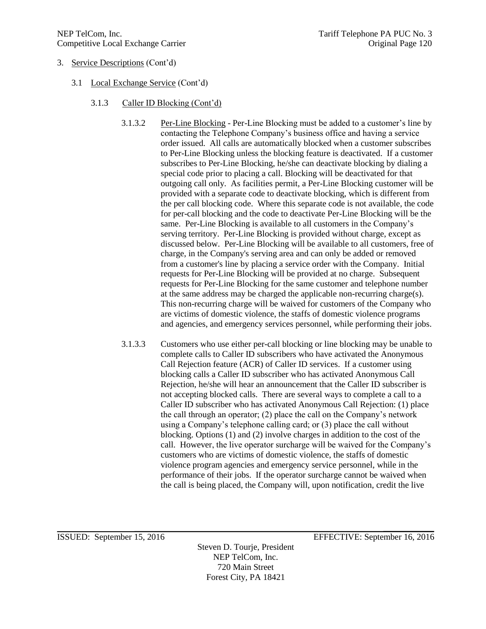### 3.1 Local Exchange Service (Cont'd)

- 3.1.3 Caller ID Blocking (Cont'd)
	- 3.1.3.2 Per-Line Blocking Per-Line Blocking must be added to a customer's line by contacting the Telephone Company's business office and having a service order issued. All calls are automatically blocked when a customer subscribes to Per-Line Blocking unless the blocking feature is deactivated. If a customer subscribes to Per-Line Blocking, he/she can deactivate blocking by dialing a special code prior to placing a call. Blocking will be deactivated for that outgoing call only. As facilities permit, a Per-Line Blocking customer will be provided with a separate code to deactivate blocking, which is different from the per call blocking code. Where this separate code is not available, the code for per-call blocking and the code to deactivate Per-Line Blocking will be the same. Per-Line Blocking is available to all customers in the Company's serving territory. Per-Line Blocking is provided without charge, except as discussed below. Per-Line Blocking will be available to all customers, free of charge, in the Company's serving area and can only be added or removed from a customer's line by placing a service order with the Company. Initial requests for Per-Line Blocking will be provided at no charge. Subsequent requests for Per-Line Blocking for the same customer and telephone number at the same address may be charged the applicable non-recurring charge(s). This non-recurring charge will be waived for customers of the Company who are victims of domestic violence, the staffs of domestic violence programs and agencies, and emergency services personnel, while performing their jobs.
	- 3.1.3.3 Customers who use either per-call blocking or line blocking may be unable to complete calls to Caller ID subscribers who have activated the Anonymous Call Rejection feature (ACR) of Caller ID services. If a customer using blocking calls a Caller ID subscriber who has activated Anonymous Call Rejection, he/she will hear an announcement that the Caller ID subscriber is not accepting blocked calls. There are several ways to complete a call to a Caller ID subscriber who has activated Anonymous Call Rejection: (1) place the call through an operator; (2) place the call on the Company's network using a Company's telephone calling card; or (3) place the call without blocking. Options (1) and (2) involve charges in addition to the cost of the call. However, the live operator surcharge will be waived for the Company's customers who are victims of domestic violence, the staffs of domestic violence program agencies and emergency service personnel, while in the performance of their jobs. If the operator surcharge cannot be waived when the call is being placed, the Company will, upon notification, credit the live

Steven D. Tourje, President NEP TelCom, Inc. 720 Main Street Forest City, PA 18421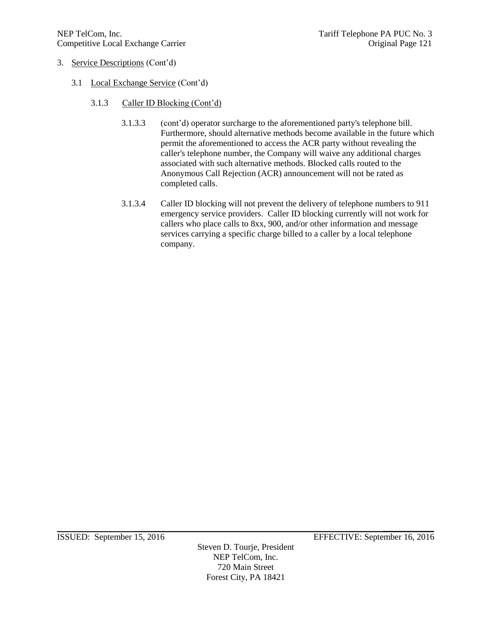- 3. Service Descriptions (Cont'd)
	- 3.1 Local Exchange Service (Cont'd)
		- 3.1.3 Caller ID Blocking (Cont'd)
			- 3.1.3.3 (cont'd) operator surcharge to the aforementioned party's telephone bill. Furthermore, should alternative methods become available in the future which permit the aforementioned to access the ACR party without revealing the caller's telephone number, the Company will waive any additional charges associated with such alternative methods. Blocked calls routed to the Anonymous Call Rejection (ACR) announcement will not be rated as completed calls.
			- 3.1.3.4 Caller ID blocking will not prevent the delivery of telephone numbers to 911 emergency service providers. Caller ID blocking currently will not work for callers who place calls to 8xx, 900, and/or other information and message services carrying a specific charge billed to a caller by a local telephone company.

Steven D. Tourje, President NEP TelCom, Inc. 720 Main Street Forest City, PA 18421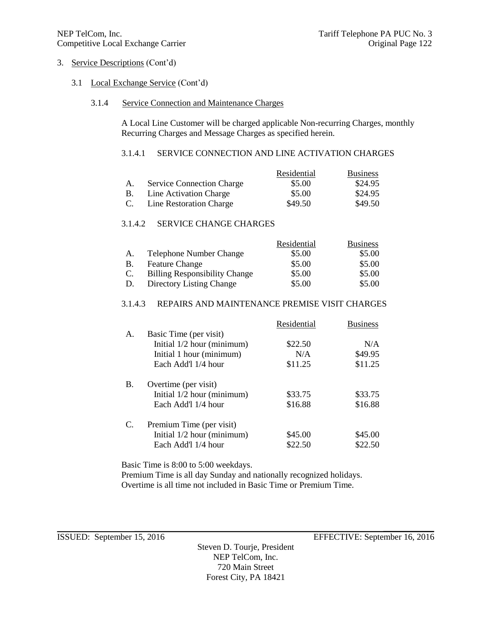### 3.1 Local Exchange Service (Cont'd)

#### 3.1.4 Service Connection and Maintenance Charges

A Local Line Customer will be charged applicable Non-recurring Charges, monthly Recurring Charges and Message Charges as specified herein.

#### 3.1.4.1 SERVICE CONNECTION AND LINE ACTIVATION CHARGES

|    |                                  | Residential | <b>Business</b> |
|----|----------------------------------|-------------|-----------------|
|    | <b>Service Connection Charge</b> | \$5.00      | \$24.95         |
|    | Line Activation Charge           | \$5.00      | \$24.95         |
| C. | Line Restoration Charge          | \$49.50     | \$49.50         |

#### 3.1.4.2 SERVICE CHANGE CHARGES

|    |                                      | Residential | <b>Business</b> |
|----|--------------------------------------|-------------|-----------------|
| А. | <b>Telephone Number Change</b>       | \$5.00      | \$5.00          |
| В. | <b>Feature Change</b>                | \$5.00      | \$5.00          |
| C. | <b>Billing Responsibility Change</b> | \$5.00      | \$5.00          |
| D. | Directory Listing Change             | \$5.00      | \$5.00          |

#### 3.1.4.3 REPAIRS AND MAINTENANCE PREMISE VISIT CHARGES

|           |                            | Residential | <b>Business</b> |
|-----------|----------------------------|-------------|-----------------|
| A.        | Basic Time (per visit)     |             |                 |
|           | Initial 1/2 hour (minimum) | \$22.50     | N/A             |
|           | Initial 1 hour (minimum)   | N/A         | \$49.95         |
|           | Each Add'l 1/4 hour        | \$11.25     | \$11.25         |
| <b>B.</b> | Overtime (per visit)       |             |                 |
|           | Initial 1/2 hour (minimum) | \$33.75     | \$33.75         |
|           | Each Add'l 1/4 hour        | \$16.88     | \$16.88         |
| C.        | Premium Time (per visit)   |             |                 |
|           | Initial 1/2 hour (minimum) | \$45.00     | \$45.00         |
|           | Each Add'l 1/4 hour        | \$22.50     | \$22.50         |

Basic Time is 8:00 to 5:00 weekdays.

Premium Time is all day Sunday and nationally recognized holidays. Overtime is all time not included in Basic Time or Premium Time.

ISSUED: September 15, 2016 EFFECTIVE: September 16, 2016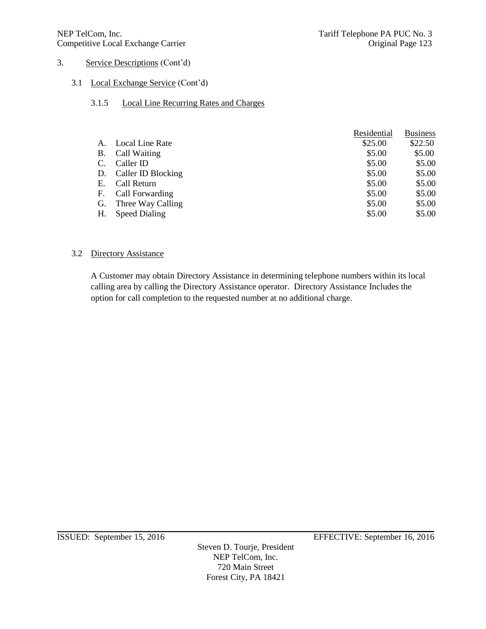## 3.1 Local Exchange Service (Cont'd)

### 3.1.5 Local Line Recurring Rates and Charges

|           |                      | Residential | <b>Business</b> |
|-----------|----------------------|-------------|-----------------|
|           | Local Line Rate      | \$25.00     | \$22.50         |
| <b>B.</b> | Call Waiting         | \$5.00      | \$5.00          |
| C.        | Caller ID            | \$5.00      | \$5.00          |
| D.        | Caller ID Blocking   | \$5.00      | \$5.00          |
| Е.        | Call Return          | \$5.00      | \$5.00          |
| F.        | Call Forwarding      | \$5.00      | \$5.00          |
| G.        | Three Way Calling    | \$5.00      | \$5.00          |
| Н.        | <b>Speed Dialing</b> | \$5.00      | \$5.00          |
|           |                      |             |                 |

#### 3.2 Directory Assistance

A Customer may obtain Directory Assistance in determining telephone numbers within its local calling area by calling the Directory Assistance operator. Directory Assistance Includes the option for call completion to the requested number at no additional charge.

Steven D. Tourje, President NEP TelCom, Inc. 720 Main Street Forest City, PA 18421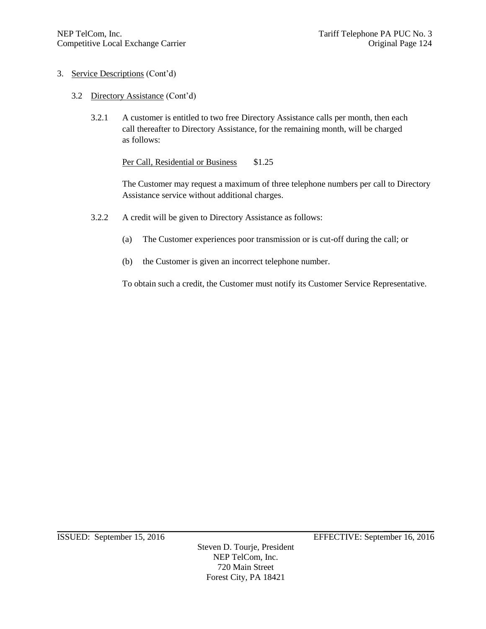- 3. Service Descriptions (Cont'd)
	- 3.2 Directory Assistance (Cont'd)
		- 3.2.1 A customer is entitled to two free Directory Assistance calls per month, then each call thereafter to Directory Assistance, for the remaining month, will be charged as follows:

Per Call, Residential or Business \$1.25

The Customer may request a maximum of three telephone numbers per call to Directory Assistance service without additional charges.

- 3.2.2 A credit will be given to Directory Assistance as follows:
	- (a) The Customer experiences poor transmission or is cut-off during the call; or
	- (b) the Customer is given an incorrect telephone number.

To obtain such a credit, the Customer must notify its Customer Service Representative.

Steven D. Tourje, President NEP TelCom, Inc. 720 Main Street Forest City, PA 18421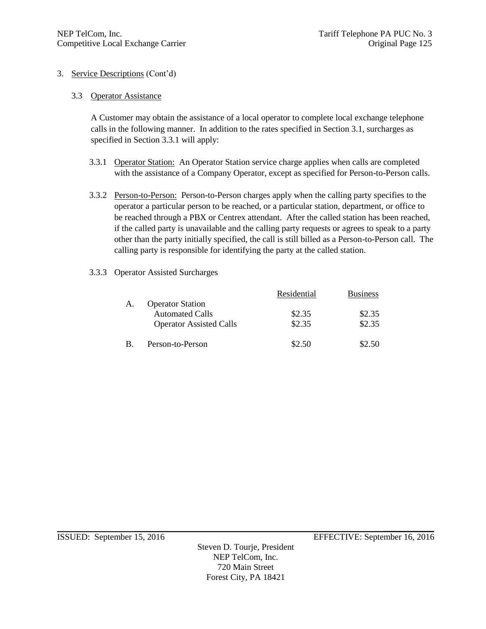- 3. Service Descriptions (Cont'd)
	- 3.3 Operator Assistance

A Customer may obtain the assistance of a local operator to complete local exchange telephone calls in the following manner. In addition to the rates specified in Section 3.1, surcharges as specified in Section 3.3.1 will apply:

- 3.3.1 Operator Station: An Operator Station service charge applies when calls are completed with the assistance of a Company Operator, except as specified for Person-to-Person calls.
- 3.3.2 Person-to-Person: Person-to-Person charges apply when the calling party specifies to the operator a particular person to be reached, or a particular station, department, or office to be reached through a PBX or Centrex attendant. After the called station has been reached, if the called party is unavailable and the calling party requests or agrees to speak to a party other than the party initially specified, the call is still billed as a Person-to-Person call. The calling party is responsible for identifying the party at the called station.
- 3.3.3 Operator Assisted Surcharges

|           |                                                   | Residential | <b>Business</b> |
|-----------|---------------------------------------------------|-------------|-----------------|
| A.        | <b>Operator Station</b><br><b>Automated Calls</b> | \$2.35      | \$2.35          |
|           | <b>Operator Assisted Calls</b>                    | \$2.35      | \$2.35          |
| <b>B.</b> | Person-to-Person                                  | \$2.50      | \$2.50          |

ISSUED: September 15, 2016 EFFECTIVE: September 16, 2016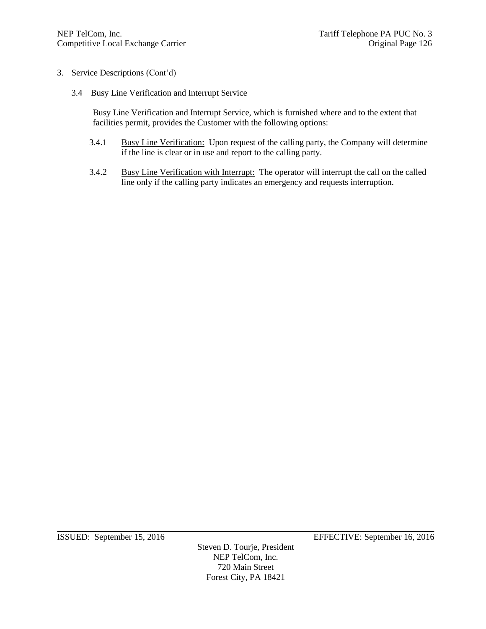#### 3.4 Busy Line Verification and Interrupt Service

Busy Line Verification and Interrupt Service, which is furnished where and to the extent that facilities permit, provides the Customer with the following options:

- 3.4.1 Busy Line Verification: Upon request of the calling party, the Company will determine if the line is clear or in use and report to the calling party.
- 3.4.2 Busy Line Verification with Interrupt: The operator will interrupt the call on the called line only if the calling party indicates an emergency and requests interruption.

Steven D. Tourje, President NEP TelCom, Inc. 720 Main Street Forest City, PA 18421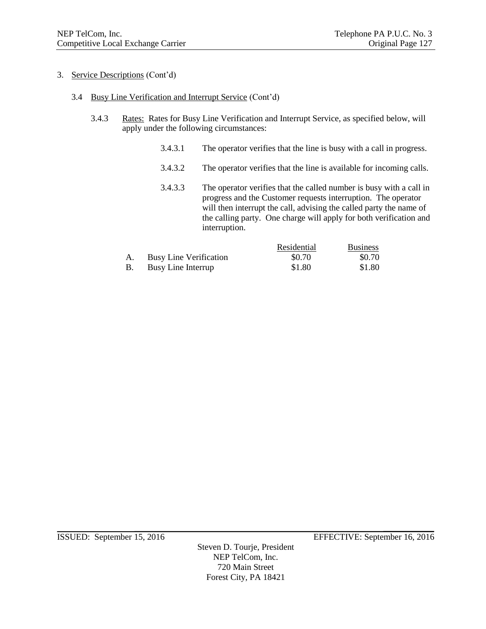- 3.4 Busy Line Verification and Interrupt Service (Cont'd)
	- 3.4.3 Rates: Rates for Busy Line Verification and Interrupt Service, as specified below, will apply under the following circumstances:
		- 3.4.3.1 The operator verifies that the line is busy with a call in progress.
		- 3.4.3.2 The operator verifies that the line is available for incoming calls.
		- 3.4.3.3 The operator verifies that the called number is busy with a call in progress and the Customer requests interruption. The operator will then interrupt the call, advising the called party the name of the calling party. One charge will apply for both verification and interruption.

|                               | Residential | <b>Business</b> |
|-------------------------------|-------------|-----------------|
| <b>Busy Line Verification</b> | \$0.70      | \$0.70          |
| Busy Line Interrup            | \$1.80      | \$1.80          |

Steven D. Tourje, President NEP TelCom, Inc. 720 Main Street Forest City, PA 18421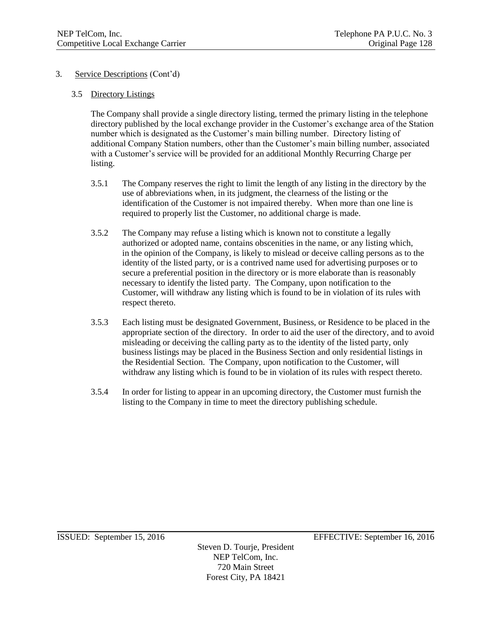#### 3.5 Directory Listings

The Company shall provide a single directory listing, termed the primary listing in the telephone directory published by the local exchange provider in the Customer's exchange area of the Station number which is designated as the Customer's main billing number. Directory listing of additional Company Station numbers, other than the Customer's main billing number, associated with a Customer's service will be provided for an additional Monthly Recurring Charge per listing.

- 3.5.1 The Company reserves the right to limit the length of any listing in the directory by the use of abbreviations when, in its judgment, the clearness of the listing or the identification of the Customer is not impaired thereby. When more than one line is required to properly list the Customer, no additional charge is made.
- 3.5.2 The Company may refuse a listing which is known not to constitute a legally authorized or adopted name, contains obscenities in the name, or any listing which, in the opinion of the Company, is likely to mislead or deceive calling persons as to the identity of the listed party, or is a contrived name used for advertising purposes or to secure a preferential position in the directory or is more elaborate than is reasonably necessary to identify the listed party. The Company, upon notification to the Customer, will withdraw any listing which is found to be in violation of its rules with respect thereto.
- 3.5.3 Each listing must be designated Government, Business, or Residence to be placed in the appropriate section of the directory. In order to aid the user of the directory, and to avoid misleading or deceiving the calling party as to the identity of the listed party, only business listings may be placed in the Business Section and only residential listings in the Residential Section. The Company, upon notification to the Customer, will withdraw any listing which is found to be in violation of its rules with respect thereto.
- 3.5.4 In order for listing to appear in an upcoming directory, the Customer must furnish the listing to the Company in time to meet the directory publishing schedule.

Steven D. Tourje, President NEP TelCom, Inc. 720 Main Street Forest City, PA 18421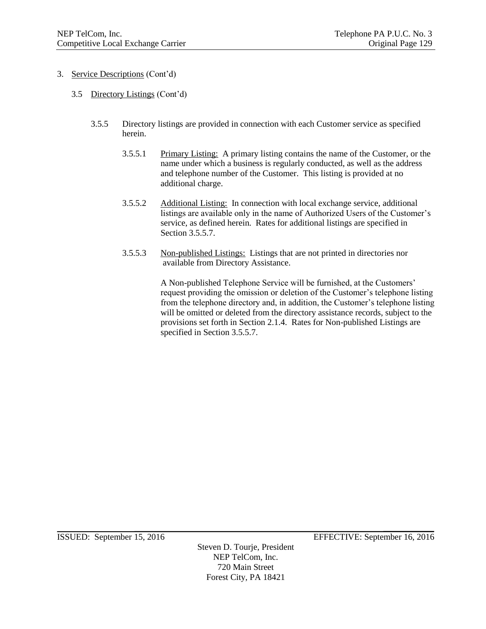- 3.5 Directory Listings (Cont'd)
	- 3.5.5 Directory listings are provided in connection with each Customer service as specified herein.
		- 3.5.5.1 Primary Listing: A primary listing contains the name of the Customer, or the name under which a business is regularly conducted, as well as the address and telephone number of the Customer. This listing is provided at no additional charge.
		- 3.5.5.2 Additional Listing: In connection with local exchange service, additional listings are available only in the name of Authorized Users of the Customer's service, as defined herein. Rates for additional listings are specified in Section 3.5.5.7.
		- 3.5.5.3 Non-published Listings: Listings that are not printed in directories nor available from Directory Assistance.

A Non-published Telephone Service will be furnished, at the Customers' request providing the omission or deletion of the Customer's telephone listing from the telephone directory and, in addition, the Customer's telephone listing will be omitted or deleted from the directory assistance records, subject to the provisions set forth in Section 2.1.4. Rates for Non-published Listings are specified in Section 3.5.5.7.

Steven D. Tourje, President NEP TelCom, Inc. 720 Main Street Forest City, PA 18421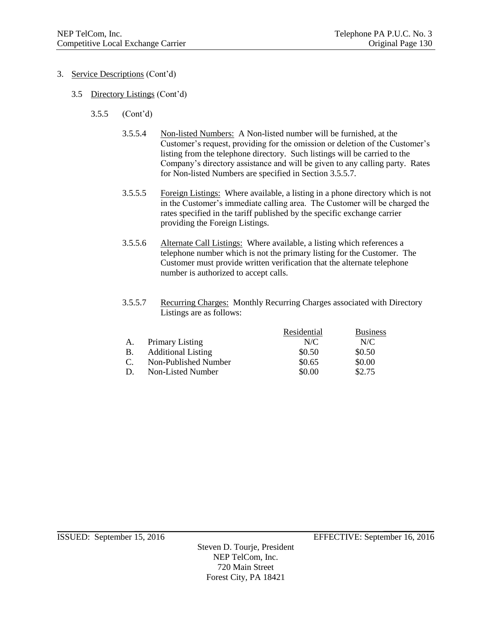- 3. Service Descriptions (Cont'd)
	- 3.5 Directory Listings (Cont'd)
		- 3.5.5 (Cont'd)
			- 3.5.5.4 Non-listed Numbers: A Non-listed number will be furnished, at the Customer's request, providing for the omission or deletion of the Customer's listing from the telephone directory. Such listings will be carried to the Company's directory assistance and will be given to any calling party. Rates for Non-listed Numbers are specified in Section 3.5.5.7.
			- 3.5.5.5 Foreign Listings: Where available, a listing in a phone directory which is not in the Customer's immediate calling area. The Customer will be charged the rates specified in the tariff published by the specific exchange carrier providing the Foreign Listings.
			- 3.5.5.6 Alternate Call Listings: Where available, a listing which references a telephone number which is not the primary listing for the Customer. The Customer must provide written verification that the alternate telephone number is authorized to accept calls.
			- 3.5.5.7 Recurring Charges: Monthly Recurring Charges associated with Directory Listings are as follows:

|    |                           | Residential | <b>Business</b> |
|----|---------------------------|-------------|-----------------|
| А. | Primary Listing           | N/C         | N/C             |
| В. | <b>Additional Listing</b> | \$0.50      | \$0.50          |
| C. | Non-Published Number      | \$0.65      | \$0.00          |
| D. | Non-Listed Number         | \$0.00      | \$2.75          |

ISSUED: September 15, 2016 EFFECTIVE: September 16, 2016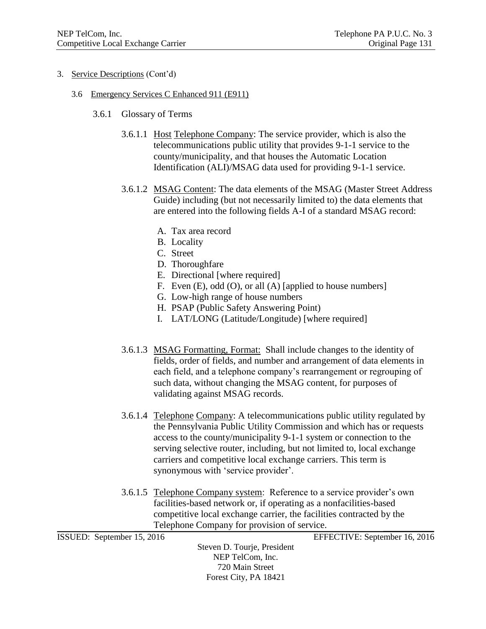- 3. Service Descriptions (Cont'd)
	- 3.6 Emergency Services C Enhanced 911 (E911)
		- 3.6.1 Glossary of Terms
			- 3.6.1.1 Host Telephone Company: The service provider, which is also the telecommunications public utility that provides 9-1-1 service to the county/municipality, and that houses the Automatic Location Identification (ALI)/MSAG data used for providing 9-1-1 service.
			- 3.6.1.2 MSAG Content: The data elements of the MSAG (Master Street Address Guide) including (but not necessarily limited to) the data elements that are entered into the following fields A-I of a standard MSAG record:
				- A. Tax area record
				- B. Locality
				- C. Street
				- D. Thoroughfare
				- E. Directional [where required]
				- F. Even (E), odd (O), or all (A) [applied to house numbers]
				- G. Low-high range of house numbers
				- H. PSAP (Public Safety Answering Point)
				- I. LAT/LONG (Latitude/Longitude) [where required]
			- 3.6.1.3 MSAG Formatting, Format: Shall include changes to the identity of fields, order of fields, and number and arrangement of data elements in each field, and a telephone company's rearrangement or regrouping of such data, without changing the MSAG content, for purposes of validating against MSAG records.
			- 3.6.1.4 Telephone Company: A telecommunications public utility regulated by the Pennsylvania Public Utility Commission and which has or requests access to the county/municipality 9-1-1 system or connection to the serving selective router, including, but not limited to, local exchange carriers and competitive local exchange carriers. This term is synonymous with 'service provider'.
			- 3.6.1.5 Telephone Company system: Reference to a service provider's own facilities-based network or, if operating as a nonfacilities-based competitive local exchange carrier, the facilities contracted by the Telephone Company for provision of service.

Steven D. Tourje, President NEP TelCom, Inc. 720 Main Street Forest City, PA 18421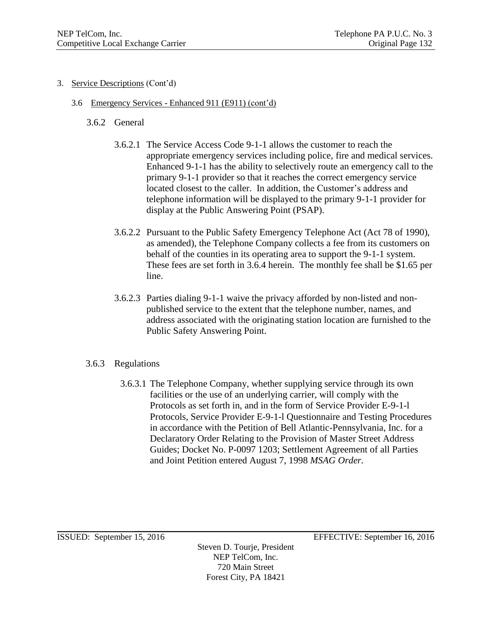- 3. Service Descriptions (Cont'd)
	- 3.6 Emergency Services Enhanced 911 (E911) (cont'd)
		- 3.6.2 General
			- 3.6.2.1 The Service Access Code 9-1-1 allows the customer to reach the appropriate emergency services including police, fire and medical services. Enhanced 9-1-1 has the ability to selectively route an emergency call to the primary 9-1-1 provider so that it reaches the correct emergency service located closest to the caller. In addition, the Customer's address and telephone information will be displayed to the primary 9-1-1 provider for display at the Public Answering Point (PSAP).
			- 3.6.2.2 Pursuant to the Public Safety Emergency Telephone Act (Act 78 of 1990), as amended), the Telephone Company collects a fee from its customers on behalf of the counties in its operating area to support the 9-1-1 system. These fees are set forth in 3.6.4 herein. The monthly fee shall be \$1.65 per line.
			- 3.6.2.3 Parties dialing 9-1-1 waive the privacy afforded by non-listed and nonpublished service to the extent that the telephone number, names, and address associated with the originating station location are furnished to the Public Safety Answering Point.

#### 3.6.3 Regulations

3.6.3.1 The Telephone Company, whether supplying service through its own facilities or the use of an underlying carrier, will comply with the Protocols as set forth in, and in the form of Service Provider E-9-1-l Protocols, Service Provider E-9-1-l Questionnaire and Testing Procedures in accordance with the Petition of Bell Atlantic-Pennsylvania, Inc. for a Declaratory Order Relating to the Provision of Master Street Address Guides; Docket No. P-0097 1203; Settlement Agreement of all Parties and Joint Petition entered August 7, 1998 *MSAG Order.*

ISSUED: September 15, 2016 EFFECTIVE: September 16, 2016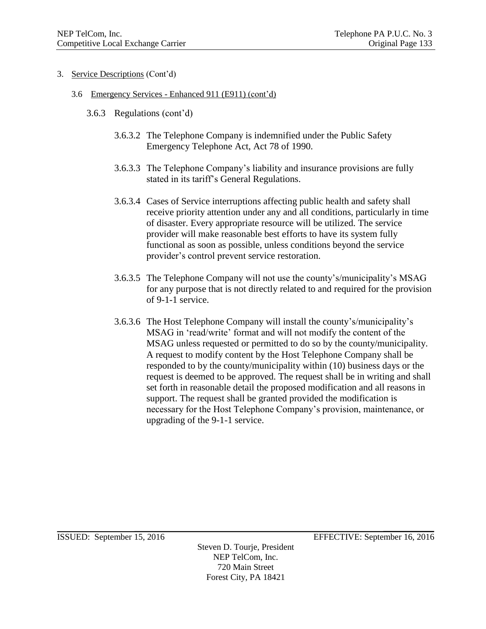- 3. Service Descriptions (Cont'd)
	- 3.6 Emergency Services Enhanced 911 (E911) (cont'd)
		- 3.6.3 Regulations (cont'd)
			- 3.6.3.2 The Telephone Company is indemnified under the Public Safety Emergency Telephone Act, Act 78 of 1990.
			- 3.6.3.3 The Telephone Company's liability and insurance provisions are fully stated in its tariff's General Regulations.
			- 3.6.3.4 Cases of Service interruptions affecting public health and safety shall receive priority attention under any and all conditions, particularly in time of disaster. Every appropriate resource will be utilized. The service provider will make reasonable best efforts to have its system fully functional as soon as possible, unless conditions beyond the service provider's control prevent service restoration.
			- 3.6.3.5 The Telephone Company will not use the county's/municipality's MSAG for any purpose that is not directly related to and required for the provision of 9-1-1 service.
			- 3.6.3.6 The Host Telephone Company will install the county's/municipality's MSAG in 'read/write' format and will not modify the content of the MSAG unless requested or permitted to do so by the county/municipality. A request to modify content by the Host Telephone Company shall be responded to by the county/municipality within (10) business days or the request is deemed to be approved. The request shall be in writing and shall set forth in reasonable detail the proposed modification and all reasons in support. The request shall be granted provided the modification is necessary for the Host Telephone Company's provision, maintenance, or upgrading of the 9-1-1 service.

ISSUED: September 15, 2016 EFFECTIVE: September 16, 2016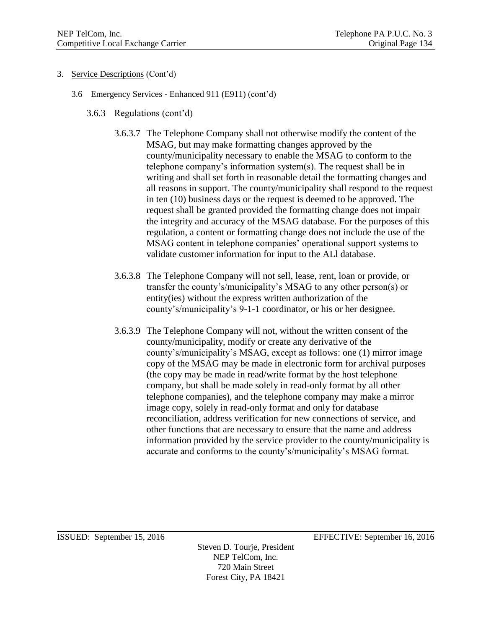- 3. Service Descriptions (Cont'd)
	- 3.6 Emergency Services Enhanced 911 (E911) (cont'd)
		- 3.6.3 Regulations (cont'd)
			- 3.6.3.7 The Telephone Company shall not otherwise modify the content of the MSAG, but may make formatting changes approved by the county/municipality necessary to enable the MSAG to conform to the telephone company's information system(s). The request shall be in writing and shall set forth in reasonable detail the formatting changes and all reasons in support. The county/municipality shall respond to the request in ten (10) business days or the request is deemed to be approved. The request shall be granted provided the formatting change does not impair the integrity and accuracy of the MSAG database. For the purposes of this regulation, a content or formatting change does not include the use of the MSAG content in telephone companies' operational support systems to validate customer information for input to the ALl database.
			- 3.6.3.8 The Telephone Company will not sell, lease, rent, loan or provide, or transfer the county's/municipality's MSAG to any other person(s) or entity(ies) without the express written authorization of the county's/municipality's 9-1-1 coordinator, or his or her designee.
			- 3.6.3.9 The Telephone Company will not, without the written consent of the county/municipality, modify or create any derivative of the county's/municipality's MSAG, except as follows: one (1) mirror image copy of the MSAG may be made in electronic form for archival purposes (the copy may be made in read/write format by the host telephone company, but shall be made solely in read-only format by all other telephone companies), and the telephone company may make a mirror image copy, solely in read-only format and only for database reconciliation, address verification for new connections of service, and other functions that are necessary to ensure that the name and address information provided by the service provider to the county/municipality is accurate and conforms to the county's/municipality's MSAG format.

ISSUED: September 15, 2016 EFFECTIVE: September 16, 2016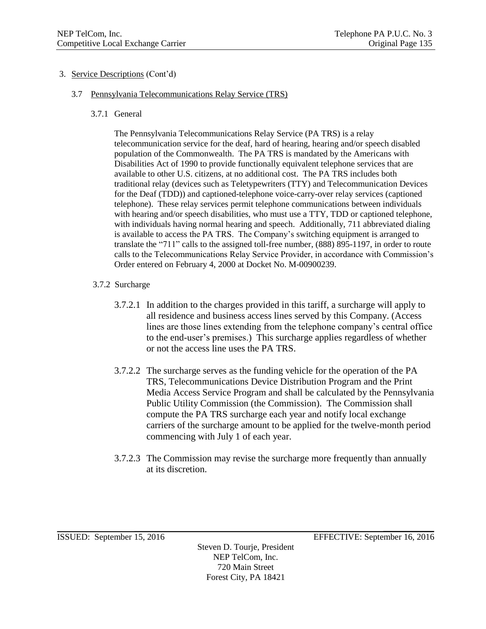### 3.7 Pennsylvania Telecommunications Relay Service (TRS)

3.7.1 General

The Pennsylvania Telecommunications Relay Service (PA TRS) is a relay telecommunication service for the deaf, hard of hearing, hearing and/or speech disabled population of the Commonwealth. The PA TRS is mandated by the Americans with Disabilities Act of 1990 to provide functionally equivalent telephone services that are available to other U.S. citizens, at no additional cost. The PA TRS includes both traditional relay (devices such as Teletypewriters (TTY) and Telecommunication Devices for the Deaf (TDD)) and captioned-telephone voice-carry-over relay services (captioned telephone). These relay services permit telephone communications between individuals with hearing and/or speech disabilities, who must use a TTY, TDD or captioned telephone, with individuals having normal hearing and speech. Additionally, 711 abbreviated dialing is available to access the PA TRS. The Company's switching equipment is arranged to translate the "711" calls to the assigned toll-free number, (888) 895-1197, in order to route calls to the Telecommunications Relay Service Provider, in accordance with Commission's Order entered on February 4, 2000 at Docket No. M-00900239.

- 3.7.2 Surcharge
	- 3.7.2.1 In addition to the charges provided in this tariff, a surcharge will apply to all residence and business access lines served by this Company. (Access lines are those lines extending from the telephone company's central office to the end-user's premises.) This surcharge applies regardless of whether or not the access line uses the PA TRS.
	- 3.7.2.2 The surcharge serves as the funding vehicle for the operation of the PA TRS, Telecommunications Device Distribution Program and the Print Media Access Service Program and shall be calculated by the Pennsylvania Public Utility Commission (the Commission). The Commission shall compute the PA TRS surcharge each year and notify local exchange carriers of the surcharge amount to be applied for the twelve-month period commencing with July 1 of each year.
	- 3.7.2.3 The Commission may revise the surcharge more frequently than annually at its discretion.

ISSUED: September 15, 2016 EFFECTIVE: September 16, 2016